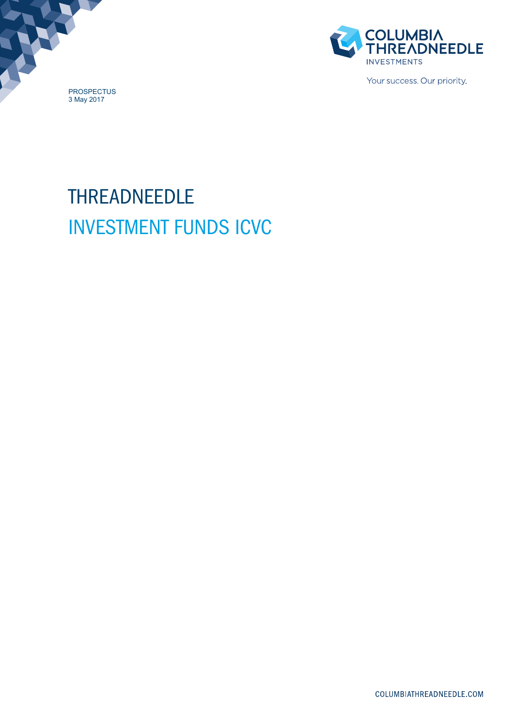PROSPECTUS 3 May 2017



Your success. Our priority.

# THREADNEEDLE INVESTMENT FUNDS ICVC

COLUMBIATHREADNEEDLE.COM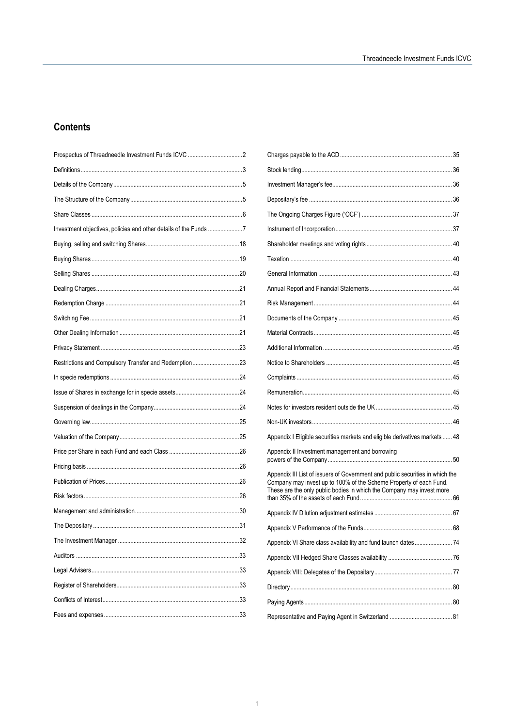### **Contents**

| Investment objectives, policies and other details of the Funds 7 |
|------------------------------------------------------------------|
|                                                                  |
|                                                                  |
|                                                                  |
|                                                                  |
|                                                                  |
|                                                                  |
|                                                                  |
|                                                                  |
| Restrictions and Compulsory Transfer and Redemption23            |
|                                                                  |
|                                                                  |
|                                                                  |
|                                                                  |
|                                                                  |
|                                                                  |
|                                                                  |
|                                                                  |
|                                                                  |
|                                                                  |
|                                                                  |
|                                                                  |
|                                                                  |
|                                                                  |
|                                                                  |
|                                                                  |
|                                                                  |

| Appendix I Eligible securities markets and eligible derivatives markets  48                                                                                                                                                  |  |
|------------------------------------------------------------------------------------------------------------------------------------------------------------------------------------------------------------------------------|--|
| Appendix II Investment management and borrowing                                                                                                                                                                              |  |
| Appendix III List of issuers of Government and public securities in which the<br>Company may invest up to 100% of the Scheme Property of each Fund.<br>These are the only public bodies in which the Company may invest more |  |
|                                                                                                                                                                                                                              |  |
|                                                                                                                                                                                                                              |  |
|                                                                                                                                                                                                                              |  |
| Appendix VI Share class availability and fund launch dates 74                                                                                                                                                                |  |
|                                                                                                                                                                                                                              |  |
|                                                                                                                                                                                                                              |  |
|                                                                                                                                                                                                                              |  |
|                                                                                                                                                                                                                              |  |
|                                                                                                                                                                                                                              |  |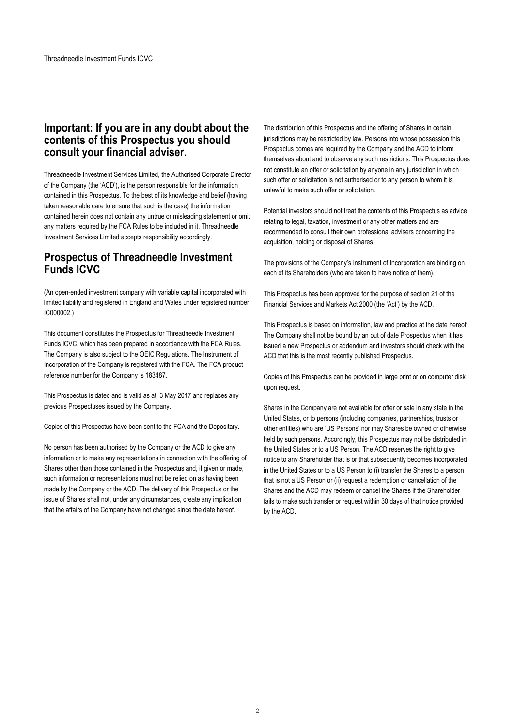### **Important: If you are in any doubt about the contents of this Prospectus you should consult your financial adviser.**

Threadneedle Investment Services Limited, the Authorised Corporate Director of the Company (the 'ACD'), is the person responsible for the information contained in this Prospectus. To the best of its knowledge and belief (having taken reasonable care to ensure that such is the case) the information contained herein does not contain any untrue or misleading statement or omit any matters required by the FCA Rules to be included in it. Threadneedle Investment Services Limited accepts responsibility accordingly.

### **Prospectus of Threadneedle Investment Funds ICVC**

(An open-ended investment company with variable capital incorporated with limited liability and registered in England and Wales under registered number IC000002.)

This document constitutes the Prospectus for Threadneedle Investment Funds ICVC, which has been prepared in accordance with the FCA Rules. The Company is also subject to the OEIC Regulations. The Instrument of Incorporation of the Company is registered with the FCA. The FCA product reference number for the Company is 183487.

This Prospectus is dated and is valid as at 3 May 2017 and replaces any previous Prospectuses issued by the Company.

Copies of this Prospectus have been sent to the FCA and the Depositary.

No person has been authorised by the Company or the ACD to give any information or to make any representations in connection with the offering of Shares other than those contained in the Prospectus and, if given or made, such information or representations must not be relied on as having been made by the Company or the ACD. The delivery of this Prospectus or the issue of Shares shall not, under any circumstances, create any implication that the affairs of the Company have not changed since the date hereof.

The distribution of this Prospectus and the offering of Shares in certain jurisdictions may be restricted by law. Persons into whose possession this Prospectus comes are required by the Company and the ACD to inform themselves about and to observe any such restrictions. This Prospectus does not constitute an offer or solicitation by anyone in any jurisdiction in which such offer or solicitation is not authorised or to any person to whom it is unlawful to make such offer or solicitation.

Potential investors should not treat the contents of this Prospectus as advice relating to legal, taxation, investment or any other matters and are recommended to consult their own professional advisers concerning the acquisition, holding or disposal of Shares.

The provisions of the Company's Instrument of Incorporation are binding on each of its Shareholders (who are taken to have notice of them).

This Prospectus has been approved for the purpose of section 21 of the Financial Services and Markets Act 2000 (the 'Act') by the ACD.

This Prospectus is based on information, law and practice at the date hereof. The Company shall not be bound by an out of date Prospectus when it has issued a new Prospectus or addendum and investors should check with the ACD that this is the most recently published Prospectus.

Copies of this Prospectus can be provided in large print or on computer disk upon request.

Shares in the Company are not available for offer or sale in any state in the United States, or to persons (including companies, partnerships, trusts or other entities) who are 'US Persons' nor may Shares be owned or otherwise held by such persons. Accordingly, this Prospectus may not be distributed in the United States or to a US Person. The ACD reserves the right to give notice to any Shareholder that is or that subsequently becomes incorporated in the United States or to a US Person to (i) transfer the Shares to a person that is not a US Person or (ii) request a redemption or cancellation of the Shares and the ACD may redeem or cancel the Shares if the Shareholder fails to make such transfer or request within 30 days of that notice provided by the ACD.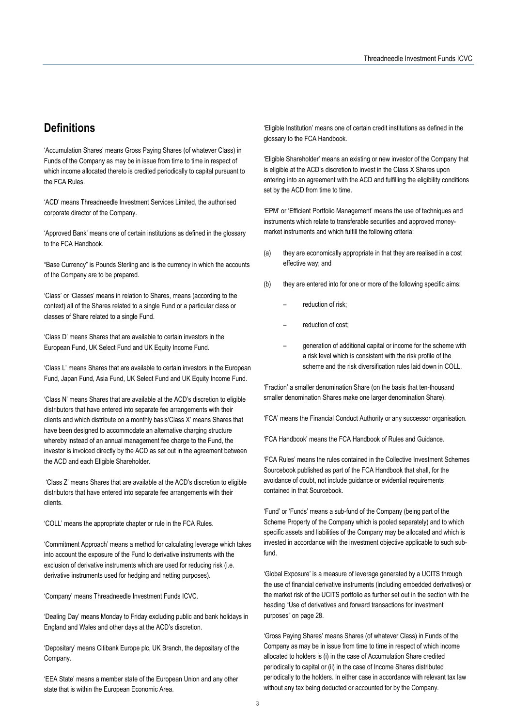### **Definitions**

'Accumulation Shares' means Gross Paying Shares (of whatever Class) in Funds of the Company as may be in issue from time to time in respect of which income allocated thereto is credited periodically to capital pursuant to the FCA Rules.

'ACD' means Threadneedle Investment Services Limited, the authorised corporate director of the Company.

'Approved Bank' means one of certain institutions as defined in the glossary to the FCA Handbook.

"Base Currency" is Pounds Sterling and is the currency in which the accounts of the Company are to be prepared.

'Class' or 'Classes' means in relation to Shares, means (according to the context) all of the Shares related to a single Fund or a particular class or classes of Share related to a single Fund.

'Class D' means Shares that are available to certain investors in the European Fund, UK Select Fund and UK Equity Income Fund.

'Class L' means Shares that are available to certain investors in the European Fund, Japan Fund, Asia Fund, UK Select Fund and UK Equity Income Fund.

'Class N' means Shares that are available at the ACD's discretion to eligible distributors that have entered into separate fee arrangements with their clients and which distribute on a monthly basis'Class X' means Shares that have been designed to accommodate an alternative charging structure whereby instead of an annual management fee charge to the Fund, the investor is invoiced directly by the ACD as set out in the agreement between the ACD and each Eligible Shareholder.

 'Class Z' means Shares that are available at the ACD's discretion to eligible distributors that have entered into separate fee arrangements with their clients.

'COLL' means the appropriate chapter or rule in the FCA Rules.

'Commitment Approach' means a method for calculating leverage which takes into account the exposure of the Fund to derivative instruments with the exclusion of derivative instruments which are used for reducing risk (i.e. derivative instruments used for hedging and netting purposes).

'Company' means Threadneedle Investment Funds ICVC.

'Dealing Day' means Monday to Friday excluding public and bank holidays in England and Wales and other days at the ACD's discretion.

'Depositary' means Citibank Europe plc, UK Branch, the depositary of the Company.

'EEA State' means a member state of the European Union and any other state that is within the European Economic Area.

'Eligible Institution' means one of certain credit institutions as defined in the glossary to the FCA Handbook.

'Eligible Shareholder' means an existing or new investor of the Company that is eligible at the ACD's discretion to invest in the Class X Shares upon entering into an agreement with the ACD and fulfilling the eligibility conditions set by the ACD from time to time.

'EPM' or 'Efficient Portfolio Management' means the use of techniques and instruments which relate to transferable securities and approved moneymarket instruments and which fulfill the following criteria:

- (a) they are economically appropriate in that they are realised in a cost effective way; and
- (b) they are entered into for one or more of the following specific aims:
	- reduction of risk:
	- reduction of cost:
	- generation of additional capital or income for the scheme with a risk level which is consistent with the risk profile of the scheme and the risk diversification rules laid down in COLL.

'Fraction' a smaller denomination Share (on the basis that ten-thousand smaller denomination Shares make one larger denomination Share).

'FCA' means the Financial Conduct Authority or any successor organisation.

'FCA Handbook' means the FCA Handbook of Rules and Guidance.

'FCA Rules' means the rules contained in the Collective Investment Schemes Sourcebook published as part of the FCA Handbook that shall, for the avoidance of doubt, not include guidance or evidential requirements contained in that Sourcebook.

'Fund' or 'Funds' means a sub-fund of the Company (being part of the Scheme Property of the Company which is pooled separately) and to which specific assets and liabilities of the Company may be allocated and which is invested in accordance with the investment objective applicable to such subfund.

'Global Exposure' is a measure of leverage generated by a UCITS through the use of financial derivative instruments (including embedded derivatives) or the market risk of the UCITS portfolio as further set out in the section with the heading "Use of derivatives and forward transactions for investment purposes" on page 28.

'Gross Paying Shares' means Shares (of whatever Class) in Funds of the Company as may be in issue from time to time in respect of which income allocated to holders is (i) in the case of Accumulation Share credited periodically to capital or (ii) in the case of Income Shares distributed periodically to the holders. In either case in accordance with relevant tax law without any tax being deducted or accounted for by the Company.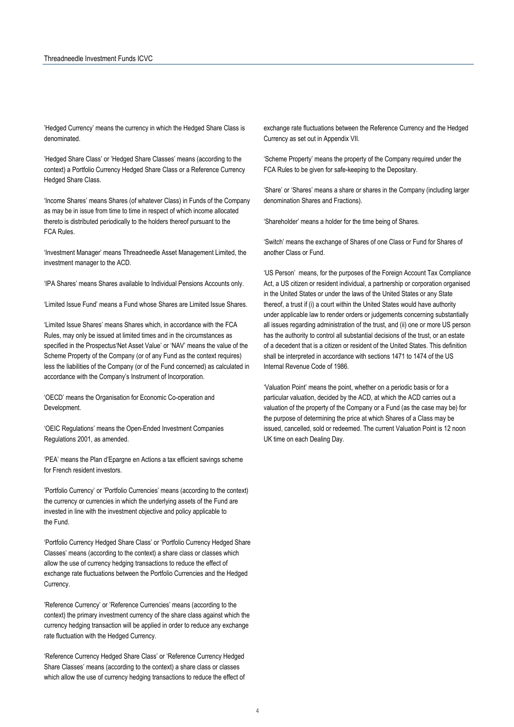'Hedged Currency' means the currency in which the Hedged Share Class is denominated.

'Hedged Share Class' or 'Hedged Share Classes' means (according to the context) a Portfolio Currency Hedged Share Class or a Reference Currency Hedged Share Class.

'Income Shares' means Shares (of whatever Class) in Funds of the Company as may be in issue from time to time in respect of which income allocated thereto is distributed periodically to the holders thereof pursuant to the FCA Rules.

'Investment Manager' means Threadneedle Asset Management Limited, the investment manager to the ACD.

'IPA Shares' means Shares available to Individual Pensions Accounts only.

'Limited Issue Fund' means a Fund whose Shares are Limited Issue Shares.

'Limited Issue Shares' means Shares which, in accordance with the FCA Rules, may only be issued at limited times and in the circumstances as specified in the Prospectus'Net Asset Value' or 'NAV' means the value of the Scheme Property of the Company (or of any Fund as the context requires) less the liabilities of the Company (or of the Fund concerned) as calculated in accordance with the Company's Instrument of Incorporation.

'OECD' means the Organisation for Economic Co-operation and Development.

'OEIC Regulations' means the Open-Ended Investment Companies Regulations 2001, as amended.

'PEA' means the Plan d'Epargne en Actions a tax efficient savings scheme for French resident investors.

'Portfolio Currency' or 'Portfolio Currencies' means (according to the context) the currency or currencies in which the underlying assets of the Fund are invested in line with the investment objective and policy applicable to the Fund.

'Portfolio Currency Hedged Share Class' or 'Portfolio Currency Hedged Share Classes' means (according to the context) a share class or classes which allow the use of currency hedging transactions to reduce the effect of exchange rate fluctuations between the Portfolio Currencies and the Hedged Currency.

'Reference Currency' or 'Reference Currencies' means (according to the context) the primary investment currency of the share class against which the currency hedging transaction will be applied in order to reduce any exchange rate fluctuation with the Hedged Currency.

'Reference Currency Hedged Share Class' or 'Reference Currency Hedged Share Classes' means (according to the context) a share class or classes which allow the use of currency hedging transactions to reduce the effect of exchange rate fluctuations between the Reference Currency and the Hedged Currency as set out in Appendix VII.

'Scheme Property' means the property of the Company required under the FCA Rules to be given for safe-keeping to the Depositary.

'Share' or 'Shares' means a share or shares in the Company (including larger denomination Shares and Fractions).

'Shareholder' means a holder for the time being of Shares.

'Switch' means the exchange of Shares of one Class or Fund for Shares of another Class or Fund.

'US Person' means, for the purposes of the Foreign Account Tax Compliance Act, a US citizen or resident individual, a partnership or corporation organised in the United States or under the laws of the United States or any State thereof, a trust if (i) a court within the United States would have authority under applicable law to render orders or judgements concerning substantially all issues regarding administration of the trust, and (ii) one or more US person has the authority to control all substantial decisions of the trust, or an estate of a decedent that is a citizen or resident of the United States. This definition shall be interpreted in accordance with sections 1471 to 1474 of the US Internal Revenue Code of 1986.

'Valuation Point' means the point, whether on a periodic basis or for a particular valuation, decided by the ACD, at which the ACD carries out a valuation of the property of the Company or a Fund (as the case may be) for the purpose of determining the price at which Shares of a Class may be issued, cancelled, sold or redeemed. The current Valuation Point is 12 noon UK time on each Dealing Day.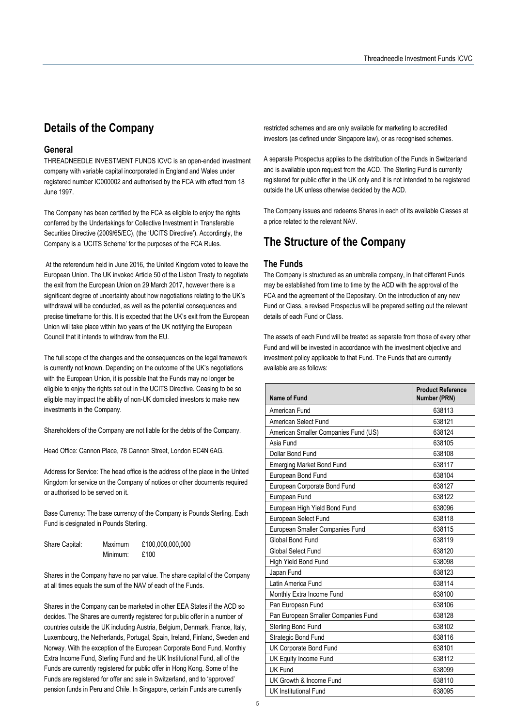# **Details of the Company**

#### **General**

THREADNEEDLE INVESTMENT FUNDS ICVC is an open-ended investment company with variable capital incorporated in England and Wales under registered number IC000002 and authorised by the FCA with effect from 18 June 1997.

The Company has been certified by the FCA as eligible to enjoy the rights conferred by the Undertakings for Collective Investment in Transferable Securities Directive (2009/65/EC), (the 'UCITS Directive'). Accordingly, the Company is a 'UCITS Scheme' for the purposes of the FCA Rules.

 At the referendum held in June 2016, the United Kingdom voted to leave the European Union. The UK invoked Article 50 of the Lisbon Treaty to negotiate the exit from the European Union on 29 March 2017, however there is a significant degree of uncertainty about how negotiations relating to the UK's withdrawal will be conducted, as well as the potential consequences and precise timeframe for this. It is expected that the UK's exit from the European Union will take place within two years of the UK notifying the European Council that it intends to withdraw from the EU.

The full scope of the changes and the consequences on the legal framework is currently not known. Depending on the outcome of the UK's negotiations with the European Union, it is possible that the Funds may no longer be eligible to enjoy the rights set out in the UCITS Directive. Ceasing to be so eligible may impact the ability of non-UK domiciled investors to make new investments in the Company.

Shareholders of the Company are not liable for the debts of the Company.

Head Office: Cannon Place, 78 Cannon Street, London EC4N 6AG.

Address for Service: The head office is the address of the place in the United Kingdom for service on the Company of notices or other documents required or authorised to be served on it.

Base Currency: The base currency of the Company is Pounds Sterling. Each Fund is designated in Pounds Sterling.

| Share Capital: | Maximum  | £100,000,000,000 |
|----------------|----------|------------------|
|                | Minimum: | £100             |

Shares in the Company have no par value. The share capital of the Company at all times equals the sum of the NAV of each of the Funds.

Shares in the Company can be marketed in other EEA States if the ACD so decides. The Shares are currently registered for public offer in a number of countries outside the UK including Austria, Belgium, Denmark, France, Italy, Luxembourg, the Netherlands, Portugal, Spain, Ireland, Finland, Sweden and Norway. With the exception of the European Corporate Bond Fund, Monthly Extra Income Fund, Sterling Fund and the UK Institutional Fund, all of the Funds are currently registered for public offer in Hong Kong. Some of the Funds are registered for offer and sale in Switzerland, and to 'approved' pension funds in Peru and Chile. In Singapore, certain Funds are currently

restricted schemes and are only available for marketing to accredited investors (as defined under Singapore law), or as recognised schemes.

A separate Prospectus applies to the distribution of the Funds in Switzerland and is available upon request from the ACD. The Sterling Fund is currently registered for public offer in the UK only and it is not intended to be registered outside the UK unless otherwise decided by the ACD.

The Company issues and redeems Shares in each of its available Classes at a price related to the relevant NAV.

# **The Structure of the Company**

#### **The Funds**

The Company is structured as an umbrella company, in that different Funds may be established from time to time by the ACD with the approval of the FCA and the agreement of the Depositary. On the introduction of any new Fund or Class, a revised Prospectus will be prepared setting out the relevant details of each Fund or Class.

The assets of each Fund will be treated as separate from those of every other Fund and will be invested in accordance with the investment objective and investment policy applicable to that Fund. The Funds that are currently available are as follows:

| Name of Fund                         | <b>Product Reference</b><br>Number (PRN) |
|--------------------------------------|------------------------------------------|
| American Fund                        | 638113                                   |
| American Select Fund                 | 638121                                   |
| American Smaller Companies Fund (US) | 638124                                   |
| Asia Fund                            | 638105                                   |
| Dollar Bond Fund                     | 638108                                   |
| <b>Emerging Market Bond Fund</b>     | 638117                                   |
| European Bond Fund                   | 638104                                   |
| European Corporate Bond Fund         | 638127                                   |
| European Fund                        | 638122                                   |
| European High Yield Bond Fund        | 638096                                   |
| European Select Fund                 | 638118                                   |
| European Smaller Companies Fund      | 638115                                   |
| Global Bond Fund                     | 638119                                   |
| Global Select Fund                   | 638120                                   |
| High Yield Bond Fund                 | 638098                                   |
| Japan Fund                           | 638123                                   |
| Latin America Fund                   | 638114                                   |
| Monthly Extra Income Fund            | 638100                                   |
| Pan European Fund                    | 638106                                   |
| Pan European Smaller Companies Fund  | 638128                                   |
| Sterling Bond Fund                   | 638102                                   |
| Strategic Bond Fund                  | 638116                                   |
| UK Corporate Bond Fund               | 638101                                   |
| UK Equity Income Fund                | 638112                                   |
| <b>UK Fund</b>                       | 638099                                   |
| UK Growth & Income Fund              | 638110                                   |
| UK Institutional Fund                | 638095                                   |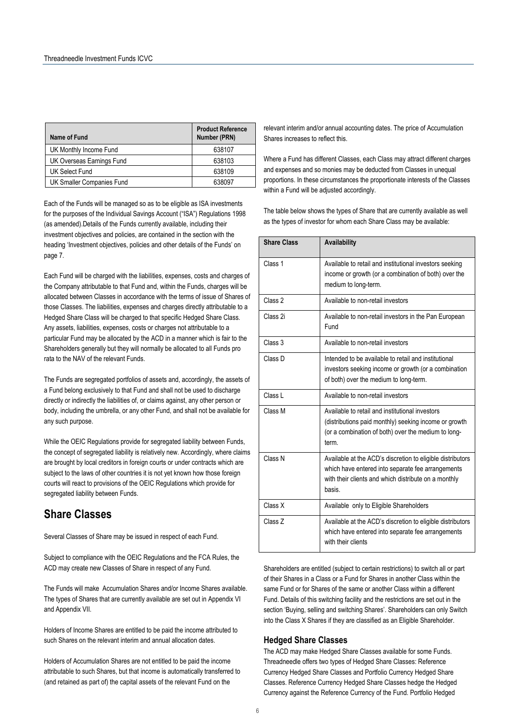| Name of Fund              | <b>Product Reference</b><br>Number (PRN) |
|---------------------------|------------------------------------------|
| UK Monthly Income Fund    | 638107                                   |
| UK Overseas Earnings Fund | 638103                                   |
| UK Select Fund            | 638109                                   |
| UK Smaller Companies Fund | 638097                                   |

Each of the Funds will be managed so as to be eligible as ISA investments for the purposes of the Individual Savings Account ("ISA") Regulations 1998 (as amended).Details of the Funds currently available, including their investment objectives and policies, are contained in the section with the heading 'Investment objectives, policies and other details of the Funds' on page 7.

Each Fund will be charged with the liabilities, expenses, costs and charges of the Company attributable to that Fund and, within the Funds, charges will be allocated between Classes in accordance with the terms of issue of Shares of those Classes. The liabilities, expenses and charges directly attributable to a Hedged Share Class will be charged to that specific Hedged Share Class. Any assets, liabilities, expenses, costs or charges not attributable to a particular Fund may be allocated by the ACD in a manner which is fair to the Shareholders generally but they will normally be allocated to all Funds pro rata to the NAV of the relevant Funds.

The Funds are segregated portfolios of assets and, accordingly, the assets of a Fund belong exclusively to that Fund and shall not be used to discharge directly or indirectly the liabilities of, or claims against, any other person or body, including the umbrella, or any other Fund, and shall not be available for any such purpose.

While the OEIC Regulations provide for segregated liability between Funds, the concept of segregated liability is relatively new. Accordingly, where claims are brought by local creditors in foreign courts or under contracts which are subject to the laws of other countries it is not yet known how those foreign courts will react to provisions of the OEIC Regulations which provide for segregated liability between Funds.

# **Share Classes**

Several Classes of Share may be issued in respect of each Fund.

Subject to compliance with the OEIC Regulations and the FCA Rules, the ACD may create new Classes of Share in respect of any Fund.

The Funds will make Accumulation Shares and/or Income Shares available. The types of Shares that are currently available are set out in Appendix VI and Appendix VII.

Holders of Income Shares are entitled to be paid the income attributed to such Shares on the relevant interim and annual allocation dates.

Holders of Accumulation Shares are not entitled to be paid the income attributable to such Shares, but that income is automatically transferred to (and retained as part of) the capital assets of the relevant Fund on the

relevant interim and/or annual accounting dates. The price of Accumulation Shares increases to reflect this.

Where a Fund has different Classes, each Class may attract different charges and expenses and so monies may be deducted from Classes in unequal proportions. In these circumstances the proportionate interests of the Classes within a Fund will be adjusted accordingly.

The table below shows the types of Share that are currently available as well as the types of investor for whom each Share Class may be available:

| <b>Share Class</b>  | Availability                                                                                                                                                                      |
|---------------------|-----------------------------------------------------------------------------------------------------------------------------------------------------------------------------------|
| Class 1             | Available to retail and institutional investors seeking<br>income or growth (or a combination of both) over the<br>medium to long-term.                                           |
| Class 2             | Available to non-retail investors                                                                                                                                                 |
| Class <sub>2i</sub> | Available to non-retail investors in the Pan European<br>Fund                                                                                                                     |
| Class 3             | Available to non-retail investors                                                                                                                                                 |
| Class <sub>D</sub>  | Intended to be available to retail and institutional<br>investors seeking income or growth (or a combination<br>of both) over the medium to long-term.                            |
| Class I             | Available to non-retail investors                                                                                                                                                 |
| Class M             | Available to retail and institutional investors<br>(distributions paid monthly) seeking income or growth<br>(or a combination of both) over the medium to long-<br>term.          |
| Class N             | Available at the ACD's discretion to eligible distributors<br>which have entered into separate fee arrangements<br>with their clients and which distribute on a monthly<br>basis. |
| Class X             | Available only to Eligible Shareholders                                                                                                                                           |
| Class <sub>7</sub>  | Available at the ACD's discretion to eligible distributors<br>which have entered into separate fee arrangements<br>with their clients                                             |

Shareholders are entitled (subject to certain restrictions) to switch all or part of their Shares in a Class or a Fund for Shares in another Class within the same Fund or for Shares of the same or another Class within a different Fund. Details of this switching facility and the restrictions are set out in the section 'Buying, selling and switching Shares'. Shareholders can only Switch into the Class X Shares if they are classified as an Eligible Shareholder.

#### **Hedged Share Classes**

The ACD may make Hedged Share Classes available for some Funds. Threadneedle offers two types of Hedged Share Classes: Reference Currency Hedged Share Classes and Portfolio Currency Hedged Share Classes. Reference Currency Hedged Share Classes hedge the Hedged Currency against the Reference Currency of the Fund. Portfolio Hedged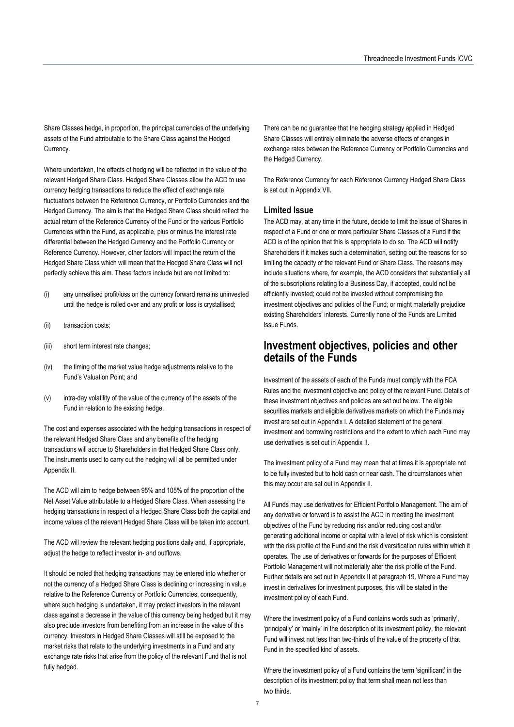Share Classes hedge, in proportion, the principal currencies of the underlying assets of the Fund attributable to the Share Class against the Hedged Currency.

Where undertaken, the effects of hedging will be reflected in the value of the relevant Hedged Share Class. Hedged Share Classes allow the ACD to use currency hedging transactions to reduce the effect of exchange rate fluctuations between the Reference Currency, or Portfolio Currencies and the Hedged Currency. The aim is that the Hedged Share Class should reflect the actual return of the Reference Currency of the Fund or the various Portfolio Currencies within the Fund, as applicable, plus or minus the interest rate differential between the Hedged Currency and the Portfolio Currency or Reference Currency. However, other factors will impact the return of the Hedged Share Class which will mean that the Hedged Share Class will not perfectly achieve this aim. These factors include but are not limited to:

- (i) any unrealised profit/loss on the currency forward remains uninvested until the hedge is rolled over and any profit or loss is crystallised;
- (ii) transaction costs;
- (iii) short term interest rate changes;
- (iv) the timing of the market value hedge adjustments relative to the Fund's Valuation Point; and
- (v) intra-day volatility of the value of the currency of the assets of the Fund in relation to the existing hedge.

The cost and expenses associated with the hedging transactions in respect of the relevant Hedged Share Class and any benefits of the hedging transactions will accrue to Shareholders in that Hedged Share Class only. The instruments used to carry out the hedging will all be permitted under Appendix II.

The ACD will aim to hedge between 95% and 105% of the proportion of the Net Asset Value attributable to a Hedged Share Class. When assessing the hedging transactions in respect of a Hedged Share Class both the capital and income values of the relevant Hedged Share Class will be taken into account.

The ACD will review the relevant hedging positions daily and, if appropriate, adjust the hedge to reflect investor in- and outflows.

It should be noted that hedging transactions may be entered into whether or not the currency of a Hedged Share Class is declining or increasing in value relative to the Reference Currency or Portfolio Currencies; consequently, where such hedging is undertaken, it may protect investors in the relevant class against a decrease in the value of this currency being hedged but it may also preclude investors from benefiting from an increase in the value of this currency. Investors in Hedged Share Classes will still be exposed to the market risks that relate to the underlying investments in a Fund and any exchange rate risks that arise from the policy of the relevant Fund that is not fully hedged.

There can be no guarantee that the hedging strategy applied in Hedged Share Classes will entirely eliminate the adverse effects of changes in exchange rates between the Reference Currency or Portfolio Currencies and the Hedged Currency.

The Reference Currency for each Reference Currency Hedged Share Class is set out in Appendix VII.

#### **Limited Issue**

The ACD may, at any time in the future, decide to limit the issue of Shares in respect of a Fund or one or more particular Share Classes of a Fund if the ACD is of the opinion that this is appropriate to do so. The ACD will notify Shareholders if it makes such a determination, setting out the reasons for so limiting the capacity of the relevant Fund or Share Class. The reasons may include situations where, for example, the ACD considers that substantially all of the subscriptions relating to a Business Day, if accepted, could not be efficiently invested; could not be invested without compromising the investment objectives and policies of the Fund; or might materially prejudice existing Shareholders' interests. Currently none of the Funds are Limited Issue Funds.

### **Investment objectives, policies and other details of the Funds**

Investment of the assets of each of the Funds must comply with the FCA Rules and the investment objective and policy of the relevant Fund. Details of these investment objectives and policies are set out below. The eligible securities markets and eligible derivatives markets on which the Funds may invest are set out in Appendix I. A detailed statement of the general investment and borrowing restrictions and the extent to which each Fund may use derivatives is set out in Appendix II.

The investment policy of a Fund may mean that at times it is appropriate not to be fully invested but to hold cash or near cash. The circumstances when this may occur are set out in Appendix II.

All Funds may use derivatives for Efficient Portfolio Management. The aim of any derivative or forward is to assist the ACD in meeting the investment objectives of the Fund by reducing risk and/or reducing cost and/or generating additional income or capital with a level of risk which is consistent with the risk profile of the Fund and the risk diversification rules within which it operates. The use of derivatives or forwards for the purposes of Efficient Portfolio Management will not materially alter the risk profile of the Fund. Further details are set out in Appendix II at paragraph 19. Where a Fund may invest in derivatives for investment purposes, this will be stated in the investment policy of each Fund.

Where the investment policy of a Fund contains words such as 'primarily', 'principally' or 'mainly' in the description of its investment policy, the relevant Fund will invest not less than two-thirds of the value of the property of that Fund in the specified kind of assets.

Where the investment policy of a Fund contains the term 'significant' in the description of its investment policy that term shall mean not less than two thirds.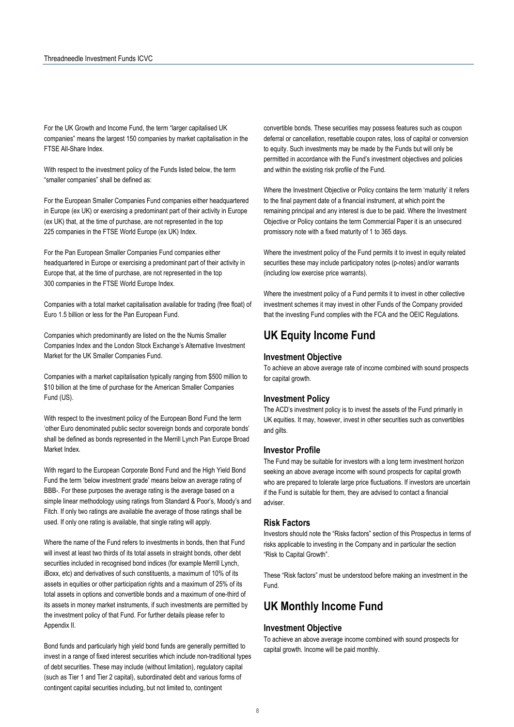For the UK Growth and Income Fund, the term "larger capitalised UK companies" means the largest 150 companies by market capitalisation in the FTSE All-Share Index.

With respect to the investment policy of the Funds listed below, the term "smaller companies" shall be defined as:

For the European Smaller Companies Fund companies either headquartered in Europe (ex UK) or exercising a predominant part of their activity in Europe (ex UK) that, at the time of purchase, are not represented in the top 225 companies in the FTSE World Europe (ex UK) Index.

For the Pan European Smaller Companies Fund companies either headquartered in Europe or exercising a predominant part of their activity in Europe that, at the time of purchase, are not represented in the top 300 companies in the FTSE World Europe Index.

Companies with a total market capitalisation available for trading (free float) of Euro 1.5 billion or less for the Pan European Fund.

Companies which predominantly are listed on the the Numis Smaller Companies Index and the London Stock Exchange's Alternative Investment Market for the UK Smaller Companies Fund.

Companies with a market capitalisation typically ranging from \$500 million to \$10 billion at the time of purchase for the American Smaller Companies Fund (US).

With respect to the investment policy of the European Bond Fund the term 'other Euro denominated public sector sovereign bonds and corporate bonds' shall be defined as bonds represented in the Merrill Lynch Pan Europe Broad Market Index.

With regard to the European Corporate Bond Fund and the High Yield Bond Fund the term 'below investment grade' means below an average rating of BBB-. For these purposes the average rating is the average based on a simple linear methodology using ratings from Standard & Poor's, Moody's and Fitch. If only two ratings are available the average of those ratings shall be used. If only one rating is available, that single rating will apply.

Where the name of the Fund refers to investments in bonds, then that Fund will invest at least two thirds of its total assets in straight bonds, other debt securities included in recognised bond indices (for example Merrill Lynch, iBoxx, etc) and derivatives of such constituents, a maximum of 10% of its assets in equities or other participation rights and a maximum of 25% of its total assets in options and convertible bonds and a maximum of one-third of its assets in money market instruments, if such investments are permitted by the investment policy of that Fund. For further details please refer to Appendix II.

Bond funds and particularly high yield bond funds are generally permitted to invest in a range of fixed interest securities which include non-traditional types of debt securities. These may include (without limitation), regulatory capital (such as Tier 1 and Tier 2 capital), subordinated debt and various forms of contingent capital securities including, but not limited to, contingent

convertible bonds. These securities may possess features such as coupon deferral or cancellation, resettable coupon rates, loss of capital or conversion to equity. Such investments may be made by the Funds but will only be permitted in accordance with the Fund's investment objectives and policies and within the existing risk profile of the Fund.

Where the Investment Objective or Policy contains the term 'maturity' it refers to the final payment date of a financial instrument, at which point the remaining principal and any interest is due to be paid. Where the Investment Objective or Policy contains the term Commercial Paper it is an unsecured promissory note with a fixed maturity of 1 to 365 days.

Where the investment policy of the Fund permits it to invest in equity related securities these may include participatory notes (p-notes) and/or warrants (including low exercise price warrants).

Where the investment policy of a Fund permits it to invest in other collective investment schemes it may invest in other Funds of the Company provided that the investing Fund complies with the FCA and the OEIC Regulations.

# **UK Equity Income Fund**

#### **Investment Objective**

To achieve an above average rate of income combined with sound prospects for capital growth.

#### **Investment Policy**

The ACD's investment policy is to invest the assets of the Fund primarily in UK equities. It may, however, invest in other securities such as convertibles and gilts.

#### **Investor Profile**

The Fund may be suitable for investors with a long term investment horizon seeking an above average income with sound prospects for capital growth who are prepared to tolerate large price fluctuations. If investors are uncertain if the Fund is suitable for them, they are advised to contact a financial adviser.

#### **Risk Factors**

Investors should note the "Risks factors" section of this Prospectus in terms of risks applicable to investing in the Company and in particular the section "Risk to Capital Growth".

These "Risk factors" must be understood before making an investment in the Fund.

### **UK Monthly Income Fund**

#### **Investment Objective**

To achieve an above average income combined with sound prospects for capital growth. Income will be paid monthly.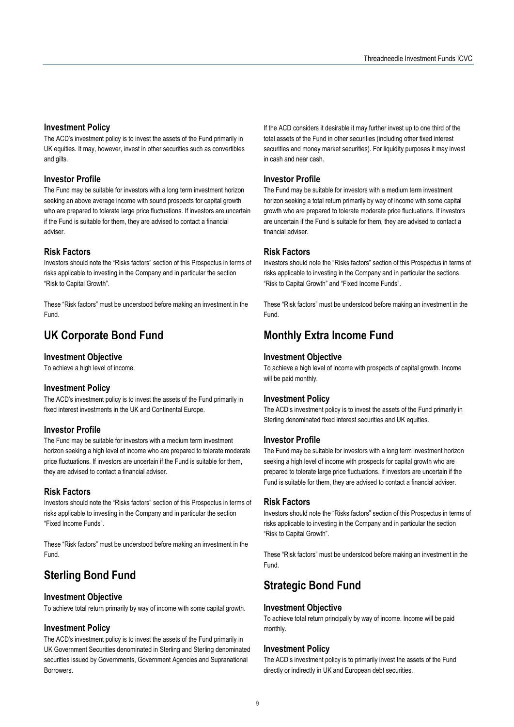#### **Investment Policy**

The ACD's investment policy is to invest the assets of the Fund primarily in UK equities. It may, however, invest in other securities such as convertibles and gilts.

#### **Investor Profile**

The Fund may be suitable for investors with a long term investment horizon seeking an above average income with sound prospects for capital growth who are prepared to tolerate large price fluctuations. If investors are uncertain if the Fund is suitable for them, they are advised to contact a financial adviser.

#### **Risk Factors**

Investors should note the "Risks factors" section of this Prospectus in terms of risks applicable to investing in the Company and in particular the section "Risk to Capital Growth".

These "Risk factors" must be understood before making an investment in the Fund.

### **UK Corporate Bond Fund**

#### **Investment Objective**

To achieve a high level of income.

#### **Investment Policy**

The ACD's investment policy is to invest the assets of the Fund primarily in fixed interest investments in the UK and Continental Europe.

#### **Investor Profile**

The Fund may be suitable for investors with a medium term investment horizon seeking a high level of income who are prepared to tolerate moderate price fluctuations. If investors are uncertain if the Fund is suitable for them, they are advised to contact a financial adviser.

#### **Risk Factors**

Investors should note the "Risks factors" section of this Prospectus in terms of risks applicable to investing in the Company and in particular the section "Fixed Income Funds".

These "Risk factors" must be understood before making an investment in the Fund.

# **Sterling Bond Fund**

#### **Investment Objective**

To achieve total return primarily by way of income with some capital growth.

#### **Investment Policy**

The ACD's investment policy is to invest the assets of the Fund primarily in UK Government Securities denominated in Sterling and Sterling denominated securities issued by Governments, Government Agencies and Supranational **Borrowers** 

If the ACD considers it desirable it may further invest up to one third of the total assets of the Fund in other securities (including other fixed interest securities and money market securities). For liquidity purposes it may invest in cash and near cash.

#### **Investor Profile**

The Fund may be suitable for investors with a medium term investment horizon seeking a total return primarily by way of income with some capital growth who are prepared to tolerate moderate price fluctuations. If investors are uncertain if the Fund is suitable for them, they are advised to contact a financial adviser.

#### **Risk Factors**

Investors should note the "Risks factors" section of this Prospectus in terms of risks applicable to investing in the Company and in particular the sections "Risk to Capital Growth" and "Fixed Income Funds".

These "Risk factors" must be understood before making an investment in the Fund.

### **Monthly Extra Income Fund**

#### **Investment Objective**

To achieve a high level of income with prospects of capital growth. Income will be paid monthly.

#### **Investment Policy**

The ACD's investment policy is to invest the assets of the Fund primarily in Sterling denominated fixed interest securities and UK equities.

#### **Investor Profile**

The Fund may be suitable for investors with a long term investment horizon seeking a high level of income with prospects for capital growth who are prepared to tolerate large price fluctuations. If investors are uncertain if the Fund is suitable for them, they are advised to contact a financial adviser.

#### **Risk Factors**

Investors should note the "Risks factors" section of this Prospectus in terms of risks applicable to investing in the Company and in particular the section "Risk to Capital Growth".

These "Risk factors" must be understood before making an investment in the Fund.

# **Strategic Bond Fund**

#### **Investment Objective**

To achieve total return principally by way of income. Income will be paid monthly.

#### **Investment Policy**

The ACD's investment policy is to primarily invest the assets of the Fund directly or indirectly in UK and European debt securities.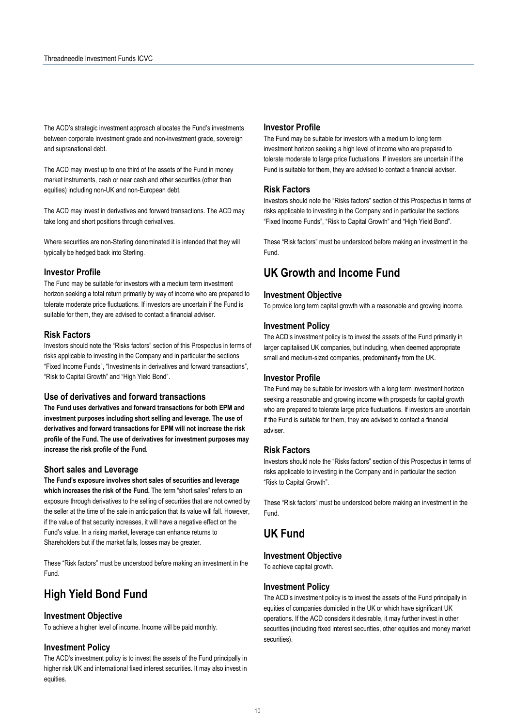The ACD's strategic investment approach allocates the Fund's investments between corporate investment grade and non-investment grade, sovereign and supranational debt.

The ACD may invest up to one third of the assets of the Fund in money market instruments, cash or near cash and other securities (other than equities) including non-UK and non-European debt.

The ACD may invest in derivatives and forward transactions. The ACD may take long and short positions through derivatives.

Where securities are non-Sterling denominated it is intended that they will typically be hedged back into Sterling.

#### **Investor Profile**

The Fund may be suitable for investors with a medium term investment horizon seeking a total return primarily by way of income who are prepared to tolerate moderate price fluctuations. If investors are uncertain if the Fund is suitable for them, they are advised to contact a financial adviser.

#### **Risk Factors**

Investors should note the "Risks factors" section of this Prospectus in terms of risks applicable to investing in the Company and in particular the sections "Fixed Income Funds", "Investments in derivatives and forward transactions", "Risk to Capital Growth" and "High Yield Bond".

#### **Use of derivatives and forward transactions**

**The Fund uses derivatives and forward transactions for both EPM and investment purposes including short selling and leverage. The use of derivatives and forward transactions for EPM will not increase the risk profile of the Fund. The use of derivatives for investment purposes may increase the risk profile of the Fund.** 

#### **Short sales and Leverage**

**The Fund's exposure involves short sales of securities and leverage which increases the risk of the Fund.** The term "short sales" refers to an exposure through derivatives to the selling of securities that are not owned by the seller at the time of the sale in anticipation that its value will fall. However, if the value of that security increases, it will have a negative effect on the Fund's value. In a rising market, leverage can enhance returns to Shareholders but if the market falls, losses may be greater.

These "Risk factors" must be understood before making an investment in the Fund.

### **High Yield Bond Fund**

#### **Investment Objective**

To achieve a higher level of income. Income will be paid monthly.

#### **Investment Policy**

The ACD's investment policy is to invest the assets of the Fund principally in higher risk UK and international fixed interest securities. It may also invest in equities.

#### **Investor Profile**

The Fund may be suitable for investors with a medium to long term investment horizon seeking a high level of income who are prepared to tolerate moderate to large price fluctuations. If investors are uncertain if the Fund is suitable for them, they are advised to contact a financial adviser.

#### **Risk Factors**

Investors should note the "Risks factors" section of this Prospectus in terms of risks applicable to investing in the Company and in particular the sections "Fixed Income Funds", "Risk to Capital Growth" and "High Yield Bond".

These "Risk factors" must be understood before making an investment in the Fund.

### **UK Growth and Income Fund**

#### **Investment Objective**

To provide long term capital growth with a reasonable and growing income.

#### **Investment Policy**

The ACD's investment policy is to invest the assets of the Fund primarily in larger capitalised UK companies, but including, when deemed appropriate small and medium-sized companies, predominantly from the UK.

#### **Investor Profile**

The Fund may be suitable for investors with a long term investment horizon seeking a reasonable and growing income with prospects for capital growth who are prepared to tolerate large price fluctuations. If investors are uncertain if the Fund is suitable for them, they are advised to contact a financial adviser.

#### **Risk Factors**

Investors should note the "Risks factors" section of this Prospectus in terms of risks applicable to investing in the Company and in particular the section "Risk to Capital Growth".

These "Risk factors" must be understood before making an investment in the Fund.

### **UK Fund**

#### **Investment Objective**

To achieve capital growth.

#### **Investment Policy**

The ACD's investment policy is to invest the assets of the Fund principally in equities of companies domiciled in the UK or which have significant UK operations. If the ACD considers it desirable, it may further invest in other securities (including fixed interest securities, other equities and money market securities).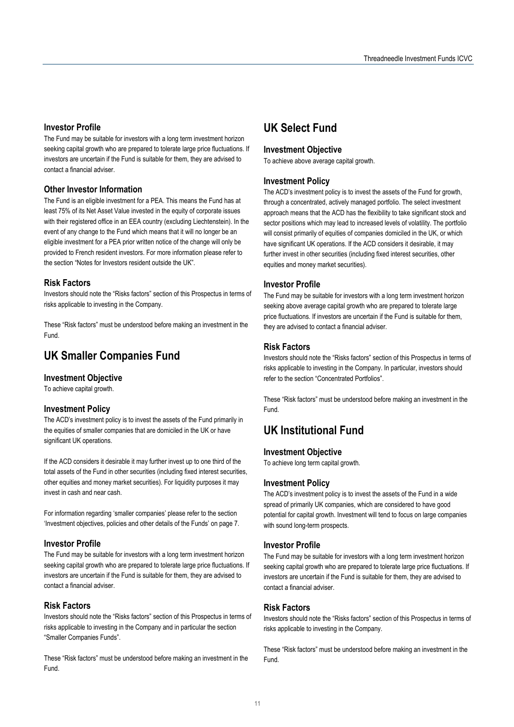#### **Investor Profile**

The Fund may be suitable for investors with a long term investment horizon seeking capital growth who are prepared to tolerate large price fluctuations. If investors are uncertain if the Fund is suitable for them, they are advised to contact a financial adviser.

#### **Other Investor Information**

The Fund is an eligible investment for a PEA. This means the Fund has at least 75% of its Net Asset Value invested in the equity of corporate issues with their registered office in an EEA country (excluding Liechtenstein). In the event of any change to the Fund which means that it will no longer be an eligible investment for a PEA prior written notice of the change will only be provided to French resident investors. For more information please refer to the section "Notes for Investors resident outside the UK".

#### **Risk Factors**

Investors should note the "Risks factors" section of this Prospectus in terms of risks applicable to investing in the Company.

These "Risk factors" must be understood before making an investment in the Fund.

### **UK Smaller Companies Fund**

#### **Investment Objective**

To achieve capital growth.

#### **Investment Policy**

The ACD's investment policy is to invest the assets of the Fund primarily in the equities of smaller companies that are domiciled in the UK or have significant UK operations.

If the ACD considers it desirable it may further invest up to one third of the total assets of the Fund in other securities (including fixed interest securities, other equities and money market securities). For liquidity purposes it may invest in cash and near cash.

For information regarding 'smaller companies' please refer to the section 'Investment objectives, policies and other details of the Funds' on page 7.

#### **Investor Profile**

The Fund may be suitable for investors with a long term investment horizon seeking capital growth who are prepared to tolerate large price fluctuations. If investors are uncertain if the Fund is suitable for them, they are advised to contact a financial adviser.

#### **Risk Factors**

Investors should note the "Risks factors" section of this Prospectus in terms of risks applicable to investing in the Company and in particular the section "Smaller Companies Funds".

These "Risk factors" must be understood before making an investment in the Fund.

# **UK Select Fund**

#### **Investment Objective**

To achieve above average capital growth.

#### **Investment Policy**

The ACD's investment policy is to invest the assets of the Fund for growth, through a concentrated, actively managed portfolio. The select investment approach means that the ACD has the flexibility to take significant stock and sector positions which may lead to increased levels of volatility. The portfolio will consist primarily of equities of companies domiciled in the UK, or which have significant UK operations. If the ACD considers it desirable, it may further invest in other securities (including fixed interest securities, other equities and money market securities).

#### **Investor Profile**

The Fund may be suitable for investors with a long term investment horizon seeking above average capital growth who are prepared to tolerate large price fluctuations. If investors are uncertain if the Fund is suitable for them, they are advised to contact a financial adviser.

#### **Risk Factors**

Investors should note the "Risks factors" section of this Prospectus in terms of risks applicable to investing in the Company. In particular, investors should refer to the section "Concentrated Portfolios".

These "Risk factors" must be understood before making an investment in the Fund.

### **UK Institutional Fund**

#### **Investment Objective**

To achieve long term capital growth.

#### **Investment Policy**

The ACD's investment policy is to invest the assets of the Fund in a wide spread of primarily UK companies, which are considered to have good potential for capital growth. Investment will tend to focus on large companies with sound long-term prospects.

#### **Investor Profile**

The Fund may be suitable for investors with a long term investment horizon seeking capital growth who are prepared to tolerate large price fluctuations. If investors are uncertain if the Fund is suitable for them, they are advised to contact a financial adviser.

#### **Risk Factors**

Investors should note the "Risks factors" section of this Prospectus in terms of risks applicable to investing in the Company.

These "Risk factors" must be understood before making an investment in the Fund.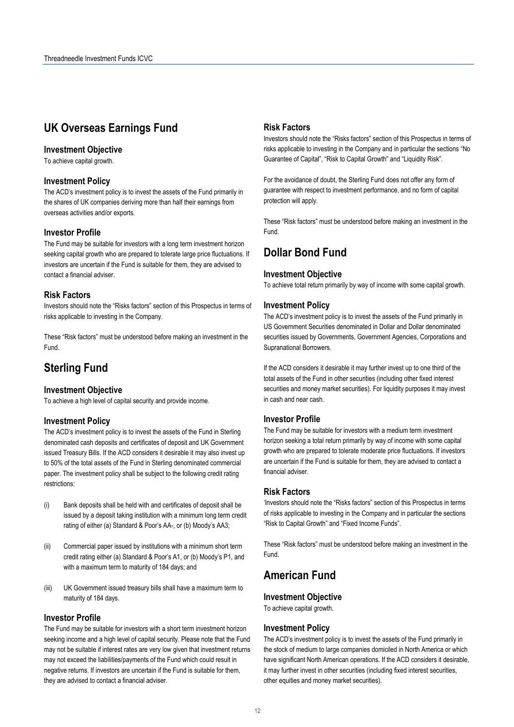# **UK Overseas Earnings Fund**

#### **Investment Objective**

To achieve capital growth.

#### **Investment Policy**

The ACD's investment policy is to invest the assets of the Fund primarily in the shares of UK companies deriving more than half their earnings from overseas activities and/or exports.

#### **Investor Profile**

The Fund may be suitable for investors with a long term investment horizon seeking capital growth who are prepared to tolerate large price fluctuations. If investors are uncertain if the Fund is suitable for them, they are advised to contact a financial adviser.

#### **Risk Factors**

Investors should note the "Risks factors" section of this Prospectus in terms of risks applicable to investing in the Company.

These "Risk factors" must be understood before making an investment in the Fund.

# **Sterling Fund**

#### **Investment Objective**

To achieve a high level of capital security and provide income.

#### **Investment Policy**

The ACD's investment policy is to invest the assets of the Fund in Sterling denominated cash deposits and certificates of deposit and UK Government issued Treasury Bills. If the ACD considers it desirable it may also invest up to 50% of the total assets of the Fund in Sterling denominated commercial paper. The investment policy shall be subject to the following credit rating restrictions:

- (i) Bank deposits shall be held with and certificates of deposit shall be issued by a deposit taking institution with a minimum long term credit rating of either (a) Standard & Poor's AA-, or (b) Moody's AA3;
- (ii) Commercial paper issued by institutions with a minimum short term credit rating either (a) Standard & Poor's A1, or (b) Moody's P1, and with a maximum term to maturity of 184 days; and
- (iii) UK Government issued treasury bills shall have a maximum term to maturity of 184 days.

#### **Investor Profile**

The Fund may be suitable for investors with a short term investment horizon seeking income and a high level of capital security. Please note that the Fund may not be suitable if interest rates are very low given that investment returns may not exceed the liabilities/payments of the Fund which could result in negative returns. If investors are uncertain if the Fund is suitable for them, they are advised to contact a financial adviser.

#### **Risk Factors**

Investors should note the "Risks factors" section of this Prospectus in terms of risks applicable to investing in the Company and in particular the sections "No Guarantee of Capital", "Risk to Capital Growth" and "Liquidity Risk".

For the avoidance of doubt, the Sterling Fund does not offer any form of guarantee with respect to investment performance, and no form of capital protection will apply.

These "Risk factors" must be understood before making an investment in the Fund.

# **Dollar Bond Fund**

#### **Investment Objective**

To achieve total return primarily by way of income with some capital growth.

#### **Investment Policy**

The ACD's investment policy is to invest the assets of the Fund primarily in US Government Securities denominated in Dollar and Dollar denominated securities issued by Governments, Government Agencies, Corporations and Supranational Borrowers.

If the ACD considers it desirable it may further invest up to one third of the total assets of the Fund in other securities (including other fixed interest securities and money market securities). For liquidity purposes it may invest in cash and near cash.

#### **Investor Profile**

The Fund may be suitable for investors with a medium term investment horizon seeking a total return primarily by way of income with some capital growth who are prepared to tolerate moderate price fluctuations. If investors are uncertain if the Fund is suitable for them, they are advised to contact a financial adviser.

#### **Risk Factors**

'Investors should note the "Risks factors" section of this Prospectus in terms of risks applicable to investing in the Company and in particular the sections "Risk to Capital Growth" and "Fixed Income Funds".

These "Risk factors" must be understood before making an investment in the Fund.

### **American Fund**

#### **Investment Objective**

To achieve capital growth.

#### **Investment Policy**

The ACD's investment policy is to invest the assets of the Fund primarily in the stock of medium to large companies domiciled in North America or which have significant North American operations. If the ACD considers it desirable, it may further invest in other securities (including fixed interest securities, other equities and money market securities).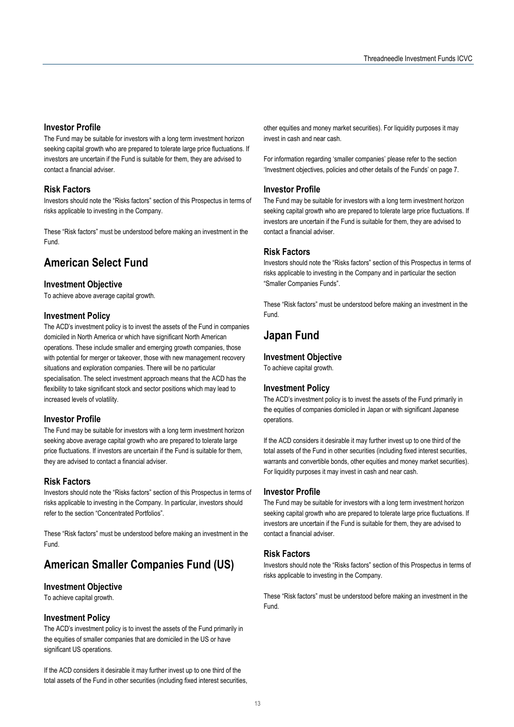#### **Investor Profile**

The Fund may be suitable for investors with a long term investment horizon seeking capital growth who are prepared to tolerate large price fluctuations. If investors are uncertain if the Fund is suitable for them, they are advised to contact a financial adviser.

#### **Risk Factors**

Investors should note the "Risks factors" section of this Prospectus in terms of risks applicable to investing in the Company.

These "Risk factors" must be understood before making an investment in the Fund.

# **American Select Fund**

#### **Investment Objective**

To achieve above average capital growth.

#### **Investment Policy**

The ACD's investment policy is to invest the assets of the Fund in companies domiciled in North America or which have significant North American operations. These include smaller and emerging growth companies, those with potential for merger or takeover, those with new management recovery situations and exploration companies. There will be no particular specialisation. The select investment approach means that the ACD has the flexibility to take significant stock and sector positions which may lead to increased levels of volatility.

#### **Investor Profile**

The Fund may be suitable for investors with a long term investment horizon seeking above average capital growth who are prepared to tolerate large price fluctuations. If investors are uncertain if the Fund is suitable for them, they are advised to contact a financial adviser.

#### **Risk Factors**

Investors should note the "Risks factors" section of this Prospectus in terms of risks applicable to investing in the Company. In particular, investors should refer to the section "Concentrated Portfolios".

These "Risk factors" must be understood before making an investment in the Fund.

# **American Smaller Companies Fund (US)**

#### **Investment Objective**

To achieve capital growth.

#### **Investment Policy**

The ACD's investment policy is to invest the assets of the Fund primarily in the equities of smaller companies that are domiciled in the US or have significant US operations.

If the ACD considers it desirable it may further invest up to one third of the total assets of the Fund in other securities (including fixed interest securities, other equities and money market securities). For liquidity purposes it may invest in cash and near cash.

For information regarding 'smaller companies' please refer to the section 'Investment objectives, policies and other details of the Funds' on page 7.

#### **Investor Profile**

The Fund may be suitable for investors with a long term investment horizon seeking capital growth who are prepared to tolerate large price fluctuations. If investors are uncertain if the Fund is suitable for them, they are advised to contact a financial adviser.

#### **Risk Factors**

Investors should note the "Risks factors" section of this Prospectus in terms of risks applicable to investing in the Company and in particular the section "Smaller Companies Funds".

These "Risk factors" must be understood before making an investment in the Fund.

### **Japan Fund**

#### **Investment Objective**

To achieve capital growth.

#### **Investment Policy**

The ACD's investment policy is to invest the assets of the Fund primarily in the equities of companies domiciled in Japan or with significant Japanese operations.

If the ACD considers it desirable it may further invest up to one third of the total assets of the Fund in other securities (including fixed interest securities, warrants and convertible bonds, other equities and money market securities). For liquidity purposes it may invest in cash and near cash.

#### **Investor Profile**

The Fund may be suitable for investors with a long term investment horizon seeking capital growth who are prepared to tolerate large price fluctuations. If investors are uncertain if the Fund is suitable for them, they are advised to contact a financial adviser.

#### **Risk Factors**

Investors should note the "Risks factors" section of this Prospectus in terms of risks applicable to investing in the Company.

These "Risk factors" must be understood before making an investment in the Fund.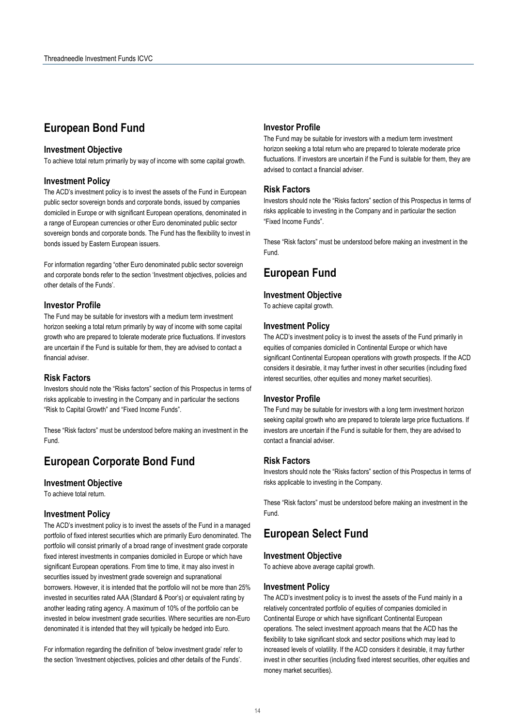# **European Bond Fund**

#### **Investment Objective**

To achieve total return primarily by way of income with some capital growth.

#### **Investment Policy**

The ACD's investment policy is to invest the assets of the Fund in European public sector sovereign bonds and corporate bonds, issued by companies domiciled in Europe or with significant European operations, denominated in a range of European currencies or other Euro denominated public sector sovereign bonds and corporate bonds. The Fund has the flexibility to invest in bonds issued by Eastern European issuers.

For information regarding "other Euro denominated public sector sovereign and corporate bonds refer to the section 'Investment objectives, policies and other details of the Funds'.

#### **Investor Profile**

The Fund may be suitable for investors with a medium term investment horizon seeking a total return primarily by way of income with some capital growth who are prepared to tolerate moderate price fluctuations. If investors are uncertain if the Fund is suitable for them, they are advised to contact a financial adviser.

#### **Risk Factors**

Investors should note the "Risks factors" section of this Prospectus in terms of risks applicable to investing in the Company and in particular the sections "Risk to Capital Growth" and "Fixed Income Funds".

These "Risk factors" must be understood before making an investment in the Fund.

# **European Corporate Bond Fund**

#### **Investment Objective**

To achieve total return.

#### **Investment Policy**

The ACD's investment policy is to invest the assets of the Fund in a managed portfolio of fixed interest securities which are primarily Euro denominated. The portfolio will consist primarily of a broad range of investment grade corporate fixed interest investments in companies domiciled in Europe or which have significant European operations. From time to time, it may also invest in securities issued by investment grade sovereign and supranational borrowers. However, it is intended that the portfolio will not be more than 25% invested in securities rated AAA (Standard & Poor's) or equivalent rating by another leading rating agency. A maximum of 10% of the portfolio can be invested in below investment grade securities. Where securities are non-Euro denominated it is intended that they will typically be hedged into Euro.

For information regarding the definition of 'below investment grade' refer to the section 'Investment objectives, policies and other details of the Funds'.

#### **Investor Profile**

The Fund may be suitable for investors with a medium term investment horizon seeking a total return who are prepared to tolerate moderate price fluctuations. If investors are uncertain if the Fund is suitable for them, they are advised to contact a financial adviser.

#### **Risk Factors**

Investors should note the "Risks factors" section of this Prospectus in terms of risks applicable to investing in the Company and in particular the section "Fixed Income Funds".

These "Risk factors" must be understood before making an investment in the Fund.

# **European Fund**

#### **Investment Objective**

To achieve capital growth.

#### **Investment Policy**

The ACD's investment policy is to invest the assets of the Fund primarily in equities of companies domiciled in Continental Europe or which have significant Continental European operations with growth prospects. If the ACD considers it desirable, it may further invest in other securities (including fixed interest securities, other equities and money market securities).

#### **Investor Profile**

The Fund may be suitable for investors with a long term investment horizon seeking capital growth who are prepared to tolerate large price fluctuations. If investors are uncertain if the Fund is suitable for them, they are advised to contact a financial adviser.

#### **Risk Factors**

Investors should note the "Risks factors" section of this Prospectus in terms of risks applicable to investing in the Company.

These "Risk factors" must be understood before making an investment in the Fund.

# **European Select Fund**

#### **Investment Objective**

To achieve above average capital growth.

#### **Investment Policy**

The ACD's investment policy is to invest the assets of the Fund mainly in a relatively concentrated portfolio of equities of companies domiciled in Continental Europe or which have significant Continental European operations. The select investment approach means that the ACD has the flexibility to take significant stock and sector positions which may lead to increased levels of volatility. If the ACD considers it desirable, it may further invest in other securities (including fixed interest securities, other equities and money market securities).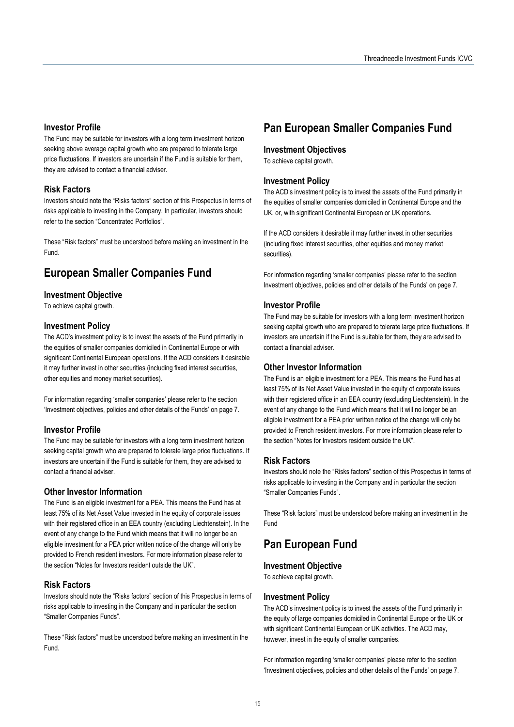#### **Investor Profile**

The Fund may be suitable for investors with a long term investment horizon seeking above average capital growth who are prepared to tolerate large price fluctuations. If investors are uncertain if the Fund is suitable for them, they are advised to contact a financial adviser.

#### **Risk Factors**

Investors should note the "Risks factors" section of this Prospectus in terms of risks applicable to investing in the Company. In particular, investors should refer to the section "Concentrated Portfolios".

These "Risk factors" must be understood before making an investment in the Fund.

# **European Smaller Companies Fund**

#### **Investment Objective**

To achieve capital growth.

#### **Investment Policy**

The ACD's investment policy is to invest the assets of the Fund primarily in the equities of smaller companies domiciled in Continental Europe or with significant Continental European operations. If the ACD considers it desirable it may further invest in other securities (including fixed interest securities, other equities and money market securities).

For information regarding 'smaller companies' please refer to the section 'Investment objectives, policies and other details of the Funds' on page 7.

#### **Investor Profile**

The Fund may be suitable for investors with a long term investment horizon seeking capital growth who are prepared to tolerate large price fluctuations. If investors are uncertain if the Fund is suitable for them, they are advised to contact a financial adviser.

#### **Other Investor Information**

The Fund is an eligible investment for a PEA. This means the Fund has at least 75% of its Net Asset Value invested in the equity of corporate issues with their registered office in an EEA country (excluding Liechtenstein). In the event of any change to the Fund which means that it will no longer be an eligible investment for a PEA prior written notice of the change will only be provided to French resident investors. For more information please refer to the section "Notes for Investors resident outside the UK".

#### **Risk Factors**

Investors should note the "Risks factors" section of this Prospectus in terms of risks applicable to investing in the Company and in particular the section "Smaller Companies Funds".

These "Risk factors" must be understood before making an investment in the Fund.

# **Pan European Smaller Companies Fund**

#### **Investment Objectives**

To achieve capital growth.

#### **Investment Policy**

The ACD's investment policy is to invest the assets of the Fund primarily in the equities of smaller companies domiciled in Continental Europe and the UK, or, with significant Continental European or UK operations.

If the ACD considers it desirable it may further invest in other securities (including fixed interest securities, other equities and money market securities).

For information regarding 'smaller companies' please refer to the section Investment objectives, policies and other details of the Funds' on page 7.

#### **Investor Profile**

The Fund may be suitable for investors with a long term investment horizon seeking capital growth who are prepared to tolerate large price fluctuations. If investors are uncertain if the Fund is suitable for them, they are advised to contact a financial adviser.

#### **Other Investor Information**

The Fund is an eligible investment for a PEA. This means the Fund has at least 75% of its Net Asset Value invested in the equity of corporate issues with their registered office in an EEA country (excluding Liechtenstein). In the event of any change to the Fund which means that it will no longer be an eligible investment for a PEA prior written notice of the change will only be provided to French resident investors. For more information please refer to the section "Notes for Investors resident outside the UK".

#### **Risk Factors**

Investors should note the "Risks factors" section of this Prospectus in terms of risks applicable to investing in the Company and in particular the section "Smaller Companies Funds".

These "Risk factors" must be understood before making an investment in the Fund

# **Pan European Fund**

#### **Investment Objective**

To achieve capital growth.

#### **Investment Policy**

The ACD's investment policy is to invest the assets of the Fund primarily in the equity of large companies domiciled in Continental Europe or the UK or with significant Continental European or UK activities. The ACD may, however, invest in the equity of smaller companies.

For information regarding 'smaller companies' please refer to the section 'Investment objectives, policies and other details of the Funds' on page 7.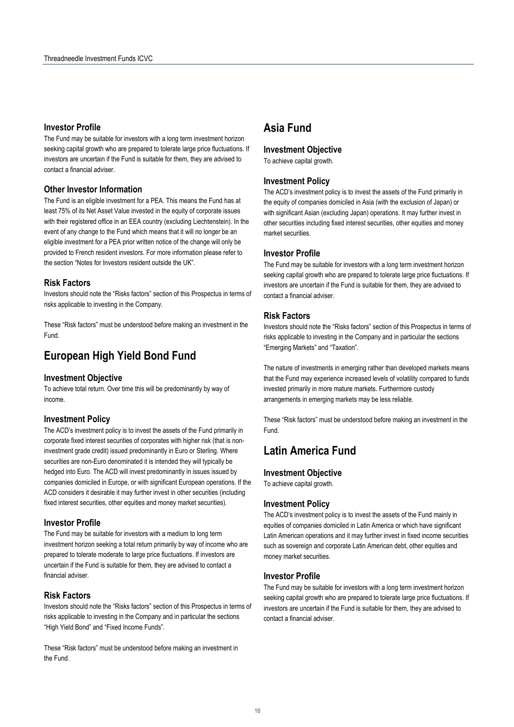#### **Investor Profile**

The Fund may be suitable for investors with a long term investment horizon seeking capital growth who are prepared to tolerate large price fluctuations. If investors are uncertain if the Fund is suitable for them, they are advised to contact a financial adviser.

#### **Other Investor Information**

The Fund is an eligible investment for a PEA. This means the Fund has at least 75% of its Net Asset Value invested in the equity of corporate issues with their registered office in an EEA country (excluding Liechtenstein). In the event of any change to the Fund which means that it will no longer be an eligible investment for a PEA prior written notice of the change will only be provided to French resident investors. For more information please refer to the section "Notes for Investors resident outside the UK".

#### **Risk Factors**

Investors should note the "Risks factors" section of this Prospectus in terms of risks applicable to investing in the Company.

These "Risk factors" must be understood before making an investment in the Fund.

# **European High Yield Bond Fund**

#### **Investment Objective**

To achieve total return. Over time this will be predominantly by way of income.

#### **Investment Policy**

The ACD's investment policy is to invest the assets of the Fund primarily in corporate fixed interest securities of corporates with higher risk (that is noninvestment grade credit) issued predominantly in Euro or Sterling. Where securities are non-Euro denominated it is intended they will typically be hedged into Euro. The ACD will invest predominantly in issues issued by companies domiciled in Europe, or with significant European operations. If the ACD considers it desirable it may further invest in other securities (including fixed interest securities, other equities and money market securities).

#### **Investor Profile**

The Fund may be suitable for investors with a medium to long term investment horizon seeking a total return primarily by way of income who are prepared to tolerate moderate to large price fluctuations. If investors are uncertain if the Fund is suitable for them, they are advised to contact a financial adviser.

#### **Risk Factors**

Investors should note the "Risks factors" section of this Prospectus in terms of risks applicable to investing in the Company and in particular the sections "High Yield Bond" and "Fixed Income Funds".

These "Risk factors" must be understood before making an investment in the Fund.

# **Asia Fund**

#### **Investment Objective**

To achieve capital growth.

#### **Investment Policy**

The ACD's investment policy is to invest the assets of the Fund primarily in the equity of companies domiciled in Asia (with the exclusion of Japan) or with significant Asian (excluding Japan) operations. It may further invest in other securities including fixed interest securities, other equities and money market securities.

#### **Investor Profile**

The Fund may be suitable for investors with a long term investment horizon seeking capital growth who are prepared to tolerate large price fluctuations. If investors are uncertain if the Fund is suitable for them, they are advised to contact a financial adviser.

#### **Risk Factors**

Investors should note the "Risks factors" section of this Prospectus in terms of risks applicable to investing in the Company and in particular the sections "Emerging Markets" and "Taxation".

The nature of investments in emerging rather than developed markets means that the Fund may experience increased levels of volatility compared to funds invested primarily in more mature markets. Furthermore custody arrangements in emerging markets may be less reliable.

These "Risk factors" must be understood before making an investment in the Fund.

# **Latin America Fund**

#### **Investment Objective**

To achieve capital growth.

#### **Investment Policy**

The ACD's investment policy is to invest the assets of the Fund mainly in equities of companies domiciled in Latin America or which have significant Latin American operations and it may further invest in fixed income securities such as sovereign and corporate Latin American debt, other equities and money market securities.

#### **Investor Profile**

The Fund may be suitable for investors with a long term investment horizon seeking capital growth who are prepared to tolerate large price fluctuations. If investors are uncertain if the Fund is suitable for them, they are advised to contact a financial adviser.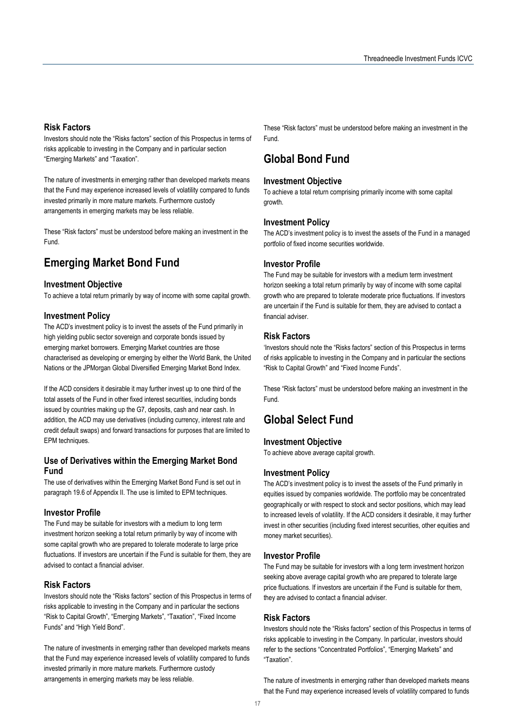#### **Risk Factors**

Investors should note the "Risks factors" section of this Prospectus in terms of risks applicable to investing in the Company and in particular section "Emerging Markets" and "Taxation".

The nature of investments in emerging rather than developed markets means that the Fund may experience increased levels of volatility compared to funds invested primarily in more mature markets. Furthermore custody arrangements in emerging markets may be less reliable.

These "Risk factors" must be understood before making an investment in the Fund.

# **Emerging Market Bond Fund**

#### **Investment Objective**

To achieve a total return primarily by way of income with some capital growth.

#### **Investment Policy**

The ACD's investment policy is to invest the assets of the Fund primarily in high vielding public sector sovereign and corporate bonds issued by emerging market borrowers. Emerging Market countries are those characterised as developing or emerging by either the World Bank, the United Nations or the JPMorgan Global Diversified Emerging Market Bond Index.

If the ACD considers it desirable it may further invest up to one third of the total assets of the Fund in other fixed interest securities, including bonds issued by countries making up the G7, deposits, cash and near cash. In addition, the ACD may use derivatives (including currency, interest rate and credit default swaps) and forward transactions for purposes that are limited to EPM techniques.

#### **Use of Derivatives within the Emerging Market Bond Fund**

The use of derivatives within the Emerging Market Bond Fund is set out in paragraph 19.6 of Appendix II. The use is limited to EPM techniques.

#### **Investor Profile**

The Fund may be suitable for investors with a medium to long term investment horizon seeking a total return primarily by way of income with some capital growth who are prepared to tolerate moderate to large price fluctuations. If investors are uncertain if the Fund is suitable for them, they are advised to contact a financial adviser.

#### **Risk Factors**

Investors should note the "Risks factors" section of this Prospectus in terms of risks applicable to investing in the Company and in particular the sections "Risk to Capital Growth", "Emerging Markets", "Taxation", "Fixed Income Funds" and "High Yield Bond".

The nature of investments in emerging rather than developed markets means that the Fund may experience increased levels of volatility compared to funds invested primarily in more mature markets. Furthermore custody arrangements in emerging markets may be less reliable.

These "Risk factors" must be understood before making an investment in the Fund.

# **Global Bond Fund**

#### **Investment Objective**

To achieve a total return comprising primarily income with some capital growth.

#### **Investment Policy**

The ACD's investment policy is to invest the assets of the Fund in a managed portfolio of fixed income securities worldwide.

#### **Investor Profile**

The Fund may be suitable for investors with a medium term investment horizon seeking a total return primarily by way of income with some capital growth who are prepared to tolerate moderate price fluctuations. If investors are uncertain if the Fund is suitable for them, they are advised to contact a financial adviser.

#### **Risk Factors**

'Investors should note the "Risks factors" section of this Prospectus in terms of risks applicable to investing in the Company and in particular the sections "Risk to Capital Growth" and "Fixed Income Funds".

These "Risk factors" must be understood before making an investment in the Fund.

# **Global Select Fund**

#### **Investment Objective**

To achieve above average capital growth.

#### **Investment Policy**

The ACD's investment policy is to invest the assets of the Fund primarily in equities issued by companies worldwide. The portfolio may be concentrated geographically or with respect to stock and sector positions, which may lead to increased levels of volatility. If the ACD considers it desirable, it may further invest in other securities (including fixed interest securities, other equities and money market securities).

#### **Investor Profile**

The Fund may be suitable for investors with a long term investment horizon seeking above average capital growth who are prepared to tolerate large price fluctuations. If investors are uncertain if the Fund is suitable for them, they are advised to contact a financial adviser.

#### **Risk Factors**

Investors should note the "Risks factors" section of this Prospectus in terms of risks applicable to investing in the Company. In particular, investors should refer to the sections "Concentrated Portfolios", "Emerging Markets" and "Taxation".

The nature of investments in emerging rather than developed markets means that the Fund may experience increased levels of volatility compared to funds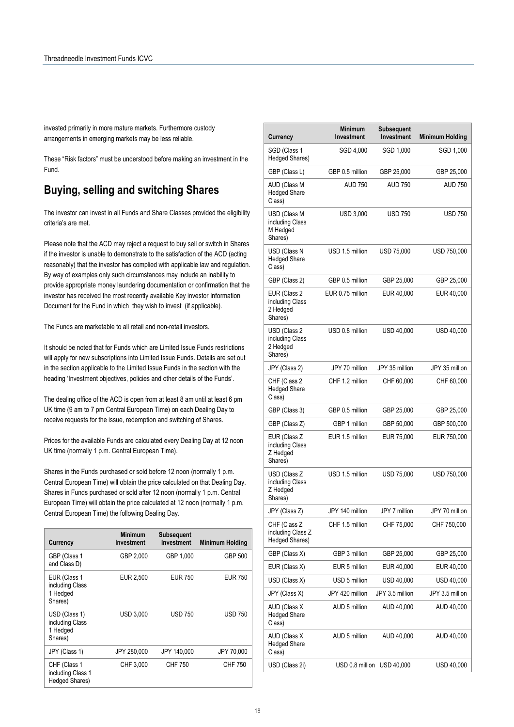invested primarily in more mature markets. Furthermore custody arrangements in emerging markets may be less reliable.

These "Risk factors" must be understood before making an investment in the Fund.

# **Buying, selling and switching Shares**

The investor can invest in all Funds and Share Classes provided the eligibility criteria's are met.

Please note that the ACD may reject a request to buy sell or switch in Shares if the investor is unable to demonstrate to the satisfaction of the ACD (acting reasonably) that the investor has complied with applicable law and regulation. By way of examples only such circumstances may include an inability to provide appropriate money laundering documentation or confirmation that the investor has received the most recently available Key investor Information Document for the Fund in which they wish to invest (if applicable).

The Funds are marketable to all retail and non-retail investors.

It should be noted that for Funds which are Limited Issue Funds restrictions will apply for new subscriptions into Limited Issue Funds. Details are set out in the section applicable to the Limited Issue Funds in the section with the heading 'Investment objectives, policies and other details of the Funds'.

The dealing office of the ACD is open from at least 8 am until at least 6 pm UK time (9 am to 7 pm Central European Time) on each Dealing Day to receive requests for the issue, redemption and switching of Shares.

Prices for the available Funds are calculated every Dealing Day at 12 noon UK time (normally 1 p.m. Central European Time).

Shares in the Funds purchased or sold before 12 noon (normally 1 p.m. Central European Time) will obtain the price calculated on that Dealing Day. Shares in Funds purchased or sold after 12 noon (normally 1 p.m. Central European Time) will obtain the price calculated at 12 noon (normally 1 p.m. Central European Time) the following Dealing Day.

| Currency                                                   | <b>Minimum</b><br>Investment | <b>Subsequent</b><br>Investment | <b>Minimum Holding</b> |
|------------------------------------------------------------|------------------------------|---------------------------------|------------------------|
| GBP (Class 1<br>and Class D)                               | GBP 2.000                    | GBP 1.000                       | GBP 500                |
| EUR (Class 1<br>including Class<br>1 Hedged<br>Shares)     | EUR 2.500                    | <b>EUR 750</b>                  | <b>EUR 750</b>         |
| USD (Class 1)<br>including Class<br>1 Hedged<br>Shares)    | <b>USD 3.000</b>             | <b>USD 750</b>                  | <b>USD 750</b>         |
| JPY (Class 1)                                              | JPY 280,000                  | JPY 140,000                     | JPY 70,000             |
| CHF (Class 1<br>including Class 1<br><b>Hedged Shares)</b> | CHF 3.000                    | <b>CHF 750</b>                  | <b>CHF 750</b>         |

| Currency                                               | <b>Minimum</b><br><b>Investment</b> | Subsequent<br>Investment | <b>Minimum Holding</b> |
|--------------------------------------------------------|-------------------------------------|--------------------------|------------------------|
| SGD (Class 1<br><b>Hedged Shares)</b>                  | SGD 4,000                           | SGD 1,000                | SGD 1,000              |
| GBP (Class L)                                          | GBP 0.5 million                     | GBP 25,000               | GBP 25,000             |
| AUD (Class M<br><b>Hedged Share</b><br>Class)          | <b>AUD 750</b>                      | <b>AUD 750</b>           | <b>AUD 750</b>         |
| USD (Class M<br>including Class<br>M Hedged<br>Shares) | <b>USD 3,000</b>                    | <b>USD 750</b>           | <b>USD 750</b>         |
| USD (Class N<br><b>Hedged Share</b><br>Class)          | USD 1.5 million                     | USD 75,000               | USD 750,000            |
| GBP (Class 2)                                          | GBP 0.5 million                     | GBP 25,000               | GBP 25,000             |
| EUR (Class 2<br>including Class<br>2 Hedged<br>Shares) | EUR 0.75 million                    | EUR 40,000               | EUR 40,000             |
| USD (Class 2<br>including Class<br>2 Hedged<br>Shares) | USD 0.8 million                     | USD 40,000               | USD 40,000             |
| JPY (Class 2)                                          | JPY 70 million                      | JPY 35 million           | JPY 35 million         |
| CHF (Class 2<br><b>Hedged Share</b><br>Class)          | CHF 1.2 million                     | CHF 60,000               | CHF 60,000             |
| GBP (Class 3)                                          | GBP 0.5 million                     | GBP 25,000               | GBP 25,000             |
| GBP (Class Z)                                          | GBP 1 million                       | GBP 50,000               | GBP 500,000            |
| EUR (Class Z<br>including Class<br>Z Hedged<br>Shares) | EUR 1.5 million                     | EUR 75,000               | EUR 750,000            |
| USD (Class Z<br>including Class<br>Z Hedged<br>Shares) | USD 1.5 million                     | USD 75,000               | USD 750,000            |
| JPY (Class Z)                                          | JPY 140 million                     | JPY 7 million            | JPY 70 million         |
| CHF (Class Z<br>including Class Z<br>Hedged Shares)    | CHF 1.5 million                     | CHF 75,000               | CHF 750,000            |
| GBP (Class X)                                          | GBP 3 million                       | GBP 25,000               | GBP 25,000             |
| EUR (Class X)                                          | EUR 5 million                       | EUR 40,000               | EUR 40,000             |
| USD (Class X)                                          | USD 5 million                       | USD 40,000               | USD 40,000             |
| JPY (Class X)                                          | JPY 420 million                     | JPY 3.5 million          | JPY 3.5 million        |
| AUD (Class X<br><b>Hedged Share</b><br>Class)          | AUD 5 million                       | AUD 40,000               | AUD 40,000             |
| AUD (Class X<br><b>Hedged Share</b><br>Class)          | AUD 5 million                       | AUD 40,000               | AUD 40,000             |
| USD (Class 2i)                                         | USD 0.8 million                     | USD 40,000               | USD 40,000             |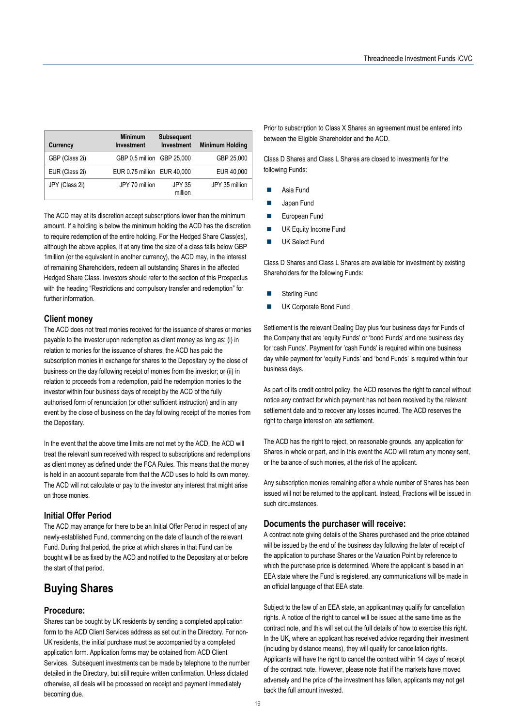| Currency       | <b>Minimum</b><br>Investment | <b>Subsequent</b><br>Investment | <b>Minimum Holding</b> |
|----------------|------------------------------|---------------------------------|------------------------|
| GBP (Class 2i) | GBP 0.5 million GBP 25,000   |                                 | GBP 25,000             |
| EUR (Class 2i) | EUR 0.75 million EUR 40,000  |                                 | EUR 40,000             |
| JPY (Class 2i) | JPY 70 million               | <b>JPY 35</b><br>million        | JPY 35 million         |

The ACD may at its discretion accept subscriptions lower than the minimum amount. If a holding is below the minimum holding the ACD has the discretion to require redemption of the entire holding. For the Hedged Share Class(es), although the above applies, if at any time the size of a class falls below GBP 1million (or the equivalent in another currency), the ACD may, in the interest of remaining Shareholders, redeem all outstanding Shares in the affected Hedged Share Class. Investors should refer to the section of this Prospectus with the heading "Restrictions and compulsory transfer and redemption" for further information.

#### **Client money**

The ACD does not treat monies received for the issuance of shares or monies payable to the investor upon redemption as client money as long as: (i) in relation to monies for the issuance of shares, the ACD has paid the subscription monies in exchange for shares to the Depositary by the close of business on the day following receipt of monies from the investor; or (ii) in relation to proceeds from a redemption, paid the redemption monies to the investor within four business days of receipt by the ACD of the fully authorised form of renunciation (or other sufficient instruction) and in any event by the close of business on the day following receipt of the monies from the Depositary.

In the event that the above time limits are not met by the ACD, the ACD will treat the relevant sum received with respect to subscriptions and redemptions as client money as defined under the FCA Rules. This means that the money is held in an account separate from that the ACD uses to hold its own money. The ACD will not calculate or pay to the investor any interest that might arise on those monies.

#### **Initial Offer Period**

The ACD may arrange for there to be an Initial Offer Period in respect of any newly-established Fund, commencing on the date of launch of the relevant Fund. During that period, the price at which shares in that Fund can be bought will be as fixed by the ACD and notified to the Depositary at or before the start of that period.

# **Buying Shares**

#### **Procedure:**

Shares can be bought by UK residents by sending a completed application form to the ACD Client Services address as set out in the Directory. For non-UK residents, the initial purchase must be accompanied by a completed application form. Application forms may be obtained from ACD Client Services. Subsequent investments can be made by telephone to the number detailed in the Directory, but still require written confirmation. Unless dictated otherwise, all deals will be processed on receipt and payment immediately becoming due.

Prior to subscription to Class X Shares an agreement must be entered into between the Eligible Shareholder and the ACD.

Class D Shares and Class L Shares are closed to investments for the following Funds:

- **Asia Fund**
- **Japan Fund**
- European Fund
- UK Equity Income Fund
- UK Select Fund

Class D Shares and Class L Shares are available for investment by existing Shareholders for the following Funds:

- Sterling Fund
- **UK Corporate Bond Fund**

Settlement is the relevant Dealing Day plus four business days for Funds of the Company that are 'equity Funds' or 'bond Funds' and one business day for 'cash Funds'. Payment for 'cash Funds' is required within one business day while payment for 'equity Funds' and 'bond Funds' is required within four business days.

As part of its credit control policy, the ACD reserves the right to cancel without notice any contract for which payment has not been received by the relevant settlement date and to recover any losses incurred. The ACD reserves the right to charge interest on late settlement.

The ACD has the right to reject, on reasonable grounds, any application for Shares in whole or part, and in this event the ACD will return any money sent, or the balance of such monies, at the risk of the applicant.

Any subscription monies remaining after a whole number of Shares has been issued will not be returned to the applicant. Instead, Fractions will be issued in such circumstances.

#### **Documents the purchaser will receive:**

A contract note giving details of the Shares purchased and the price obtained will be issued by the end of the business day following the later of receipt of the application to purchase Shares or the Valuation Point by reference to which the purchase price is determined. Where the applicant is based in an EEA state where the Fund is registered, any communications will be made in an official language of that EEA state.

Subject to the law of an EEA state, an applicant may qualify for cancellation rights. A notice of the right to cancel will be issued at the same time as the contract note, and this will set out the full details of how to exercise this right. In the UK, where an applicant has received advice regarding their investment (including by distance means), they will qualify for cancellation rights. Applicants will have the right to cancel the contract within 14 days of receipt of the contract note. However, please note that if the markets have moved adversely and the price of the investment has fallen, applicants may not get back the full amount invested.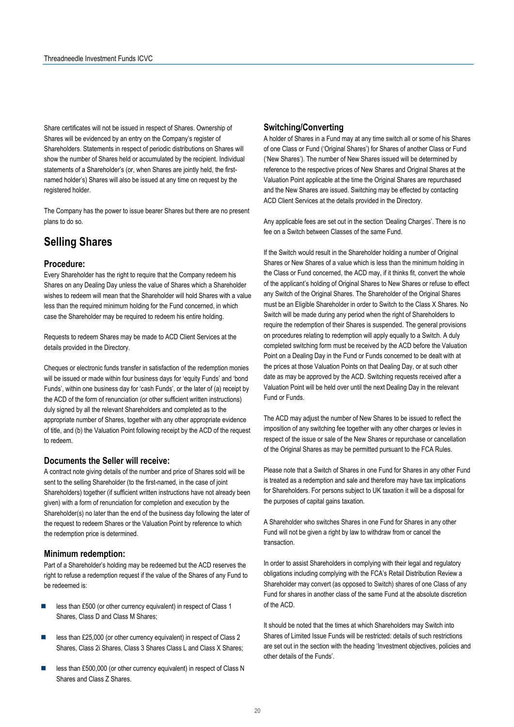Share certificates will not be issued in respect of Shares. Ownership of Shares will be evidenced by an entry on the Company's register of Shareholders. Statements in respect of periodic distributions on Shares will show the number of Shares held or accumulated by the recipient. Individual statements of a Shareholder's (or, when Shares are jointly held, the firstnamed holder's) Shares will also be issued at any time on request by the registered holder.

The Company has the power to issue bearer Shares but there are no present plans to do so.

# **Selling Shares**

#### **Procedure:**

Every Shareholder has the right to require that the Company redeem his Shares on any Dealing Day unless the value of Shares which a Shareholder wishes to redeem will mean that the Shareholder will hold Shares with a value less than the required minimum holding for the Fund concerned, in which case the Shareholder may be required to redeem his entire holding.

Requests to redeem Shares may be made to ACD Client Services at the details provided in the Directory.

Cheques or electronic funds transfer in satisfaction of the redemption monies will be issued or made within four business days for 'equity Funds' and 'bond Funds', within one business day for 'cash Funds', or the later of (a) receipt by the ACD of the form of renunciation (or other sufficient written instructions) duly signed by all the relevant Shareholders and completed as to the appropriate number of Shares, together with any other appropriate evidence of title, and (b) the Valuation Point following receipt by the ACD of the request to redeem.

#### **Documents the Seller will receive:**

A contract note giving details of the number and price of Shares sold will be sent to the selling Shareholder (to the first-named, in the case of joint Shareholders) together (if sufficient written instructions have not already been given) with a form of renunciation for completion and execution by the Shareholder(s) no later than the end of the business day following the later of the request to redeem Shares or the Valuation Point by reference to which the redemption price is determined.

#### **Minimum redemption:**

Part of a Shareholder's holding may be redeemed but the ACD reserves the right to refuse a redemption request if the value of the Shares of any Fund to be redeemed is:

- less than £500 (or other currency equivalent) in respect of Class 1 Shares, Class D and Class M Shares;
- less than £25,000 (or other currency equivalent) in respect of Class 2 Shares, Class 2i Shares, Class 3 Shares Class L and Class X Shares;
- less than £500,000 (or other currency equivalent) in respect of Class N Shares and Class Z Shares.

#### **Switching/Converting**

A holder of Shares in a Fund may at any time switch all or some of his Shares of one Class or Fund ('Original Shares') for Shares of another Class or Fund ('New Shares'). The number of New Shares issued will be determined by reference to the respective prices of New Shares and Original Shares at the Valuation Point applicable at the time the Original Shares are repurchased and the New Shares are issued. Switching may be effected by contacting ACD Client Services at the details provided in the Directory.

Any applicable fees are set out in the section 'Dealing Charges'. There is no fee on a Switch between Classes of the same Fund.

If the Switch would result in the Shareholder holding a number of Original Shares or New Shares of a value which is less than the minimum holding in the Class or Fund concerned, the ACD may, if it thinks fit, convert the whole of the applicant's holding of Original Shares to New Shares or refuse to effect any Switch of the Original Shares. The Shareholder of the Original Shares must be an Eligible Shareholder in order to Switch to the Class X Shares. No Switch will be made during any period when the right of Shareholders to require the redemption of their Shares is suspended. The general provisions on procedures relating to redemption will apply equally to a Switch. A duly completed switching form must be received by the ACD before the Valuation Point on a Dealing Day in the Fund or Funds concerned to be dealt with at the prices at those Valuation Points on that Dealing Day, or at such other date as may be approved by the ACD. Switching requests received after a Valuation Point will be held over until the next Dealing Day in the relevant Fund or Funds.

The ACD may adjust the number of New Shares to be issued to reflect the imposition of any switching fee together with any other charges or levies in respect of the issue or sale of the New Shares or repurchase or cancellation of the Original Shares as may be permitted pursuant to the FCA Rules.

Please note that a Switch of Shares in one Fund for Shares in any other Fund is treated as a redemption and sale and therefore may have tax implications for Shareholders. For persons subject to UK taxation it will be a disposal for the purposes of capital gains taxation.

A Shareholder who switches Shares in one Fund for Shares in any other Fund will not be given a right by law to withdraw from or cancel the transaction.

In order to assist Shareholders in complying with their legal and regulatory obligations including complying with the FCA's Retail Distribution Review a Shareholder may convert (as opposed to Switch) shares of one Class of any Fund for shares in another class of the same Fund at the absolute discretion of the ACD.

It should be noted that the times at which Shareholders may Switch into Shares of Limited Issue Funds will be restricted: details of such restrictions are set out in the section with the heading 'Investment objectives, policies and other details of the Funds'.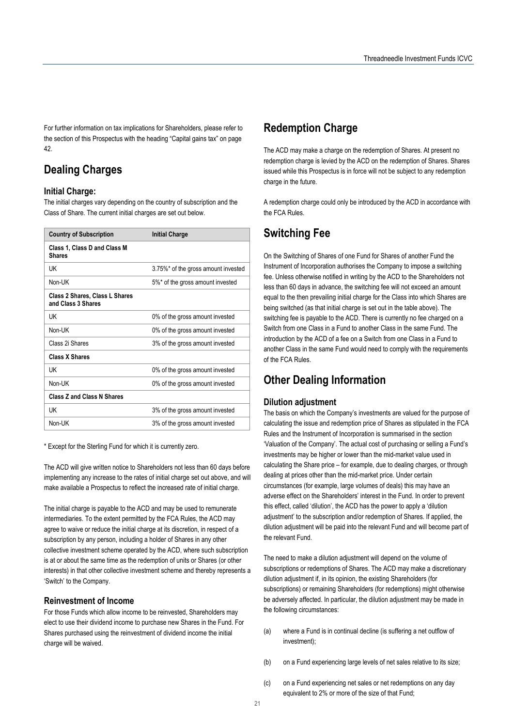For further information on tax implications for Shareholders, please refer to the section of this Prospectus with the heading "Capital gains tax" on page 42.

# **Dealing Charges**

#### **Initial Charge:**

The initial charges vary depending on the country of subscription and the Class of Share. The current initial charges are set out below.

| <b>Country of Subscription</b>                       | <b>Initial Charge</b>               |
|------------------------------------------------------|-------------------------------------|
| Class 1, Class D and Class M<br><b>Shares</b>        |                                     |
| UΚ                                                   | 3.75%* of the gross amount invested |
| Non-UK                                               | 5%* of the gross amount invested    |
| Class 2 Shares, Class L Shares<br>and Class 3 Shares |                                     |
| UΚ                                                   | 0% of the gross amount invested     |
| Non-UK                                               | 0% of the gross amount invested     |
| Class 2i Shares                                      | 3% of the gross amount invested     |
| <b>Class X Shares</b>                                |                                     |
| UΚ                                                   | 0% of the gross amount invested     |
| Non-UK                                               | 0% of the gross amount invested     |
| <b>Class Z and Class N Shares</b>                    |                                     |
| UΚ                                                   | 3% of the gross amount invested     |
| Non-UK                                               | 3% of the gross amount invested     |

\* Except for the Sterling Fund for which it is currently zero.

The ACD will give written notice to Shareholders not less than 60 days before implementing any increase to the rates of initial charge set out above, and will make available a Prospectus to reflect the increased rate of initial charge.

The initial charge is payable to the ACD and may be used to remunerate intermediaries. To the extent permitted by the FCA Rules, the ACD may agree to waive or reduce the initial charge at its discretion, in respect of a subscription by any person, including a holder of Shares in any other collective investment scheme operated by the ACD, where such subscription is at or about the same time as the redemption of units or Shares (or other interests) in that other collective investment scheme and thereby represents a 'Switch' to the Company.

#### **Reinvestment of Income**

For those Funds which allow income to be reinvested, Shareholders may elect to use their dividend income to purchase new Shares in the Fund. For Shares purchased using the reinvestment of dividend income the initial charge will be waived.

# **Redemption Charge**

The ACD may make a charge on the redemption of Shares. At present no redemption charge is levied by the ACD on the redemption of Shares. Shares issued while this Prospectus is in force will not be subject to any redemption charge in the future.

A redemption charge could only be introduced by the ACD in accordance with the FCA Rules.

# **Switching Fee**

On the Switching of Shares of one Fund for Shares of another Fund the Instrument of Incorporation authorises the Company to impose a switching fee. Unless otherwise notified in writing by the ACD to the Shareholders not less than 60 days in advance, the switching fee will not exceed an amount equal to the then prevailing initial charge for the Class into which Shares are being switched (as that initial charge is set out in the table above). The switching fee is payable to the ACD. There is currently no fee charged on a Switch from one Class in a Fund to another Class in the same Fund. The introduction by the ACD of a fee on a Switch from one Class in a Fund to another Class in the same Fund would need to comply with the requirements of the FCA Rules.

# **Other Dealing Information**

#### **Dilution adjustment**

The basis on which the Company's investments are valued for the purpose of calculating the issue and redemption price of Shares as stipulated in the FCA Rules and the Instrument of Incorporation is summarised in the section 'Valuation of the Company'. The actual cost of purchasing or selling a Fund's investments may be higher or lower than the mid-market value used in calculating the Share price – for example, due to dealing charges, or through dealing at prices other than the mid-market price. Under certain circumstances (for example, large volumes of deals) this may have an adverse effect on the Shareholders' interest in the Fund. In order to prevent this effect, called 'dilution', the ACD has the power to apply a 'dilution adjustment' to the subscription and/or redemption of Shares. If applied, the dilution adjustment will be paid into the relevant Fund and will become part of the relevant Fund.

The need to make a dilution adjustment will depend on the volume of subscriptions or redemptions of Shares. The ACD may make a discretionary dilution adjustment if, in its opinion, the existing Shareholders (for subscriptions) or remaining Shareholders (for redemptions) might otherwise be adversely affected. In particular, the dilution adjustment may be made in the following circumstances:

- (a) where a Fund is in continual decline (is suffering a net outflow of investment);
- (b) on a Fund experiencing large levels of net sales relative to its size;
- (c) on a Fund experiencing net sales or net redemptions on any day equivalent to 2% or more of the size of that Fund;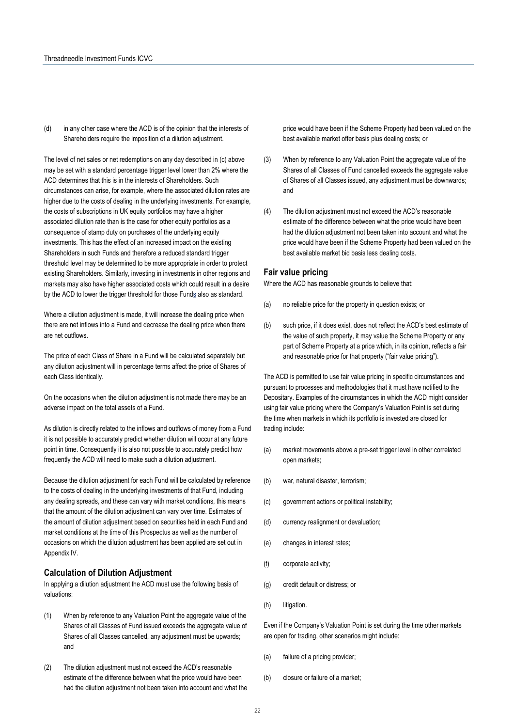(d) in any other case where the ACD is of the opinion that the interests of Shareholders require the imposition of a dilution adjustment.

The level of net sales or net redemptions on any day described in (c) above may be set with a standard percentage trigger level lower than 2% where the ACD determines that this is in the interests of Shareholders. Such circumstances can arise, for example, where the associated dilution rates are higher due to the costs of dealing in the underlying investments. For example, the costs of subscriptions in UK equity portfolios may have a higher associated dilution rate than is the case for other equity portfolios as a consequence of stamp duty on purchases of the underlying equity investments. This has the effect of an increased impact on the existing Shareholders in such Funds and therefore a reduced standard trigger threshold level may be determined to be more appropriate in order to protect existing Shareholders. Similarly, investing in investments in other regions and markets may also have higher associated costs which could result in a desire by the ACD to lower the trigger threshold for those Funds also as standard.

Where a dilution adjustment is made, it will increase the dealing price when there are net inflows into a Fund and decrease the dealing price when there are net outflows.

The price of each Class of Share in a Fund will be calculated separately but any dilution adjustment will in percentage terms affect the price of Shares of each Class identically.

On the occasions when the dilution adjustment is not made there may be an adverse impact on the total assets of a Fund.

As dilution is directly related to the inflows and outflows of money from a Fund it is not possible to accurately predict whether dilution will occur at any future point in time. Consequently it is also not possible to accurately predict how frequently the ACD will need to make such a dilution adjustment.

Because the dilution adjustment for each Fund will be calculated by reference to the costs of dealing in the underlying investments of that Fund, including any dealing spreads, and these can vary with market conditions, this means that the amount of the dilution adjustment can vary over time. Estimates of the amount of dilution adjustment based on securities held in each Fund and market conditions at the time of this Prospectus as well as the number of occasions on which the dilution adjustment has been applied are set out in Appendix IV.

#### **Calculation of Dilution Adjustment**

In applying a dilution adjustment the ACD must use the following basis of valuations:

- (1) When by reference to any Valuation Point the aggregate value of the Shares of all Classes of Fund issued exceeds the aggregate value of Shares of all Classes cancelled, any adjustment must be upwards; and
- (2) The dilution adjustment must not exceed the ACD's reasonable estimate of the difference between what the price would have been had the dilution adjustment not been taken into account and what the

price would have been if the Scheme Property had been valued on the best available market offer basis plus dealing costs; or

- (3) When by reference to any Valuation Point the aggregate value of the Shares of all Classes of Fund cancelled exceeds the aggregate value of Shares of all Classes issued, any adjustment must be downwards; and
- (4) The dilution adjustment must not exceed the ACD's reasonable estimate of the difference between what the price would have been had the dilution adjustment not been taken into account and what the price would have been if the Scheme Property had been valued on the best available market bid basis less dealing costs.

#### **Fair value pricing**

Where the ACD has reasonable grounds to believe that:

- (a) no reliable price for the property in question exists; or
- (b) such price, if it does exist, does not reflect the ACD's best estimate of the value of such property, it may value the Scheme Property or any part of Scheme Property at a price which, in its opinion, reflects a fair and reasonable price for that property ("fair value pricing").

The ACD is permitted to use fair value pricing in specific circumstances and pursuant to processes and methodologies that it must have notified to the Depositary. Examples of the circumstances in which the ACD might consider using fair value pricing where the Company's Valuation Point is set during the time when markets in which its portfolio is invested are closed for trading include:

- (a) market movements above a pre-set trigger level in other correlated open markets;
- (b) war, natural disaster, terrorism;
- (c) government actions or political instability;
- (d) currency realignment or devaluation;
- (e) changes in interest rates;
- (f) corporate activity;
- (g) credit default or distress; or
- (h) litigation.

Even if the Company's Valuation Point is set during the time other markets are open for trading, other scenarios might include:

- (a) failure of a pricing provider;
- (b) closure or failure of a market;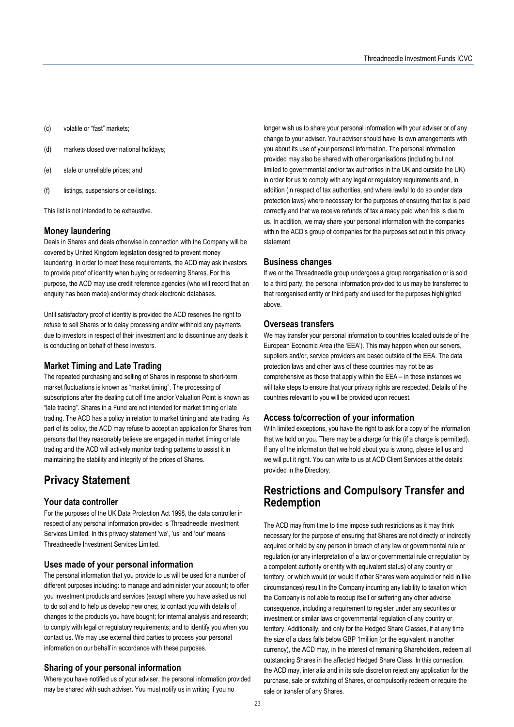- (c) volatile or "fast" markets;
- (d) markets closed over national holidays;
- (e) stale or unreliable prices; and
- (f) listings, suspensions or de-listings.

This list is not intended to be exhaustive.

#### **Money laundering**

Deals in Shares and deals otherwise in connection with the Company will be covered by United Kingdom legislation designed to prevent money laundering. In order to meet these requirements, the ACD may ask investors to provide proof of identity when buying or redeeming Shares. For this purpose, the ACD may use credit reference agencies (who will record that an enquiry has been made) and/or may check electronic databases.

Until satisfactory proof of identity is provided the ACD reserves the right to refuse to sell Shares or to delay processing and/or withhold any payments due to investors in respect of their investment and to discontinue any deals it is conducting on behalf of these investors.

#### **Market Timing and Late Trading**

The repeated purchasing and selling of Shares in response to short-term market fluctuations is known as "market timing". The processing of subscriptions after the dealing cut off time and/or Valuation Point is known as "late trading". Shares in a Fund are not intended for market timing or late trading. The ACD has a policy in relation to market timing and late trading. As part of its policy, the ACD may refuse to accept an application for Shares from persons that they reasonably believe are engaged in market timing or late trading and the ACD will actively monitor trading patterns to assist it in maintaining the stability and integrity of the prices of Shares.

### **Privacy Statement**

#### **Your data controller**

For the purposes of the UK Data Protection Act 1998, the data controller in respect of any personal information provided is Threadneedle Investment Services Limited. In this privacy statement 'we', 'us' and 'our' means Threadneedle Investment Services Limited.

#### **Uses made of your personal information**

The personal information that you provide to us will be used for a number of different purposes including: to manage and administer your account; to offer you investment products and services (except where you have asked us not to do so) and to help us develop new ones; to contact you with details of changes to the products you have bought; for internal analysis and research; to comply with legal or regulatory requirements; and to identify you when you contact us. We may use external third parties to process your personal information on our behalf in accordance with these purposes.

#### **Sharing of your personal information**

Where you have notified us of your adviser, the personal information provided may be shared with such adviser. You must notify us in writing if you no

longer wish us to share your personal information with your adviser or of any change to your adviser. Your adviser should have its own arrangements with you about its use of your personal information. The personal information provided may also be shared with other organisations (including but not limited to governmental and/or tax authorities in the UK and outside the UK) in order for us to comply with any legal or regulatory requirements and, in addition (in respect of tax authorities, and where lawful to do so under data protection laws) where necessary for the purposes of ensuring that tax is paid correctly and that we receive refunds of tax already paid when this is due to us. In addition, we may share your personal information with the companies within the ACD's group of companies for the purposes set out in this privacy statement.

#### **Business changes**

If we or the Threadneedle group undergoes a group reorganisation or is sold to a third party, the personal information provided to us may be transferred to that reorganised entity or third party and used for the purposes highlighted above.

#### **Overseas transfers**

We may transfer your personal information to countries located outside of the European Economic Area (the 'EEA'). This may happen when our servers, suppliers and/or, service providers are based outside of the EEA. The data protection laws and other laws of these countries may not be as comprehensive as those that apply within the EEA – in these instances we will take steps to ensure that your privacy rights are respected. Details of the countries relevant to you will be provided upon request.

#### **Access to/correction of your information**

With limited exceptions, you have the right to ask for a copy of the information that we hold on you. There may be a charge for this (if a charge is permitted). If any of the information that we hold about you is wrong, please tell us and we will put it right. You can write to us at ACD Client Services at the details provided in the Directory.

### **Restrictions and Compulsory Transfer and Redemption**

The ACD may from time to time impose such restrictions as it may think necessary for the purpose of ensuring that Shares are not directly or indirectly acquired or held by any person in breach of any law or governmental rule or regulation (or any interpretation of a law or governmental rule or regulation by a competent authority or entity with equivalent status) of any country or territory, or which would (or would if other Shares were acquired or held in like circumstances) result in the Company incurring any liability to taxation which the Company is not able to recoup itself or suffering any other adverse consequence, including a requirement to register under any securities or investment or similar laws or governmental regulation of any country or territory. Additionally, and only for the Hedged Share Classes, if at any time the size of a class falls below GBP 1million (or the equivalent in another currency), the ACD may, in the interest of remaining Shareholders, redeem all outstanding Shares in the affected Hedged Share Class. In this connection, the ACD may, inter alia and in its sole discretion reject any application for the purchase, sale or switching of Shares, or compulsorily redeem or require the sale or transfer of any Shares.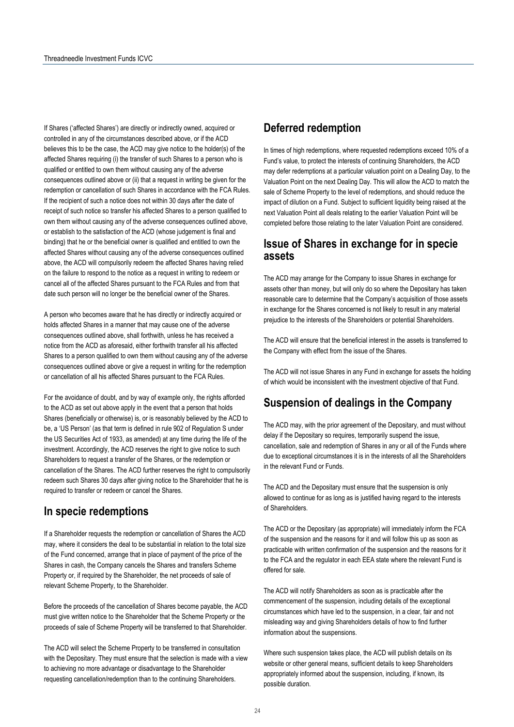If Shares ('affected Shares') are directly or indirectly owned, acquired or controlled in any of the circumstances described above, or if the ACD believes this to be the case, the ACD may give notice to the holder(s) of the affected Shares requiring (i) the transfer of such Shares to a person who is qualified or entitled to own them without causing any of the adverse consequences outlined above or (ii) that a request in writing be given for the redemption or cancellation of such Shares in accordance with the FCA Rules. If the recipient of such a notice does not within 30 days after the date of receipt of such notice so transfer his affected Shares to a person qualified to own them without causing any of the adverse consequences outlined above, or establish to the satisfaction of the ACD (whose judgement is final and binding) that he or the beneficial owner is qualified and entitled to own the affected Shares without causing any of the adverse consequences outlined above, the ACD will compulsorily redeem the affected Shares having relied on the failure to respond to the notice as a request in writing to redeem or cancel all of the affected Shares pursuant to the FCA Rules and from that date such person will no longer be the beneficial owner of the Shares.

A person who becomes aware that he has directly or indirectly acquired or holds affected Shares in a manner that may cause one of the adverse consequences outlined above, shall forthwith, unless he has received a notice from the ACD as aforesaid, either forthwith transfer all his affected Shares to a person qualified to own them without causing any of the adverse consequences outlined above or give a request in writing for the redemption or cancellation of all his affected Shares pursuant to the FCA Rules.

For the avoidance of doubt, and by way of example only, the rights afforded to the ACD as set out above apply in the event that a person that holds Shares (beneficially or otherwise) is, or is reasonably believed by the ACD to be, a 'US Person' (as that term is defined in rule 902 of Regulation S under the US Securities Act of 1933, as amended) at any time during the life of the investment. Accordingly, the ACD reserves the right to give notice to such Shareholders to request a transfer of the Shares, or the redemption or cancellation of the Shares. The ACD further reserves the right to compulsorily redeem such Shares 30 days after giving notice to the Shareholder that he is required to transfer or redeem or cancel the Shares.

# **In specie redemptions**

If a Shareholder requests the redemption or cancellation of Shares the ACD may, where it considers the deal to be substantial in relation to the total size of the Fund concerned, arrange that in place of payment of the price of the Shares in cash, the Company cancels the Shares and transfers Scheme Property or, if required by the Shareholder, the net proceeds of sale of relevant Scheme Property, to the Shareholder.

Before the proceeds of the cancellation of Shares become payable, the ACD must give written notice to the Shareholder that the Scheme Property or the proceeds of sale of Scheme Property will be transferred to that Shareholder.

The ACD will select the Scheme Property to be transferred in consultation with the Depositary. They must ensure that the selection is made with a view to achieving no more advantage or disadvantage to the Shareholder requesting cancellation/redemption than to the continuing Shareholders.

# **Deferred redemption**

In times of high redemptions, where requested redemptions exceed 10% of a Fund's value, to protect the interests of continuing Shareholders, the ACD may defer redemptions at a particular valuation point on a Dealing Day, to the Valuation Point on the next Dealing Day. This will allow the ACD to match the sale of Scheme Property to the level of redemptions, and should reduce the impact of dilution on a Fund. Subject to sufficient liquidity being raised at the next Valuation Point all deals relating to the earlier Valuation Point will be completed before those relating to the later Valuation Point are considered.

### **Issue of Shares in exchange for in specie assets**

The ACD may arrange for the Company to issue Shares in exchange for assets other than money, but will only do so where the Depositary has taken reasonable care to determine that the Company's acquisition of those assets in exchange for the Shares concerned is not likely to result in any material prejudice to the interests of the Shareholders or potential Shareholders.

The ACD will ensure that the beneficial interest in the assets is transferred to the Company with effect from the issue of the Shares.

The ACD will not issue Shares in any Fund in exchange for assets the holding of which would be inconsistent with the investment objective of that Fund.

# **Suspension of dealings in the Company**

The ACD may, with the prior agreement of the Depositary, and must without delay if the Depositary so requires, temporarily suspend the issue, cancellation, sale and redemption of Shares in any or all of the Funds where due to exceptional circumstances it is in the interests of all the Shareholders in the relevant Fund or Funds.

The ACD and the Depositary must ensure that the suspension is only allowed to continue for as long as is justified having regard to the interests of Shareholders.

The ACD or the Depositary (as appropriate) will immediately inform the FCA of the suspension and the reasons for it and will follow this up as soon as practicable with written confirmation of the suspension and the reasons for it to the FCA and the regulator in each EEA state where the relevant Fund is offered for sale.

The ACD will notify Shareholders as soon as is practicable after the commencement of the suspension, including details of the exceptional circumstances which have led to the suspension, in a clear, fair and not misleading way and giving Shareholders details of how to find further information about the suspensions.

Where such suspension takes place, the ACD will publish details on its website or other general means, sufficient details to keep Shareholders appropriately informed about the suspension, including, if known, its possible duration.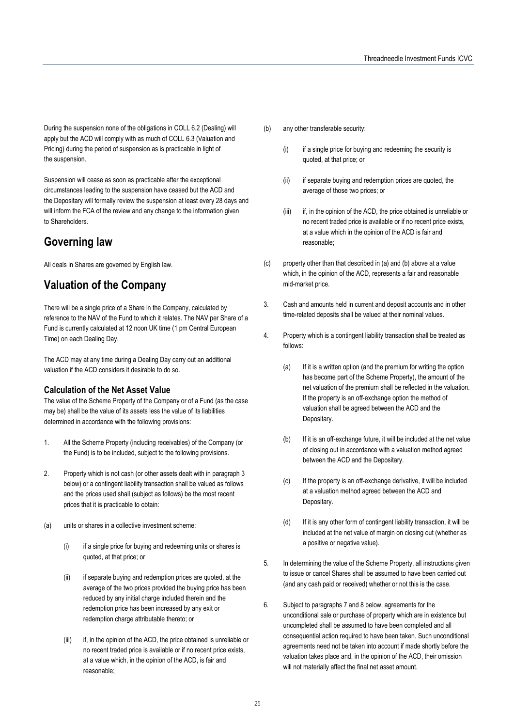During the suspension none of the obligations in COLL 6.2 (Dealing) will apply but the ACD will comply with as much of COLL 6.3 (Valuation and Pricing) during the period of suspension as is practicable in light of the suspension.

Suspension will cease as soon as practicable after the exceptional circumstances leading to the suspension have ceased but the ACD and the Depositary will formally review the suspension at least every 28 days and will inform the FCA of the review and any change to the information given to Shareholders.

# **Governing law**

All deals in Shares are governed by English law.

# **Valuation of the Company**

There will be a single price of a Share in the Company, calculated by reference to the NAV of the Fund to which it relates. The NAV per Share of a Fund is currently calculated at 12 noon UK time (1 pm Central European Time) on each Dealing Day.

The ACD may at any time during a Dealing Day carry out an additional valuation if the ACD considers it desirable to do so.

#### **Calculation of the Net Asset Value**

The value of the Scheme Property of the Company or of a Fund (as the case may be) shall be the value of its assets less the value of its liabilities determined in accordance with the following provisions:

- 1. All the Scheme Property (including receivables) of the Company (or the Fund) is to be included, subject to the following provisions.
- 2. Property which is not cash (or other assets dealt with in paragraph 3 below) or a contingent liability transaction shall be valued as follows and the prices used shall (subject as follows) be the most recent prices that it is practicable to obtain:
- (a) units or shares in a collective investment scheme:
	- (i) if a single price for buying and redeeming units or shares is quoted, at that price; or
	- (ii) if separate buying and redemption prices are quoted, at the average of the two prices provided the buying price has been reduced by any initial charge included therein and the redemption price has been increased by any exit or redemption charge attributable thereto; or
	- (iii) if, in the opinion of the ACD, the price obtained is unreliable or no recent traded price is available or if no recent price exists, at a value which, in the opinion of the ACD, is fair and reasonable;
- (b) any other transferable security:
	- (i) if a single price for buying and redeeming the security is quoted, at that price; or
	- (ii) if separate buying and redemption prices are quoted, the average of those two prices; or
	- (iii) if, in the opinion of the ACD, the price obtained is unreliable or no recent traded price is available or if no recent price exists, at a value which in the opinion of the ACD is fair and reasonable;
- (c) property other than that described in (a) and (b) above at a value which, in the opinion of the ACD, represents a fair and reasonable mid-market price.
- 3. Cash and amounts held in current and deposit accounts and in other time-related deposits shall be valued at their nominal values.
- 4. Property which is a contingent liability transaction shall be treated as follows:
	- (a) If it is a written option (and the premium for writing the option has become part of the Scheme Property), the amount of the net valuation of the premium shall be reflected in the valuation. If the property is an off-exchange option the method of valuation shall be agreed between the ACD and the Depositary.
	- (b) If it is an off-exchange future, it will be included at the net value of closing out in accordance with a valuation method agreed between the ACD and the Depositary.
	- (c) If the property is an off-exchange derivative, it will be included at a valuation method agreed between the ACD and Depositary.
	- (d) If it is any other form of contingent liability transaction, it will be included at the net value of margin on closing out (whether as a positive or negative value).
- 5. In determining the value of the Scheme Property, all instructions given to issue or cancel Shares shall be assumed to have been carried out (and any cash paid or received) whether or not this is the case.
- 6. Subject to paragraphs 7 and 8 below, agreements for the unconditional sale or purchase of property which are in existence but uncompleted shall be assumed to have been completed and all consequential action required to have been taken. Such unconditional agreements need not be taken into account if made shortly before the valuation takes place and, in the opinion of the ACD, their omission will not materially affect the final net asset amount.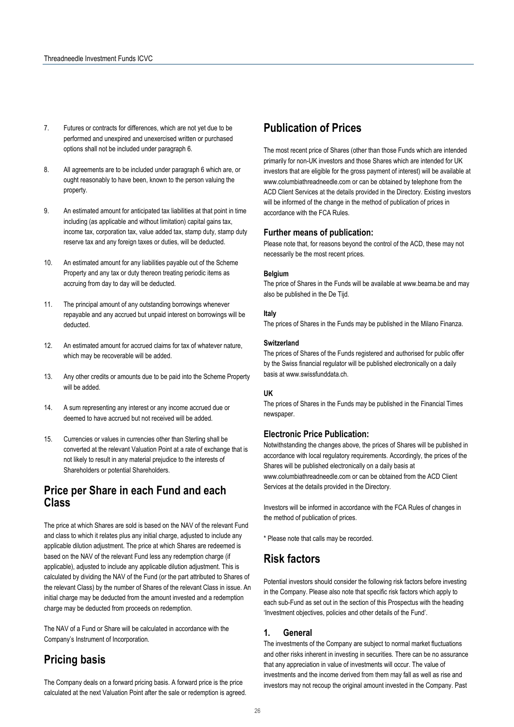- 7. Futures or contracts for differences, which are not yet due to be performed and unexpired and unexercised written or purchased options shall not be included under paragraph 6.
- 8. All agreements are to be included under paragraph 6 which are, or ought reasonably to have been, known to the person valuing the property.
- 9. An estimated amount for anticipated tax liabilities at that point in time including (as applicable and without limitation) capital gains tax, income tax, corporation tax, value added tax, stamp duty, stamp duty reserve tax and any foreign taxes or duties, will be deducted.
- 10. An estimated amount for any liabilities payable out of the Scheme Property and any tax or duty thereon treating periodic items as accruing from day to day will be deducted.
- 11. The principal amount of any outstanding borrowings whenever repayable and any accrued but unpaid interest on borrowings will be deducted.
- 12. An estimated amount for accrued claims for tax of whatever nature, which may be recoverable will be added.
- 13. Any other credits or amounts due to be paid into the Scheme Property will be added.
- 14. A sum representing any interest or any income accrued due or deemed to have accrued but not received will be added.
- 15. Currencies or values in currencies other than Sterling shall be converted at the relevant Valuation Point at a rate of exchange that is not likely to result in any material prejudice to the interests of Shareholders or potential Shareholders.

### **Price per Share in each Fund and each Class**

The price at which Shares are sold is based on the NAV of the relevant Fund and class to which it relates plus any initial charge, adjusted to include any applicable dilution adjustment. The price at which Shares are redeemed is based on the NAV of the relevant Fund less any redemption charge (if applicable), adjusted to include any applicable dilution adjustment. This is calculated by dividing the NAV of the Fund (or the part attributed to Shares of the relevant Class) by the number of Shares of the relevant Class in issue. An initial charge may be deducted from the amount invested and a redemption charge may be deducted from proceeds on redemption.

The NAV of a Fund or Share will be calculated in accordance with the Company's Instrument of Incorporation.

# **Pricing basis**

The Company deals on a forward pricing basis. A forward price is the price calculated at the next Valuation Point after the sale or redemption is agreed.

# **Publication of Prices**

The most recent price of Shares (other than those Funds which are intended primarily for non-UK investors and those Shares which are intended for UK investors that are eligible for the gross payment of interest) will be available at www.columbiathreadneedle.com or can be obtained by telephone from the ACD Client Services at the details provided in the Directory. Existing investors will be informed of the change in the method of publication of prices in accordance with the FCA Rules.

#### **Further means of publication:**

Please note that, for reasons beyond the control of the ACD, these may not necessarily be the most recent prices.

#### **Belgium**

The price of Shares in the Funds will be available at www.beama.be and may also be published in the De Tijd.

#### **Italy**

The prices of Shares in the Funds may be published in the Milano Finanza.

#### **Switzerland**

The prices of Shares of the Funds registered and authorised for public offer by the Swiss financial regulator will be published electronically on a daily basis at www.swissfunddata.ch.

#### **UK**

The prices of Shares in the Funds may be published in the Financial Times newspaper.

#### **Electronic Price Publication:**

Notwithstanding the changes above, the prices of Shares will be published in accordance with local regulatory requirements. Accordingly, the prices of the Shares will be published electronically on a daily basis at www.columbiathreadneedle.com or can be obtained from the ACD Client Services at the details provided in the Directory.

Investors will be informed in accordance with the FCA Rules of changes in the method of publication of prices.

\* Please note that calls may be recorded.

### **Risk factors**

Potential investors should consider the following risk factors before investing in the Company. Please also note that specific risk factors which apply to each sub-Fund as set out in the section of this Prospectus with the heading 'Investment objectives, policies and other details of the Fund'.

#### **1. General**

The investments of the Company are subject to normal market fluctuations and other risks inherent in investing in securities. There can be no assurance that any appreciation in value of investments will occur. The value of investments and the income derived from them may fall as well as rise and investors may not recoup the original amount invested in the Company. Past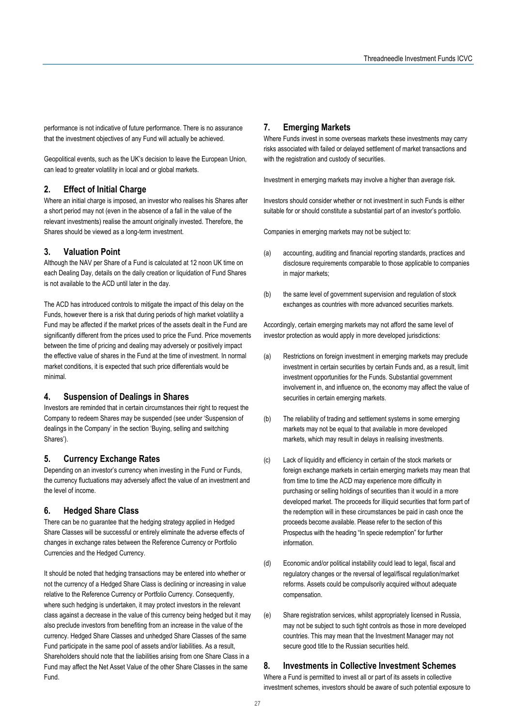performance is not indicative of future performance. There is no assurance that the investment objectives of any Fund will actually be achieved.

Geopolitical events, such as the UK's decision to leave the European Union, can lead to greater volatility in local and or global markets.

#### **2. Effect of Initial Charge**

Where an initial charge is imposed, an investor who realises his Shares after a short period may not (even in the absence of a fall in the value of the relevant investments) realise the amount originally invested. Therefore, the Shares should be viewed as a long-term investment.

#### **3. Valuation Point**

Although the NAV per Share of a Fund is calculated at 12 noon UK time on each Dealing Day, details on the daily creation or liquidation of Fund Shares is not available to the ACD until later in the day.

The ACD has introduced controls to mitigate the impact of this delay on the Funds, however there is a risk that during periods of high market volatility a Fund may be affected if the market prices of the assets dealt in the Fund are significantly different from the prices used to price the Fund. Price movements between the time of pricing and dealing may adversely or positively impact the effective value of shares in the Fund at the time of investment. In normal market conditions, it is expected that such price differentials would be minimal.

#### **4. Suspension of Dealings in Shares**

Investors are reminded that in certain circumstances their right to request the Company to redeem Shares may be suspended (see under 'Suspension of dealings in the Company' in the section 'Buying, selling and switching Shares').

#### **5. Currency Exchange Rates**

Depending on an investor's currency when investing in the Fund or Funds, the currency fluctuations may adversely affect the value of an investment and the level of income.

#### **6. Hedged Share Class**

There can be no guarantee that the hedging strategy applied in Hedged Share Classes will be successful or entirely eliminate the adverse effects of changes in exchange rates between the Reference Currency or Portfolio Currencies and the Hedged Currency.

It should be noted that hedging transactions may be entered into whether or not the currency of a Hedged Share Class is declining or increasing in value relative to the Reference Currency or Portfolio Currency. Consequently, where such hedging is undertaken, it may protect investors in the relevant class against a decrease in the value of this currency being hedged but it may also preclude investors from benefiting from an increase in the value of the currency. Hedged Share Classes and unhedged Share Classes of the same Fund participate in the same pool of assets and/or liabilities. As a result, Shareholders should note that the liabilities arising from one Share Class in a Fund may affect the Net Asset Value of the other Share Classes in the same Fund.

#### **7. Emerging Markets**

Where Funds invest in some overseas markets these investments may carry risks associated with failed or delayed settlement of market transactions and with the registration and custody of securities.

Investment in emerging markets may involve a higher than average risk.

Investors should consider whether or not investment in such Funds is either suitable for or should constitute a substantial part of an investor's portfolio.

Companies in emerging markets may not be subject to:

- (a) accounting, auditing and financial reporting standards, practices and disclosure requirements comparable to those applicable to companies in major markets;
- (b) the same level of government supervision and regulation of stock exchanges as countries with more advanced securities markets.

Accordingly, certain emerging markets may not afford the same level of investor protection as would apply in more developed jurisdictions:

- (a) Restrictions on foreign investment in emerging markets may preclude investment in certain securities by certain Funds and, as a result, limit investment opportunities for the Funds. Substantial government involvement in, and influence on, the economy may affect the value of securities in certain emerging markets.
- (b) The reliability of trading and settlement systems in some emerging markets may not be equal to that available in more developed markets, which may result in delays in realising investments.
- (c) Lack of liquidity and efficiency in certain of the stock markets or foreign exchange markets in certain emerging markets may mean that from time to time the ACD may experience more difficulty in purchasing or selling holdings of securities than it would in a more developed market. The proceeds for illiquid securities that form part of the redemption will in these circumstances be paid in cash once the proceeds become available. Please refer to the section of this Prospectus with the heading "In specie redemption" for further information.
- (d) Economic and/or political instability could lead to legal, fiscal and regulatory changes or the reversal of legal/fiscal regulation/market reforms. Assets could be compulsorily acquired without adequate compensation.
- (e) Share registration services, whilst appropriately licensed in Russia, may not be subject to such tight controls as those in more developed countries. This may mean that the Investment Manager may not secure good title to the Russian securities held.

#### **8. Investments in Collective Investment Schemes**

Where a Fund is permitted to invest all or part of its assets in collective investment schemes, investors should be aware of such potential exposure to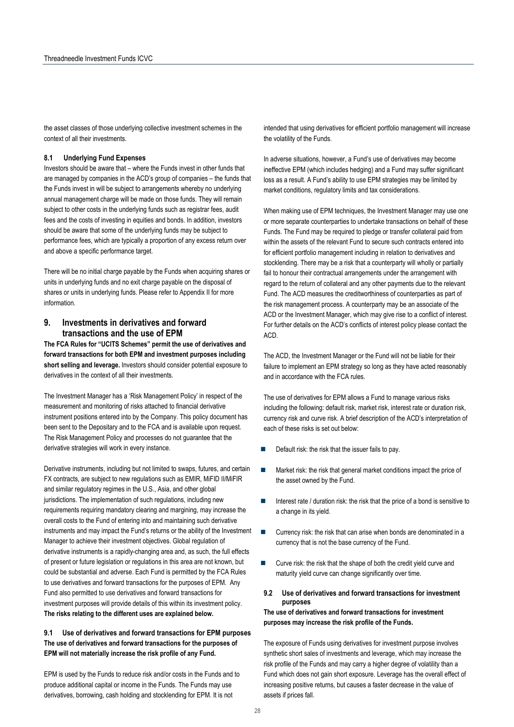the asset classes of those underlying collective investment schemes in the context of all their investments.

#### **8.1 Underlying Fund Expenses**

Investors should be aware that – where the Funds invest in other funds that are managed by companies in the ACD's group of companies – the funds that the Funds invest in will be subject to arrangements whereby no underlying annual management charge will be made on those funds. They will remain subject to other costs in the underlying funds such as registrar fees, audit fees and the costs of investing in equities and bonds. In addition, investors should be aware that some of the underlying funds may be subject to performance fees, which are typically a proportion of any excess return over and above a specific performance target.

There will be no initial charge payable by the Funds when acquiring shares or units in underlying funds and no exit charge payable on the disposal of shares or units in underlying funds. Please refer to Appendix II for more information.

#### **9. Investments in derivatives and forward transactions and the use of EPM**

**The FCA Rules for "UCITS Schemes" permit the use of derivatives and forward transactions for both EPM and investment purposes including short selling and leverage.** Investors should consider potential exposure to derivatives in the context of all their investments.

The Investment Manager has a 'Risk Management Policy' in respect of the measurement and monitoring of risks attached to financial derivative instrument positions entered into by the Company. This policy document has been sent to the Depositary and to the FCA and is available upon request. The Risk Management Policy and processes do not guarantee that the derivative strategies will work in every instance.

Derivative instruments, including but not limited to swaps, futures, and certain FX contracts, are subject to new regulations such as EMIR, MiFID II/MiFIR and similar regulatory regimes in the U.S., Asia, and other global jurisdictions. The implementation of such regulations, including new requirements requiring mandatory clearing and margining, may increase the overall costs to the Fund of entering into and maintaining such derivative instruments and may impact the Fund's returns or the ability of the Investment Manager to achieve their investment objectives. Global regulation of derivative instruments is a rapidly-changing area and, as such, the full effects of present or future legislation or regulations in this area are not known, but could be substantial and adverse. Each Fund is permitted by the FCA Rules to use derivatives and forward transactions for the purposes of EPM. Any Fund also permitted to use derivatives and forward transactions for investment purposes will provide details of this within its investment policy. **The risks relating to the different uses are explained below.** 

#### **9.1 Use of derivatives and forward transactions for EPM purposes The use of derivatives and forward transactions for the purposes of EPM will not materially increase the risk profile of any Fund.**

EPM is used by the Funds to reduce risk and/or costs in the Funds and to produce additional capital or income in the Funds. The Funds may use derivatives, borrowing, cash holding and stocklending for EPM. It is not

intended that using derivatives for efficient portfolio management will increase the volatility of the Funds.

In adverse situations, however, a Fund's use of derivatives may become ineffective EPM (which includes hedging) and a Fund may suffer significant loss as a result. A Fund's ability to use EPM strategies may be limited by market conditions, regulatory limits and tax considerations.

When making use of EPM techniques, the Investment Manager may use one or more separate counterparties to undertake transactions on behalf of these Funds. The Fund may be required to pledge or transfer collateral paid from within the assets of the relevant Fund to secure such contracts entered into for efficient portfolio management including in relation to derivatives and stocklending. There may be a risk that a counterparty will wholly or partially fail to honour their contractual arrangements under the arrangement with regard to the return of collateral and any other payments due to the relevant Fund. The ACD measures the creditworthiness of counterparties as part of the risk management process. A counterparty may be an associate of the ACD or the Investment Manager, which may give rise to a conflict of interest. For further details on the ACD's conflicts of interest policy please contact the ACD.

The ACD, the Investment Manager or the Fund will not be liable for their failure to implement an EPM strategy so long as they have acted reasonably and in accordance with the FCA rules.

The use of derivatives for EPM allows a Fund to manage various risks including the following: default risk, market risk, interest rate or duration risk, currency risk and curve risk. A brief description of the ACD's interpretation of each of these risks is set out below:

- Default risk: the risk that the issuer fails to pay.
- Market risk: the risk that general market conditions impact the price of the asset owned by the Fund.
- Interest rate / duration risk: the risk that the price of a bond is sensitive to a change in its yield.
- Currency risk: the risk that can arise when bonds are denominated in a currency that is not the base currency of the Fund.
- Curve risk: the risk that the shape of both the credit yield curve and maturity yield curve can change significantly over time.

#### **9.2 Use of derivatives and forward transactions for investment purposes**

**The use of derivatives and forward transactions for investment purposes may increase the risk profile of the Funds.** 

The exposure of Funds using derivatives for investment purpose involves synthetic short sales of investments and leverage, which may increase the risk profile of the Funds and may carry a higher degree of volatility than a Fund which does not gain short exposure. Leverage has the overall effect of increasing positive returns, but causes a faster decrease in the value of assets if prices fall.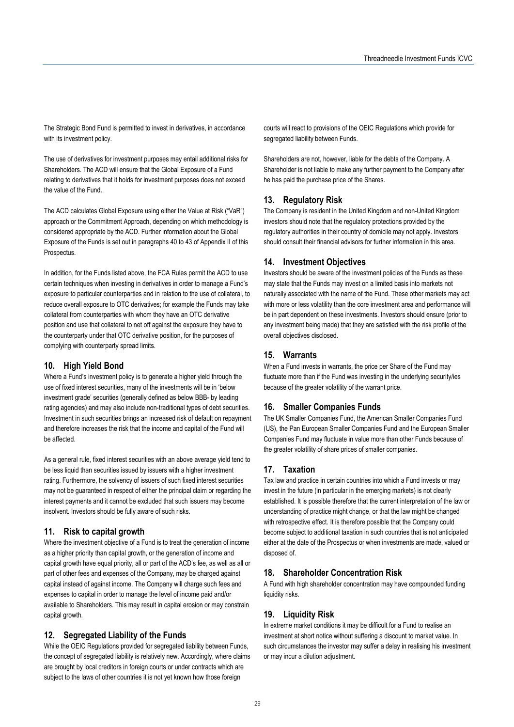The Strategic Bond Fund is permitted to invest in derivatives, in accordance with its investment policy.

The use of derivatives for investment purposes may entail additional risks for Shareholders. The ACD will ensure that the Global Exposure of a Fund relating to derivatives that it holds for investment purposes does not exceed the value of the Fund.

The ACD calculates Global Exposure using either the Value at Risk ("VaR") approach or the Commitment Approach, depending on which methodology is considered appropriate by the ACD. Further information about the Global Exposure of the Funds is set out in paragraphs 40 to 43 of Appendix II of this Prospectus.

In addition, for the Funds listed above, the FCA Rules permit the ACD to use certain techniques when investing in derivatives in order to manage a Fund's exposure to particular counterparties and in relation to the use of collateral, to reduce overall exposure to OTC derivatives; for example the Funds may take collateral from counterparties with whom they have an OTC derivative position and use that collateral to net off against the exposure they have to the counterparty under that OTC derivative position, for the purposes of complying with counterparty spread limits.

#### **10. High Yield Bond**

Where a Fund's investment policy is to generate a higher yield through the use of fixed interest securities, many of the investments will be in 'below investment grade' securities (generally defined as below BBB- by leading rating agencies) and may also include non-traditional types of debt securities. Investment in such securities brings an increased risk of default on repayment and therefore increases the risk that the income and capital of the Fund will be affected.

As a general rule, fixed interest securities with an above average yield tend to be less liquid than securities issued by issuers with a higher investment rating. Furthermore, the solvency of issuers of such fixed interest securities may not be guaranteed in respect of either the principal claim or regarding the interest payments and it cannot be excluded that such issuers may become insolvent. Investors should be fully aware of such risks.

#### **11. Risk to capital growth**

Where the investment objective of a Fund is to treat the generation of income as a higher priority than capital growth, or the generation of income and capital growth have equal priority, all or part of the ACD's fee, as well as all or part of other fees and expenses of the Company, may be charged against capital instead of against income. The Company will charge such fees and expenses to capital in order to manage the level of income paid and/or available to Shareholders. This may result in capital erosion or may constrain capital growth.

#### **12. Segregated Liability of the Funds**

While the OEIC Regulations provided for segregated liability between Funds, the concept of segregated liability is relatively new. Accordingly, where claims are brought by local creditors in foreign courts or under contracts which are subject to the laws of other countries it is not yet known how those foreign

courts will react to provisions of the OEIC Regulations which provide for segregated liability between Funds.

Shareholders are not, however, liable for the debts of the Company. A Shareholder is not liable to make any further payment to the Company after he has paid the purchase price of the Shares.

#### **13. Regulatory Risk**

The Company is resident in the United Kingdom and non-United Kingdom investors should note that the regulatory protections provided by the regulatory authorities in their country of domicile may not apply. Investors should consult their financial advisors for further information in this area.

#### **14. Investment Objectives**

Investors should be aware of the investment policies of the Funds as these may state that the Funds may invest on a limited basis into markets not naturally associated with the name of the Fund. These other markets may act with more or less volatility than the core investment area and performance will be in part dependent on these investments. Investors should ensure (prior to any investment being made) that they are satisfied with the risk profile of the overall objectives disclosed.

#### **15. Warrants**

When a Fund invests in warrants, the price per Share of the Fund may fluctuate more than if the Fund was investing in the underlying security/ies because of the greater volatility of the warrant price.

#### **16. Smaller Companies Funds**

The UK Smaller Companies Fund, the American Smaller Companies Fund (US), the Pan European Smaller Companies Fund and the European Smaller Companies Fund may fluctuate in value more than other Funds because of the greater volatility of share prices of smaller companies.

#### **17. Taxation**

Tax law and practice in certain countries into which a Fund invests or may invest in the future (in particular in the emerging markets) is not clearly established. It is possible therefore that the current interpretation of the law or understanding of practice might change, or that the law might be changed with retrospective effect. It is therefore possible that the Company could become subject to additional taxation in such countries that is not anticipated either at the date of the Prospectus or when investments are made, valued or disposed of.

#### **18. Shareholder Concentration Risk**

A Fund with high shareholder concentration may have compounded funding liquidity risks.

#### **19. Liquidity Risk**

In extreme market conditions it may be difficult for a Fund to realise an investment at short notice without suffering a discount to market value. In such circumstances the investor may suffer a delay in realising his investment or may incur a dilution adjustment.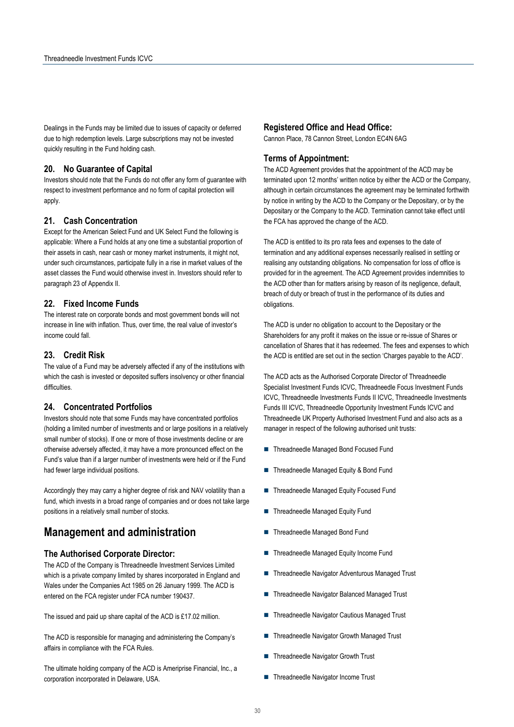Dealings in the Funds may be limited due to issues of capacity or deferred due to high redemption levels. Large subscriptions may not be invested quickly resulting in the Fund holding cash.

#### **20. No Guarantee of Capital**

Investors should note that the Funds do not offer any form of guarantee with respect to investment performance and no form of capital protection will apply.

#### **21. Cash Concentration**

Except for the American Select Fund and UK Select Fund the following is applicable: Where a Fund holds at any one time a substantial proportion of their assets in cash, near cash or money market instruments, it might not, under such circumstances, participate fully in a rise in market values of the asset classes the Fund would otherwise invest in. Investors should refer to paragraph 23 of Appendix II.

#### **22. Fixed Income Funds**

The interest rate on corporate bonds and most government bonds will not increase in line with inflation. Thus, over time, the real value of investor's income could fall.

#### **23. Credit Risk**

The value of a Fund may be adversely affected if any of the institutions with which the cash is invested or deposited suffers insolvency or other financial difficulties.

#### **24. Concentrated Portfolios**

Investors should note that some Funds may have concentrated portfolios (holding a limited number of investments and or large positions in a relatively small number of stocks). If one or more of those investments decline or are otherwise adversely affected, it may have a more pronounced effect on the Fund's value than if a larger number of investments were held or if the Fund had fewer large individual positions.

Accordingly they may carry a higher degree of risk and NAV volatility than a fund, which invests in a broad range of companies and or does not take large positions in a relatively small number of stocks.

# **Management and administration**

#### **The Authorised Corporate Director:**

The ACD of the Company is Threadneedle Investment Services Limited which is a private company limited by shares incorporated in England and Wales under the Companies Act 1985 on 26 January 1999. The ACD is entered on the FCA register under FCA number 190437.

The issued and paid up share capital of the ACD is £17.02 million.

The ACD is responsible for managing and administering the Company's affairs in compliance with the FCA Rules.

The ultimate holding company of the ACD is Ameriprise Financial, Inc., a corporation incorporated in Delaware, USA.

#### **Registered Office and Head Office:**

Cannon Place, 78 Cannon Street, London EC4N 6AG

### **Terms of Appointment:**

The ACD Agreement provides that the appointment of the ACD may be terminated upon 12 months' written notice by either the ACD or the Company, although in certain circumstances the agreement may be terminated forthwith by notice in writing by the ACD to the Company or the Depositary, or by the Depositary or the Company to the ACD. Termination cannot take effect until the FCA has approved the change of the ACD.

The ACD is entitled to its pro rata fees and expenses to the date of termination and any additional expenses necessarily realised in settling or realising any outstanding obligations. No compensation for loss of office is provided for in the agreement. The ACD Agreement provides indemnities to the ACD other than for matters arising by reason of its negligence, default, breach of duty or breach of trust in the performance of its duties and obligations.

The ACD is under no obligation to account to the Depositary or the Shareholders for any profit it makes on the issue or re-issue of Shares or cancellation of Shares that it has redeemed. The fees and expenses to which the ACD is entitled are set out in the section 'Charges payable to the ACD'.

The ACD acts as the Authorised Corporate Director of Threadneedle Specialist Investment Funds ICVC, Threadneedle Focus Investment Funds ICVC, Threadneedle Investments Funds II ICVC, Threadneedle Investments Funds III ICVC, Threadneedle Opportunity Investment Funds ICVC and Threadneedle UK Property Authorised Investment Fund and also acts as a manager in respect of the following authorised unit trusts:

- Threadneedle Managed Bond Focused Fund
- Threadneedle Managed Equity & Bond Fund
- **Threadneedle Managed Equity Focused Fund**
- Threadneedle Managed Equity Fund
- Threadneedle Managed Bond Fund
- Threadneedle Managed Equity Income Fund
- Threadneedle Navigator Adventurous Managed Trust
- Threadneedle Navigator Balanced Managed Trust
- Threadneedle Navigator Cautious Managed Trust
- Threadneedle Navigator Growth Managed Trust
- Threadneedle Navigator Growth Trust
- Threadneedle Navigator Income Trust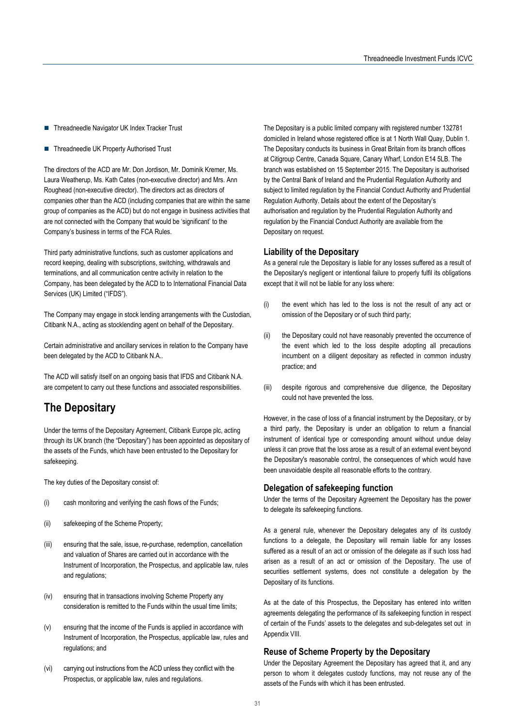- Threadneedle Navigator UK Index Tracker Trust
- Threadneedle UK Property Authorised Trust

The directors of the ACD are Mr. Don Jordison, Mr. Dominik Kremer, Ms. Laura Weatherup, Ms. Kath Cates (non-executive director) and Mrs. Ann Roughead (non-executive director). The directors act as directors of companies other than the ACD (including companies that are within the same group of companies as the ACD) but do not engage in business activities that are not connected with the Company that would be 'significant' to the Company's business in terms of the FCA Rules.

Third party administrative functions, such as customer applications and record keeping, dealing with subscriptions, switching, withdrawals and terminations, and all communication centre activity in relation to the Company, has been delegated by the ACD to to International Financial Data Services (UK) Limited ("IFDS").

The Company may engage in stock lending arrangements with the Custodian, Citibank N.A., acting as stocklending agent on behalf of the Depositary.

Certain administrative and ancillary services in relation to the Company have been delegated by the ACD to Citibank N.A..

The ACD will satisfy itself on an ongoing basis that IFDS and Citibank N.A. are competent to carry out these functions and associated responsibilities.

# **The Depositary**

Under the terms of the Depositary Agreement, Citibank Europe plc, acting through its UK branch (the "Depositary") has been appointed as depositary of the assets of the Funds, which have been entrusted to the Depositary for safekeeping.

The key duties of the Depositary consist of:

- (i) cash monitoring and verifying the cash flows of the Funds;
- (ii) safekeeping of the Scheme Property;
- (iii) ensuring that the sale, issue, re-purchase, redemption, cancellation and valuation of Shares are carried out in accordance with the Instrument of Incorporation, the Prospectus, and applicable law, rules and regulations;
- (iv) ensuring that in transactions involving Scheme Property any consideration is remitted to the Funds within the usual time limits;
- (v) ensuring that the income of the Funds is applied in accordance with Instrument of Incorporation, the Prospectus, applicable law, rules and regulations; and
- (vi) carrying out instructions from the ACD unless they conflict with the Prospectus, or applicable law, rules and regulations.

The Depositary is a public limited company with registered number 132781 domiciled in Ireland whose registered office is at 1 North Wall Quay, Dublin 1. The Depositary conducts its business in Great Britain from its branch offices at Citigroup Centre, Canada Square, Canary Wharf, London E14 5LB. The branch was established on 15 September 2015. The Depositary is authorised by the Central Bank of Ireland and the Prudential Regulation Authority and subject to limited regulation by the Financial Conduct Authority and Prudential Regulation Authority. Details about the extent of the Depositary's authorisation and regulation by the Prudential Regulation Authority and regulation by the Financial Conduct Authority are available from the Depositary on request.

#### **Liability of the Depositary**

As a general rule the Depositary is liable for any losses suffered as a result of the Depositary's negligent or intentional failure to properly fulfil its obligations except that it will not be liable for any loss where:

- (i) the event which has led to the loss is not the result of any act or omission of the Depositary or of such third party;
- (ii) the Depositary could not have reasonably prevented the occurrence of the event which led to the loss despite adopting all precautions incumbent on a diligent depositary as reflected in common industry practice; and
- (iii) despite rigorous and comprehensive due diligence, the Depositary could not have prevented the loss.

However, in the case of loss of a financial instrument by the Depositary, or by a third party, the Depositary is under an obligation to return a financial instrument of identical type or corresponding amount without undue delay unless it can prove that the loss arose as a result of an external event beyond the Depositary's reasonable control, the consequences of which would have been unavoidable despite all reasonable efforts to the contrary.

#### **Delegation of safekeeping function**

Under the terms of the Depositary Agreement the Depositary has the power to delegate its safekeeping functions.

As a general rule, whenever the Depositary delegates any of its custody functions to a delegate, the Depositary will remain liable for any losses suffered as a result of an act or omission of the delegate as if such loss had arisen as a result of an act or omission of the Depositary. The use of securities settlement systems, does not constitute a delegation by the Depositary of its functions.

As at the date of this Prospectus, the Depositary has entered into written agreements delegating the performance of its safekeeping function in respect of certain of the Funds' assets to the delegates and sub-delegates set out in Appendix VIII.

#### **Reuse of Scheme Property by the Depositary**

Under the Depositary Agreement the Depositary has agreed that it, and any person to whom it delegates custody functions, may not reuse any of the assets of the Funds with which it has been entrusted.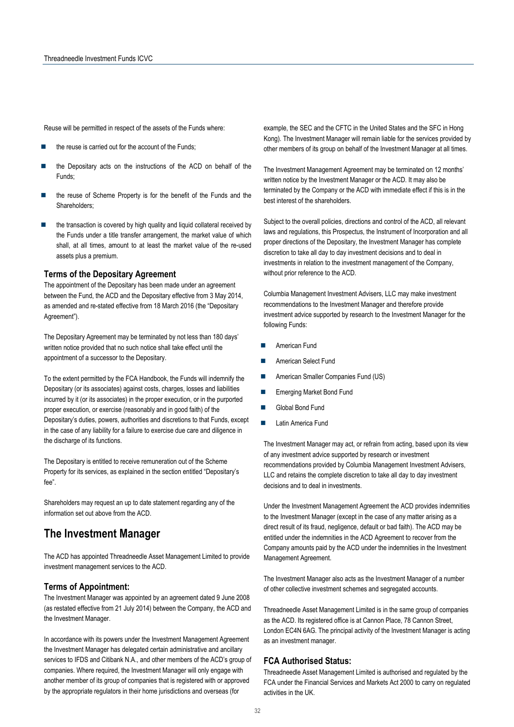Reuse will be permitted in respect of the assets of the Funds where:

- the reuse is carried out for the account of the Funds;
- the Depositary acts on the instructions of the ACD on behalf of the Funds;
- the reuse of Scheme Property is for the benefit of the Funds and the Shareholders;
- the transaction is covered by high quality and liquid collateral received by the Funds under a title transfer arrangement, the market value of which shall, at all times, amount to at least the market value of the re-used assets plus a premium.

#### **Terms of the Depositary Agreement**

The appointment of the Depositary has been made under an agreement between the Fund, the ACD and the Depositary effective from 3 May 2014, as amended and re-stated effective from 18 March 2016 (the "Depositary Agreement").

The Depositary Agreement may be terminated by not less than 180 days' written notice provided that no such notice shall take effect until the appointment of a successor to the Depositary.

To the extent permitted by the FCA Handbook, the Funds will indemnify the Depositary (or its associates) against costs, charges, losses and liabilities incurred by it (or its associates) in the proper execution, or in the purported proper execution, or exercise (reasonably and in good faith) of the Depositary's duties, powers, authorities and discretions to that Funds, except in the case of any liability for a failure to exercise due care and diligence in the discharge of its functions.

The Depositary is entitled to receive remuneration out of the Scheme Property for its services, as explained in the section entitled "Depositary's fee".

Shareholders may request an up to date statement regarding any of the information set out above from the ACD.

### **The Investment Manager**

The ACD has appointed Threadneedle Asset Management Limited to provide investment management services to the ACD.

#### **Terms of Appointment:**

The Investment Manager was appointed by an agreement dated 9 June 2008 (as restated effective from 21 July 2014) between the Company, the ACD and the Investment Manager.

In accordance with its powers under the Investment Management Agreement the Investment Manager has delegated certain administrative and ancillary services to IFDS and Citibank N.A., and other members of the ACD's group of companies. Where required, the Investment Manager will only engage with another member of its group of companies that is registered with or approved by the appropriate regulators in their home jurisdictions and overseas (for

example, the SEC and the CFTC in the United States and the SFC in Hong Kong). The Investment Manager will remain liable for the services provided by other members of its group on behalf of the Investment Manager at all times.

The Investment Management Agreement may be terminated on 12 months' written notice by the Investment Manager or the ACD. It may also be terminated by the Company or the ACD with immediate effect if this is in the best interest of the shareholders.

Subject to the overall policies, directions and control of the ACD, all relevant laws and regulations, this Prospectus, the Instrument of Incorporation and all proper directions of the Depositary, the Investment Manager has complete discretion to take all day to day investment decisions and to deal in investments in relation to the investment management of the Company, without prior reference to the ACD.

Columbia Management Investment Advisers, LLC may make investment recommendations to the Investment Manager and therefore provide investment advice supported by research to the Investment Manager for the following Funds:

- American Fund
- American Select Fund
- American Smaller Companies Fund (US)
- Emerging Market Bond Fund
- Global Bond Fund
- **Latin America Fund**

The Investment Manager may act, or refrain from acting, based upon its view of any investment advice supported by research or investment recommendations provided by Columbia Management Investment Advisers, LLC and retains the complete discretion to take all day to day investment decisions and to deal in investments.

Under the Investment Management Agreement the ACD provides indemnities to the Investment Manager (except in the case of any matter arising as a direct result of its fraud, negligence, default or bad faith). The ACD may be entitled under the indemnities in the ACD Agreement to recover from the Company amounts paid by the ACD under the indemnities in the Investment Management Agreement.

The Investment Manager also acts as the Investment Manager of a number of other collective investment schemes and segregated accounts.

Threadneedle Asset Management Limited is in the same group of companies as the ACD. Its registered office is at Cannon Place, 78 Cannon Street, London EC4N 6AG. The principal activity of the Investment Manager is acting as an investment manager.

#### **FCA Authorised Status:**

Threadneedle Asset Management Limited is authorised and regulated by the FCA under the Financial Services and Markets Act 2000 to carry on regulated activities in the UK.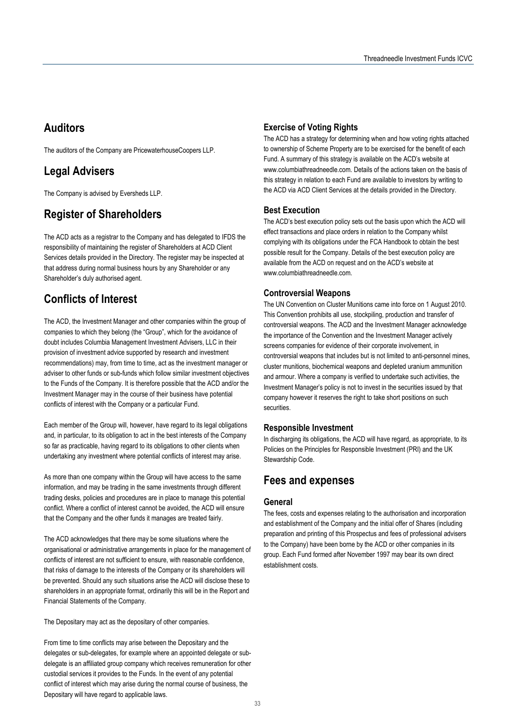# **Auditors**

The auditors of the Company are PricewaterhouseCoopers LLP.

# **Legal Advisers**

The Company is advised by Eversheds LLP.

# **Register of Shareholders**

The ACD acts as a registrar to the Company and has delegated to IFDS the responsibility of maintaining the register of Shareholders at ACD Client Services details provided in the Directory. The register may be inspected at that address during normal business hours by any Shareholder or any Shareholder's duly authorised agent.

# **Conflicts of Interest**

The ACD, the Investment Manager and other companies within the group of companies to which they belong (the "Group", which for the avoidance of doubt includes Columbia Management Investment Advisers, LLC in their provision of investment advice supported by research and investment recommendations) may, from time to time, act as the investment manager or adviser to other funds or sub-funds which follow similar investment objectives to the Funds of the Company. It is therefore possible that the ACD and/or the Investment Manager may in the course of their business have potential conflicts of interest with the Company or a particular Fund.

Each member of the Group will, however, have regard to its legal obligations and, in particular, to its obligation to act in the best interests of the Company so far as practicable, having regard to its obligations to other clients when undertaking any investment where potential conflicts of interest may arise.

As more than one company within the Group will have access to the same information, and may be trading in the same investments through different trading desks, policies and procedures are in place to manage this potential conflict. Where a conflict of interest cannot be avoided, the ACD will ensure that the Company and the other funds it manages are treated fairly.

The ACD acknowledges that there may be some situations where the organisational or administrative arrangements in place for the management of conflicts of interest are not sufficient to ensure, with reasonable confidence, that risks of damage to the interests of the Company or its shareholders will be prevented. Should any such situations arise the ACD will disclose these to shareholders in an appropriate format, ordinarily this will be in the Report and Financial Statements of the Company.

The Depositary may act as the depositary of other companies.

From time to time conflicts may arise between the Depositary and the delegates or sub-delegates, for example where an appointed delegate or subdelegate is an affiliated group company which receives remuneration for other custodial services it provides to the Funds. In the event of any potential conflict of interest which may arise during the normal course of business, the Depositary will have regard to applicable laws.

### **Exercise of Voting Rights**

The ACD has a strategy for determining when and how voting rights attached to ownership of Scheme Property are to be exercised for the benefit of each Fund. A summary of this strategy is available on the ACD's website at www.columbiathreadneedle.com. Details of the actions taken on the basis of this strategy in relation to each Fund are available to investors by writing to the ACD via ACD Client Services at the details provided in the Directory.

#### **Best Execution**

The ACD's best execution policy sets out the basis upon which the ACD will effect transactions and place orders in relation to the Company whilst complying with its obligations under the FCA Handbook to obtain the best possible result for the Company. Details of the best execution policy are available from the ACD on request and on the ACD's website at www.columbiathreadneedle.com

#### **Controversial Weapons**

The UN Convention on Cluster Munitions came into force on 1 August 2010. This Convention prohibits all use, stockpiling, production and transfer of controversial weapons. The ACD and the Investment Manager acknowledge the importance of the Convention and the Investment Manager actively screens companies for evidence of their corporate involvement, in controversial weapons that includes but is not limited to anti-personnel mines, cluster munitions, biochemical weapons and depleted uranium ammunition and armour. Where a company is verified to undertake such activities, the Investment Manager's policy is not to invest in the securities issued by that company however it reserves the right to take short positions on such securities.

#### **Responsible Investment**

In discharging its obligations, the ACD will have regard, as appropriate, to its Policies on the Principles for Responsible Investment (PRI) and the UK Stewardship Code.

# **Fees and expenses**

#### **General**

The fees, costs and expenses relating to the authorisation and incorporation and establishment of the Company and the initial offer of Shares (including preparation and printing of this Prospectus and fees of professional advisers to the Company) have been borne by the ACD or other companies in its group. Each Fund formed after November 1997 may bear its own direct establishment costs.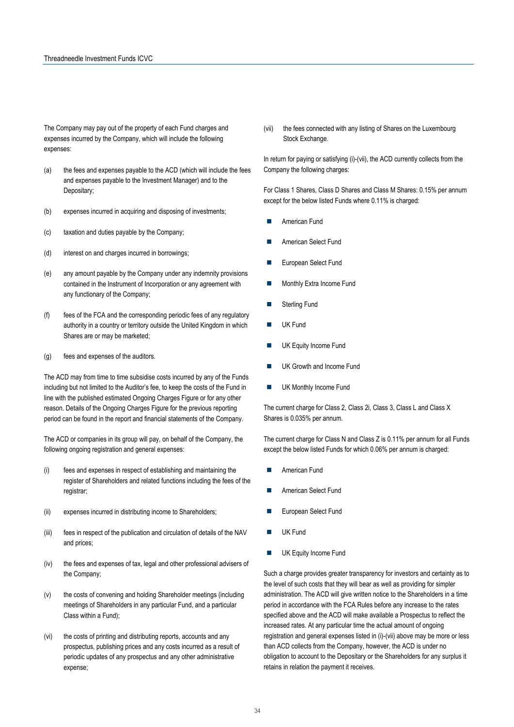The Company may pay out of the property of each Fund charges and expenses incurred by the Company, which will include the following expenses:

- (a) the fees and expenses payable to the ACD (which will include the fees and expenses payable to the Investment Manager) and to the Depositary;
- (b) expenses incurred in acquiring and disposing of investments;
- (c) taxation and duties payable by the Company;
- (d) interest on and charges incurred in borrowings;
- (e) any amount payable by the Company under any indemnity provisions contained in the Instrument of Incorporation or any agreement with any functionary of the Company;
- (f) fees of the FCA and the corresponding periodic fees of any regulatory authority in a country or territory outside the United Kingdom in which Shares are or may be marketed;
- (g) fees and expenses of the auditors.

The ACD may from time to time subsidise costs incurred by any of the Funds including but not limited to the Auditor's fee, to keep the costs of the Fund in line with the published estimated Ongoing Charges Figure or for any other reason. Details of the Ongoing Charges Figure for the previous reporting period can be found in the report and financial statements of the Company.

The ACD or companies in its group will pay, on behalf of the Company, the following ongoing registration and general expenses:

- (i) fees and expenses in respect of establishing and maintaining the register of Shareholders and related functions including the fees of the registrar;
- (ii) expenses incurred in distributing income to Shareholders;
- (iii) fees in respect of the publication and circulation of details of the NAV and prices;
- (iv) the fees and expenses of tax, legal and other professional advisers of the Company;
- (v) the costs of convening and holding Shareholder meetings (including meetings of Shareholders in any particular Fund, and a particular Class within a Fund);
- (vi) the costs of printing and distributing reports, accounts and any prospectus, publishing prices and any costs incurred as a result of periodic updates of any prospectus and any other administrative expense;

(vii) the fees connected with any listing of Shares on the Luxembourg Stock Exchange.

In return for paying or satisfying (i)-(vii), the ACD currently collects from the Company the following charges:

For Class 1 Shares, Class D Shares and Class M Shares: 0.15% per annum except for the below listed Funds where 0.11% is charged:

- American Fund
- American Select Fund
- European Select Fund
- Monthly Extra Income Fund
- Sterling Fund
- UK Fund
- UK Equity Income Fund
- UK Growth and Income Fund
- **UK Monthly Income Fund**

The current charge for Class 2, Class 2i, Class 3, Class L and Class X Shares is 0.035% per annum.

The current charge for Class N and Class Z is 0.11% per annum for all Funds except the below listed Funds for which 0.06% per annum is charged:

- American Fund
- American Select Fund
- European Select Fund
- UK Fund
- UK Equity Income Fund

Such a charge provides greater transparency for investors and certainty as to the level of such costs that they will bear as well as providing for simpler administration. The ACD will give written notice to the Shareholders in a time period in accordance with the FCA Rules before any increase to the rates specified above and the ACD will make available a Prospectus to reflect the increased rates. At any particular time the actual amount of ongoing registration and general expenses listed in (i)-(vii) above may be more or less than ACD collects from the Company, however, the ACD is under no obligation to account to the Depositary or the Shareholders for any surplus it retains in relation the payment it receives.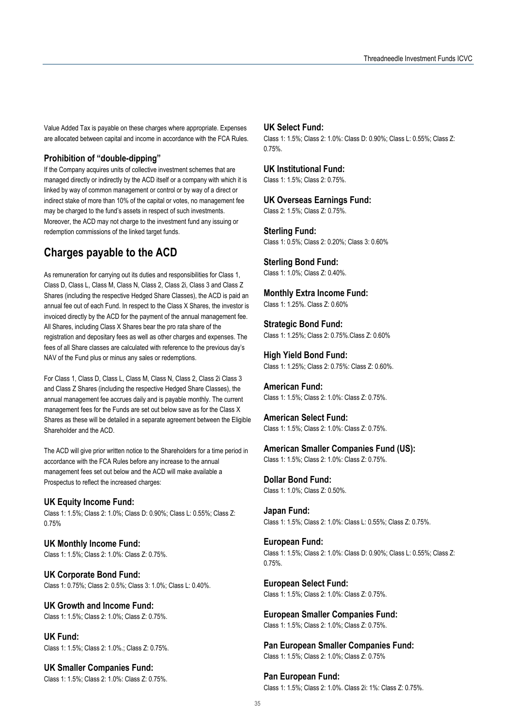Value Added Tax is payable on these charges where appropriate. Expenses are allocated between capital and income in accordance with the FCA Rules.

#### **Prohibition of "double-dipping"**

If the Company acquires units of collective investment schemes that are managed directly or indirectly by the ACD itself or a company with which it is linked by way of common management or control or by way of a direct or indirect stake of more than 10% of the capital or votes, no management fee may be charged to the fund's assets in respect of such investments. Moreover, the ACD may not charge to the investment fund any issuing or redemption commissions of the linked target funds.

### **Charges payable to the ACD**

As remuneration for carrying out its duties and responsibilities for Class 1, Class D, Class L, Class M, Class N, Class 2, Class 2i, Class 3 and Class Z Shares (including the respective Hedged Share Classes), the ACD is paid an annual fee out of each Fund. In respect to the Class X Shares, the investor is invoiced directly by the ACD for the payment of the annual management fee. All Shares, including Class X Shares bear the pro rata share of the registration and depositary fees as well as other charges and expenses. The fees of all Share classes are calculated with reference to the previous day's NAV of the Fund plus or minus any sales or redemptions.

For Class 1, Class D, Class L, Class M, Class N, Class 2, Class 2i Class 3 and Class Z Shares (including the respective Hedged Share Classes), the annual management fee accrues daily and is payable monthly. The current management fees for the Funds are set out below save as for the Class X Shares as these will be detailed in a separate agreement between the Eligible Shareholder and the ACD.

The ACD will give prior written notice to the Shareholders for a time period in accordance with the FCA Rules before any increase to the annual management fees set out below and the ACD will make available a Prospectus to reflect the increased charges:

#### **UK Equity Income Fund:**

Class 1: 1.5%; Class 2: 1.0%; Class D: 0.90%; Class L: 0.55%; Class Z: 0.75%

**UK Monthly Income Fund:**  Class 1: 1.5%; Class 2: 1.0%: Class Z: 0.75%.

**UK Corporate Bond Fund:**  Class 1: 0.75%; Class 2: 0.5%; Class 3: 1.0%; Class L: 0.40%.

**UK Growth and Income Fund:**  Class 1: 1.5%; Class 2: 1.0%; Class Z: 0.75%.

**UK Fund:**  Class 1: 1.5%; Class 2: 1.0%.; Class Z: 0.75%.

**UK Smaller Companies Fund:** 

Class 1: 1.5%; Class 2: 1.0%: Class Z: 0.75%.

#### **UK Select Fund:**

Class 1: 1.5%; Class 2: 1.0%: Class D: 0.90%; Class L: 0.55%; Class Z: 0.75%.

#### **UK Institutional Fund:**

Class 1: 1.5%; Class 2: 0.75%.

#### **UK Overseas Earnings Fund:**

Class 2: 1.5%; Class Z: 0.75%.

#### **Sterling Fund:**

Class 1: 0.5%; Class 2: 0.20%; Class 3: 0.60%

**Sterling Bond Fund:**  Class 1: 1.0%; Class Z: 0.40%.

### **Monthly Extra Income Fund:**

Class 1: 1.25%. Class Z: 0.60%

**Strategic Bond Fund:**  Class 1: 1.25%; Class 2: 0.75%.Class Z: 0.60%

**High Yield Bond Fund:**  Class 1: 1.25%; Class 2: 0.75%: Class Z: 0.60%.

**American Fund:**  Class 1: 1.5%; Class 2: 1.0%: Class Z: 0.75%.

**American Select Fund:**  Class 1: 1.5%; Class 2: 1.0%: Class Z: 0.75%.

#### **American Smaller Companies Fund (US):**

Class 1: 1.5%; Class 2: 1.0%: Class Z: 0.75%.

**Dollar Bond Fund:**  Class 1: 1.0%; Class Z: 0.50%.

**Japan Fund:**  Class 1: 1.5%; Class 2: 1.0%: Class L: 0.55%; Class Z: 0.75%.

**European Fund:**  Class 1: 1.5%; Class 2: 1.0%: Class D: 0.90%; Class L: 0.55%; Class Z: 0.75%.

**European Select Fund:**  Class 1: 1.5%; Class 2: 1.0%: Class Z: 0.75%.

**European Smaller Companies Fund:**  Class 1: 1.5%; Class 2: 1.0%; Class Z: 0.75%.

**Pan European Smaller Companies Fund:**  Class 1: 1.5%; Class 2: 1.0%; Class Z: 0.75%

**Pan European Fund:**  Class 1: 1.5%; Class 2: 1.0%. Class 2i: 1%: Class Z: 0.75%.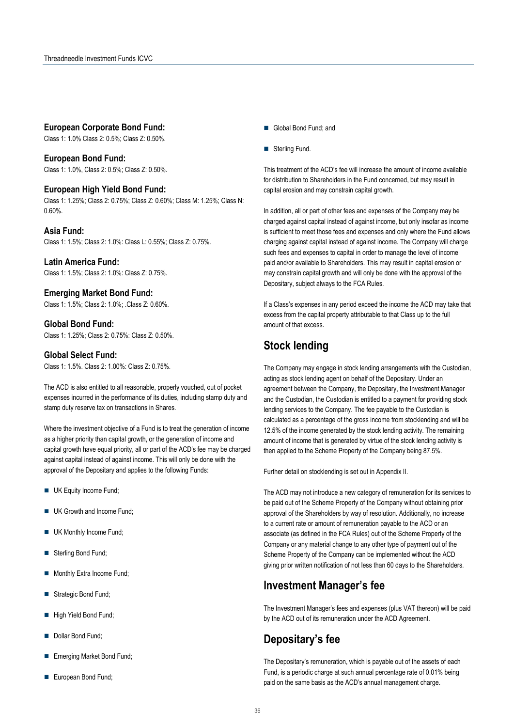## **European Corporate Bond Fund:**

Class 1: 1.0% Class 2: 0.5%; Class Z: 0.50%.

## **European Bond Fund:**

Class 1: 1.0%, Class 2: 0.5%; Class Z: 0.50%.

## **European High Yield Bond Fund:**

Class 1: 1.25%; Class 2: 0.75%; Class Z: 0.60%; Class M: 1.25%; Class N: 0.60%.

### **Asia Fund:**

Class 1: 1.5%; Class 2: 1.0%: Class L: 0.55%; Class Z: 0.75%.

## **Latin America Fund:**

Class 1: 1.5%; Class 2: 1.0%: Class Z: 0.75%.

## **Emerging Market Bond Fund:**

Class 1: 1.5%; Class 2: 1.0%; .Class Z: 0.60%.

#### **Global Bond Fund:**  Class 1: 1.25%; Class 2: 0.75%: Class Z: 0.50%.

## **Global Select Fund:**

Class 1: 1.5%. Class 2: 1.00%: Class Z: 0.75%.

The ACD is also entitled to all reasonable, properly vouched, out of pocket expenses incurred in the performance of its duties, including stamp duty and stamp duty reserve tax on transactions in Shares.

Where the investment objective of a Fund is to treat the generation of income as a higher priority than capital growth, or the generation of income and capital growth have equal priority, all or part of the ACD's fee may be charged against capital instead of against income. This will only be done with the approval of the Depositary and applies to the following Funds:

- **UK Equity Income Fund;**
- **UK Growth and Income Fund;**
- **UK Monthly Income Fund;**
- Sterling Bond Fund;
- Monthly Extra Income Fund;
- Strategic Bond Fund;
- High Yield Bond Fund;
- Dollar Bond Fund:
- **Emerging Market Bond Fund;**
- European Bond Fund;
- Global Bond Fund; and
- Sterling Fund.

This treatment of the ACD's fee will increase the amount of income available for distribution to Shareholders in the Fund concerned, but may result in capital erosion and may constrain capital growth.

In addition, all or part of other fees and expenses of the Company may be charged against capital instead of against income, but only insofar as income is sufficient to meet those fees and expenses and only where the Fund allows charging against capital instead of against income. The Company will charge such fees and expenses to capital in order to manage the level of income paid and/or available to Shareholders. This may result in capital erosion or may constrain capital growth and will only be done with the approval of the Depositary, subject always to the FCA Rules.

If a Class's expenses in any period exceed the income the ACD may take that excess from the capital property attributable to that Class up to the full amount of that excess.

# **Stock lending**

The Company may engage in stock lending arrangements with the Custodian, acting as stock lending agent on behalf of the Depositary. Under an agreement between the Company, the Depositary, the Investment Manager and the Custodian, the Custodian is entitled to a payment for providing stock lending services to the Company. The fee payable to the Custodian is calculated as a percentage of the gross income from stocklending and will be 12.5% of the income generated by the stock lending activity. The remaining amount of income that is generated by virtue of the stock lending activity is then applied to the Scheme Property of the Company being 87.5%.

Further detail on stocklending is set out in Appendix II.

The ACD may not introduce a new category of remuneration for its services to be paid out of the Scheme Property of the Company without obtaining prior approval of the Shareholders by way of resolution. Additionally, no increase to a current rate or amount of remuneration payable to the ACD or an associate (as defined in the FCA Rules) out of the Scheme Property of the Company or any material change to any other type of payment out of the Scheme Property of the Company can be implemented without the ACD giving prior written notification of not less than 60 days to the Shareholders.

## **Investment Manager's fee**

The Investment Manager's fees and expenses (plus VAT thereon) will be paid by the ACD out of its remuneration under the ACD Agreement.

# **Depositary's fee**

The Depositary's remuneration, which is payable out of the assets of each Fund, is a periodic charge at such annual percentage rate of 0.01% being paid on the same basis as the ACD's annual management charge.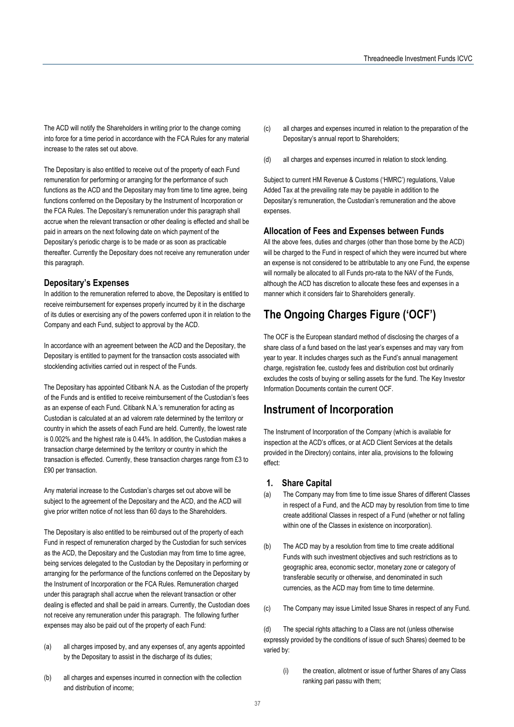The ACD will notify the Shareholders in writing prior to the change coming into force for a time period in accordance with the FCA Rules for any material increase to the rates set out above.

The Depositary is also entitled to receive out of the property of each Fund remuneration for performing or arranging for the performance of such functions as the ACD and the Depositary may from time to time agree, being functions conferred on the Depositary by the Instrument of Incorporation or the FCA Rules. The Depositary's remuneration under this paragraph shall accrue when the relevant transaction or other dealing is effected and shall be paid in arrears on the next following date on which payment of the Depositary's periodic charge is to be made or as soon as practicable thereafter. Currently the Depositary does not receive any remuneration under this paragraph.

## **Depositary's Expenses**

In addition to the remuneration referred to above, the Depositary is entitled to receive reimbursement for expenses properly incurred by it in the discharge of its duties or exercising any of the powers conferred upon it in relation to the Company and each Fund, subject to approval by the ACD.

In accordance with an agreement between the ACD and the Depositary, the Depositary is entitled to payment for the transaction costs associated with stocklending activities carried out in respect of the Funds.

The Depositary has appointed Citibank N.A. as the Custodian of the property of the Funds and is entitled to receive reimbursement of the Custodian's fees as an expense of each Fund. Citibank N.A.'s remuneration for acting as Custodian is calculated at an ad valorem rate determined by the territory or country in which the assets of each Fund are held. Currently, the lowest rate is 0.002% and the highest rate is 0.44%. In addition, the Custodian makes a transaction charge determined by the territory or country in which the transaction is effected. Currently, these transaction charges range from £3 to £90 per transaction.

Any material increase to the Custodian's charges set out above will be subject to the agreement of the Depositary and the ACD, and the ACD will give prior written notice of not less than 60 days to the Shareholders.

The Depositary is also entitled to be reimbursed out of the property of each Fund in respect of remuneration charged by the Custodian for such services as the ACD, the Depositary and the Custodian may from time to time agree, being services delegated to the Custodian by the Depositary in performing or arranging for the performance of the functions conferred on the Depositary by the Instrument of Incorporation or the FCA Rules. Remuneration charged under this paragraph shall accrue when the relevant transaction or other dealing is effected and shall be paid in arrears. Currently, the Custodian does not receive any remuneration under this paragraph. The following further expenses may also be paid out of the property of each Fund:

- (a) all charges imposed by, and any expenses of, any agents appointed by the Depositary to assist in the discharge of its duties;
- (b) all charges and expenses incurred in connection with the collection and distribution of income;
- (c) all charges and expenses incurred in relation to the preparation of the Depositary's annual report to Shareholders;
- (d) all charges and expenses incurred in relation to stock lending.

Subject to current HM Revenue & Customs ('HMRC') regulations, Value Added Tax at the prevailing rate may be payable in addition to the Depositary's remuneration, the Custodian's remuneration and the above expenses.

## **Allocation of Fees and Expenses between Funds**

All the above fees, duties and charges (other than those borne by the ACD) will be charged to the Fund in respect of which they were incurred but where an expense is not considered to be attributable to any one Fund, the expense will normally be allocated to all Funds pro-rata to the NAV of the Funds, although the ACD has discretion to allocate these fees and expenses in a manner which it considers fair to Shareholders generally.

# **The Ongoing Charges Figure ('OCF')**

The OCF is the European standard method of disclosing the charges of a share class of a fund based on the last year's expenses and may vary from year to year. It includes charges such as the Fund's annual management charge, registration fee, custody fees and distribution cost but ordinarily excludes the costs of buying or selling assets for the fund. The Key Investor Information Documents contain the current OCF.

## **Instrument of Incorporation**

The Instrument of Incorporation of the Company (which is available for inspection at the ACD's offices, or at ACD Client Services at the details provided in the Directory) contains, inter alia, provisions to the following effect:

## **1. Share Capital**

- (a) The Company may from time to time issue Shares of different Classes in respect of a Fund, and the ACD may by resolution from time to time create additional Classes in respect of a Fund (whether or not falling within one of the Classes in existence on incorporation).
- (b) The ACD may by a resolution from time to time create additional Funds with such investment objectives and such restrictions as to geographic area, economic sector, monetary zone or category of transferable security or otherwise, and denominated in such currencies, as the ACD may from time to time determine.
- (c) The Company may issue Limited Issue Shares in respect of any Fund.

(d) The special rights attaching to a Class are not (unless otherwise expressly provided by the conditions of issue of such Shares) deemed to be varied by:

(i) the creation, allotment or issue of further Shares of any Class ranking pari passu with them;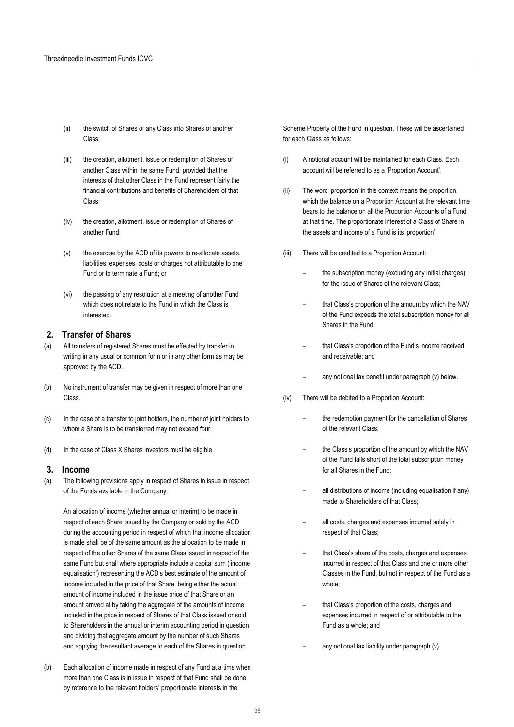- (ii) the switch of Shares of any Class into Shares of another Class;
- (iii) the creation, allotment, issue or redemption of Shares of another Class within the same Fund, provided that the interests of that other Class in the Fund represent fairly the financial contributions and benefits of Shareholders of that Class;
- (iv) the creation, allotment, issue or redemption of Shares of another Fund;
- (v) the exercise by the ACD of its powers to re-allocate assets, liabilities, expenses, costs or charges not attributable to one Fund or to terminate a Fund; or
- (vi) the passing of any resolution at a meeting of another Fund which does not relate to the Fund in which the Class is interested.

## **2. Transfer of Shares**

- (a) All transfers of registered Shares must be effected by transfer in writing in any usual or common form or in any other form as may be approved by the ACD.
- (b) No instrument of transfer may be given in respect of more than one Class.
- (c) In the case of a transfer to joint holders, the number of joint holders to whom a Share is to be transferred may not exceed four.
- (d) In the case of Class X Shares investors must be eligible.

### **3. Income**

(a) The following provisions apply in respect of Shares in issue in respect of the Funds available in the Company:

An allocation of income (whether annual or interim) to be made in respect of each Share issued by the Company or sold by the ACD during the accounting period in respect of which that income allocation is made shall be of the same amount as the allocation to be made in respect of the other Shares of the same Class issued in respect of the same Fund but shall where appropriate include a capital sum ('income equalisation') representing the ACD's best estimate of the amount of income included in the price of that Share, being either the actual amount of income included in the issue price of that Share or an amount arrived at by taking the aggregate of the amounts of income included in the price in respect of Shares of that Class issued or sold to Shareholders in the annual or interim accounting period in question and dividing that aggregate amount by the number of such Shares and applying the resultant average to each of the Shares in question.

(b) Each allocation of income made in respect of any Fund at a time when more than one Class is in issue in respect of that Fund shall be done by reference to the relevant holders' proportionate interests in the

Scheme Property of the Fund in question. These will be ascertained for each Class as follows:

- (i) A notional account will be maintained for each Class. Each account will be referred to as a 'Proportion Account'.
- (ii) The word 'proportion' in this context means the proportion, which the balance on a Proportion Account at the relevant time bears to the balance on all the Proportion Accounts of a Fund at that time. The proportionate interest of a Class of Share in the assets and income of a Fund is its 'proportion'.
- (iii) There will be credited to a Proportion Account:
	- the subscription money (excluding any initial charges) for the issue of Shares of the relevant Class;
	- that Class's proportion of the amount by which the NAV of the Fund exceeds the total subscription money for all Shares in the Fund;
	- that Class's proportion of the Fund's income received and receivable; and
	- any notional tax benefit under paragraph (v) below.
- (iv) There will be debited to a Proportion Account:
	- the redemption payment for the cancellation of Shares of the relevant Class;
	- the Class's proportion of the amount by which the NAV of the Fund falls short of the total subscription money for all Shares in the Fund;
	- all distributions of income (including equalisation if any) made to Shareholders of that Class;
	- all costs, charges and expenses incurred solely in respect of that Class;
	- that Class's share of the costs, charges and expenses incurred in respect of that Class and one or more other Classes in the Fund, but not in respect of the Fund as a whole;
	- that Class's proportion of the costs, charges and expenses incurred in respect of or attributable to the Fund as a whole; and
	- any notional tax liability under paragraph (v).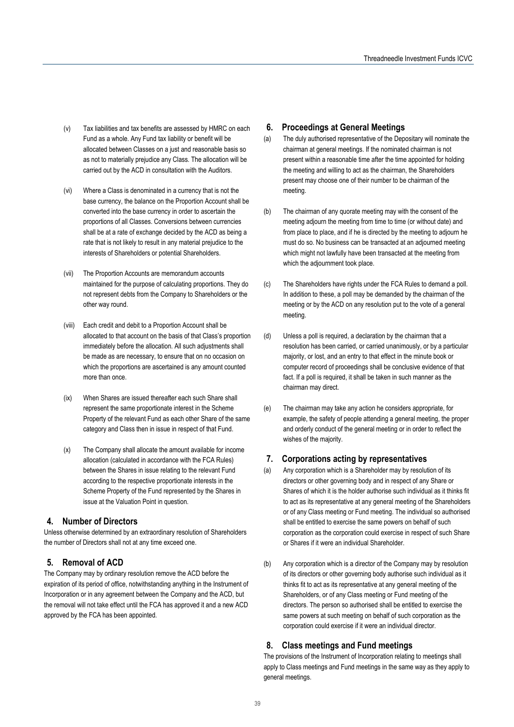- (v) Tax liabilities and tax benefits are assessed by HMRC on each Fund as a whole. Any Fund tax liability or benefit will be allocated between Classes on a just and reasonable basis so as not to materially prejudice any Class. The allocation will be carried out by the ACD in consultation with the Auditors.
- (vi) Where a Class is denominated in a currency that is not the base currency, the balance on the Proportion Account shall be converted into the base currency in order to ascertain the proportions of all Classes. Conversions between currencies shall be at a rate of exchange decided by the ACD as being a rate that is not likely to result in any material prejudice to the interests of Shareholders or potential Shareholders.
- (vii) The Proportion Accounts are memorandum accounts maintained for the purpose of calculating proportions. They do not represent debts from the Company to Shareholders or the other way round.
- (viii) Each credit and debit to a Proportion Account shall be allocated to that account on the basis of that Class's proportion immediately before the allocation. All such adjustments shall be made as are necessary, to ensure that on no occasion on which the proportions are ascertained is any amount counted more than once.
- (ix) When Shares are issued thereafter each such Share shall represent the same proportionate interest in the Scheme Property of the relevant Fund as each other Share of the same category and Class then in issue in respect of that Fund.
- (x) The Company shall allocate the amount available for income allocation (calculated in accordance with the FCA Rules) between the Shares in issue relating to the relevant Fund according to the respective proportionate interests in the Scheme Property of the Fund represented by the Shares in issue at the Valuation Point in question.

## **4. Number of Directors**

Unless otherwise determined by an extraordinary resolution of Shareholders the number of Directors shall not at any time exceed one.

## **5. Removal of ACD**

The Company may by ordinary resolution remove the ACD before the expiration of its period of office, notwithstanding anything in the Instrument of Incorporation or in any agreement between the Company and the ACD, but the removal will not take effect until the FCA has approved it and a new ACD approved by the FCA has been appointed.

## **6. Proceedings at General Meetings**

- (a) The duly authorised representative of the Depositary will nominate the chairman at general meetings. If the nominated chairman is not present within a reasonable time after the time appointed for holding the meeting and willing to act as the chairman, the Shareholders present may choose one of their number to be chairman of the meeting.
- (b) The chairman of any quorate meeting may with the consent of the meeting adjourn the meeting from time to time (or without date) and from place to place, and if he is directed by the meeting to adjourn he must do so. No business can be transacted at an adjourned meeting which might not lawfully have been transacted at the meeting from which the adjournment took place.
- (c) The Shareholders have rights under the FCA Rules to demand a poll. In addition to these, a poll may be demanded by the chairman of the meeting or by the ACD on any resolution put to the vote of a general meeting.
- (d) Unless a poll is required, a declaration by the chairman that a resolution has been carried, or carried unanimously, or by a particular majority, or lost, and an entry to that effect in the minute book or computer record of proceedings shall be conclusive evidence of that fact. If a poll is required, it shall be taken in such manner as the chairman may direct.
- (e) The chairman may take any action he considers appropriate, for example, the safety of people attending a general meeting, the proper and orderly conduct of the general meeting or in order to reflect the wishes of the majority.

## **7. Corporations acting by representatives**

- (a) Any corporation which is a Shareholder may by resolution of its directors or other governing body and in respect of any Share or Shares of which it is the holder authorise such individual as it thinks fit to act as its representative at any general meeting of the Shareholders or of any Class meeting or Fund meeting. The individual so authorised shall be entitled to exercise the same powers on behalf of such corporation as the corporation could exercise in respect of such Share or Shares if it were an individual Shareholder.
- (b) Any corporation which is a director of the Company may by resolution of its directors or other governing body authorise such individual as it thinks fit to act as its representative at any general meeting of the Shareholders, or of any Class meeting or Fund meeting of the directors. The person so authorised shall be entitled to exercise the same powers at such meeting on behalf of such corporation as the corporation could exercise if it were an individual director.

## **8. Class meetings and Fund meetings**

The provisions of the Instrument of Incorporation relating to meetings shall apply to Class meetings and Fund meetings in the same way as they apply to general meetings.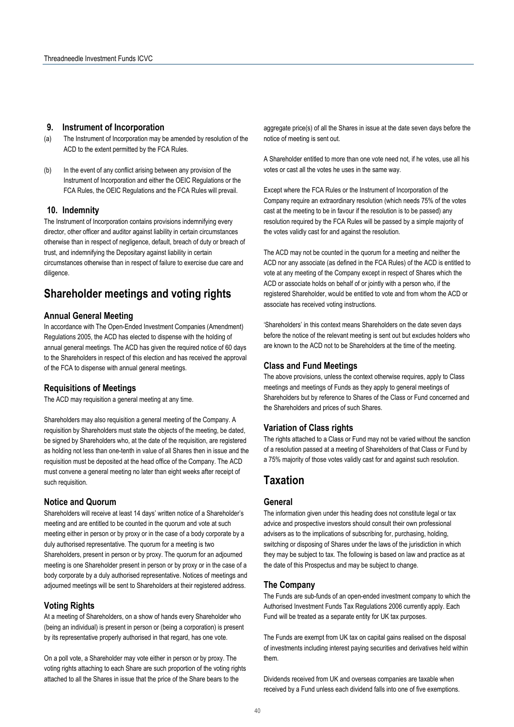## **9. Instrument of Incorporation**

- (a) The Instrument of Incorporation may be amended by resolution of the ACD to the extent permitted by the FCA Rules.
- (b) In the event of any conflict arising between any provision of the Instrument of Incorporation and either the OEIC Regulations or the FCA Rules, the OEIC Regulations and the FCA Rules will prevail.

### **10. Indemnity**

The Instrument of Incorporation contains provisions indemnifying every director, other officer and auditor against liability in certain circumstances otherwise than in respect of negligence, default, breach of duty or breach of trust, and indemnifying the Depositary against liability in certain circumstances otherwise than in respect of failure to exercise due care and diligence.

## **Shareholder meetings and voting rights**

## **Annual General Meeting**

In accordance with The Open-Ended Investment Companies (Amendment) Regulations 2005, the ACD has elected to dispense with the holding of annual general meetings. The ACD has given the required notice of 60 days to the Shareholders in respect of this election and has received the approval of the FCA to dispense with annual general meetings.

## **Requisitions of Meetings**

The ACD may requisition a general meeting at any time.

Shareholders may also requisition a general meeting of the Company. A requisition by Shareholders must state the objects of the meeting, be dated, be signed by Shareholders who, at the date of the requisition, are registered as holding not less than one-tenth in value of all Shares then in issue and the requisition must be deposited at the head office of the Company. The ACD must convene a general meeting no later than eight weeks after receipt of such requisition.

### **Notice and Quorum**

Shareholders will receive at least 14 days' written notice of a Shareholder's meeting and are entitled to be counted in the quorum and vote at such meeting either in person or by proxy or in the case of a body corporate by a duly authorised representative. The quorum for a meeting is two Shareholders, present in person or by proxy. The quorum for an adjourned meeting is one Shareholder present in person or by proxy or in the case of a body corporate by a duly authorised representative. Notices of meetings and adjourned meetings will be sent to Shareholders at their registered address.

## **Voting Rights**

At a meeting of Shareholders, on a show of hands every Shareholder who (being an individual) is present in person or (being a corporation) is present by its representative properly authorised in that regard, has one vote.

On a poll vote, a Shareholder may vote either in person or by proxy. The voting rights attaching to each Share are such proportion of the voting rights attached to all the Shares in issue that the price of the Share bears to the

aggregate price(s) of all the Shares in issue at the date seven days before the notice of meeting is sent out.

A Shareholder entitled to more than one vote need not, if he votes, use all his votes or cast all the votes he uses in the same way.

Except where the FCA Rules or the Instrument of Incorporation of the Company require an extraordinary resolution (which needs 75% of the votes cast at the meeting to be in favour if the resolution is to be passed) any resolution required by the FCA Rules will be passed by a simple majority of the votes validly cast for and against the resolution.

The ACD may not be counted in the quorum for a meeting and neither the ACD nor any associate (as defined in the FCA Rules) of the ACD is entitled to vote at any meeting of the Company except in respect of Shares which the ACD or associate holds on behalf of or jointly with a person who, if the registered Shareholder, would be entitled to vote and from whom the ACD or associate has received voting instructions.

'Shareholders' in this context means Shareholders on the date seven days before the notice of the relevant meeting is sent out but excludes holders who are known to the ACD not to be Shareholders at the time of the meeting.

## **Class and Fund Meetings**

The above provisions, unless the context otherwise requires, apply to Class meetings and meetings of Funds as they apply to general meetings of Shareholders but by reference to Shares of the Class or Fund concerned and the Shareholders and prices of such Shares.

#### **Variation of Class rights**

The rights attached to a Class or Fund may not be varied without the sanction of a resolution passed at a meeting of Shareholders of that Class or Fund by a 75% majority of those votes validly cast for and against such resolution.

## **Taxation**

#### **General**

The information given under this heading does not constitute legal or tax advice and prospective investors should consult their own professional advisers as to the implications of subscribing for, purchasing, holding, switching or disposing of Shares under the laws of the jurisdiction in which they may be subject to tax. The following is based on law and practice as at the date of this Prospectus and may be subject to change.

## **The Company**

The Funds are sub-funds of an open-ended investment company to which the Authorised Investment Funds Tax Regulations 2006 currently apply. Each Fund will be treated as a separate entity for UK tax purposes.

The Funds are exempt from UK tax on capital gains realised on the disposal of investments including interest paying securities and derivatives held within them.

Dividends received from UK and overseas companies are taxable when received by a Fund unless each dividend falls into one of five exemptions.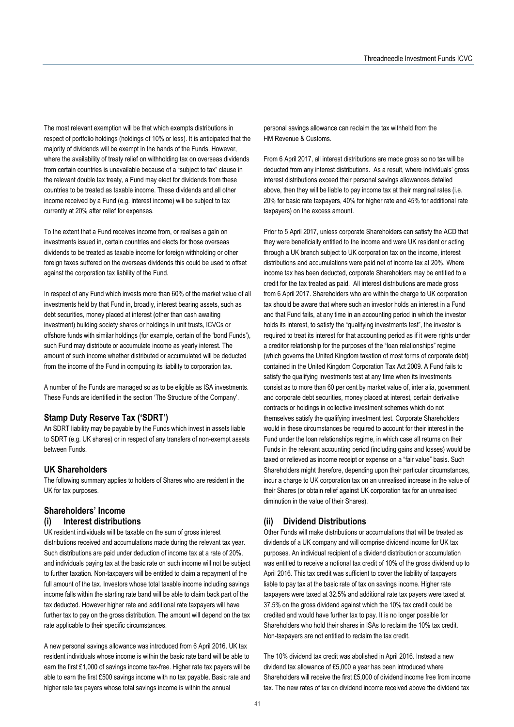The most relevant exemption will be that which exempts distributions in respect of portfolio holdings (holdings of 10% or less). It is anticipated that the majority of dividends will be exempt in the hands of the Funds. However, where the availability of treaty relief on withholding tax on overseas dividends from certain countries is unavailable because of a "subject to tax" clause in the relevant double tax treaty, a Fund may elect for dividends from these countries to be treated as taxable income. These dividends and all other income received by a Fund (e.g. interest income) will be subject to tax currently at 20% after relief for expenses.

To the extent that a Fund receives income from, or realises a gain on investments issued in, certain countries and elects for those overseas dividends to be treated as taxable income for foreign withholding or other foreign taxes suffered on the overseas dividends this could be used to offset against the corporation tax liability of the Fund.

In respect of any Fund which invests more than 60% of the market value of all investments held by that Fund in, broadly, interest bearing assets, such as debt securities, money placed at interest (other than cash awaiting investment) building society shares or holdings in unit trusts, ICVCs or offshore funds with similar holdings (for example, certain of the 'bond Funds'), such Fund may distribute or accumulate income as yearly interest. The amount of such income whether distributed or accumulated will be deducted from the income of the Fund in computing its liability to corporation tax.

A number of the Funds are managed so as to be eligible as ISA investments. These Funds are identified in the section 'The Structure of the Company'.

## **Stamp Duty Reserve Tax ('SDRT')**

An SDRT liability may be payable by the Funds which invest in assets liable to SDRT (e.g. UK shares) or in respect of any transfers of non-exempt assets between Funds.

## **UK Shareholders**

The following summary applies to holders of Shares who are resident in the UK for tax purposes.

## **Shareholders' Income (i) Interest distributions**

UK resident individuals will be taxable on the sum of gross interest distributions received and accumulations made during the relevant tax year. Such distributions are paid under deduction of income tax at a rate of 20%, and individuals paying tax at the basic rate on such income will not be subject to further taxation. Non-taxpayers will be entitled to claim a repayment of the full amount of the tax. Investors whose total taxable income including savings income falls within the starting rate band will be able to claim back part of the tax deducted. However higher rate and additional rate taxpayers will have further tax to pay on the gross distribution. The amount will depend on the tax rate applicable to their specific circumstances.

A new personal savings allowance was introduced from 6 April 2016. UK tax resident individuals whose income is within the basic rate band will be able to earn the first £1,000 of savings income tax-free. Higher rate tax payers will be able to earn the first £500 savings income with no tax payable. Basic rate and higher rate tax payers whose total savings income is within the annual

personal savings allowance can reclaim the tax withheld from the HM Revenue & Customs.

From 6 April 2017, all interest distributions are made gross so no tax will be deducted from any interest distributions. As a result, where individuals' gross interest distributions exceed their personal savings allowances detailed above, then they will be liable to pay income tax at their marginal rates (i.e. 20% for basic rate taxpayers, 40% for higher rate and 45% for additional rate taxpayers) on the excess amount.

Prior to 5 April 2017, unless corporate Shareholders can satisfy the ACD that they were beneficially entitled to the income and were UK resident or acting through a UK branch subject to UK corporation tax on the income, interest distributions and accumulations were paid net of income tax at 20%. Where income tax has been deducted, corporate Shareholders may be entitled to a credit for the tax treated as paid. All interest distributions are made gross from 6 April 2017. Shareholders who are within the charge to UK corporation tax should be aware that where such an investor holds an interest in a Fund and that Fund fails, at any time in an accounting period in which the investor holds its interest, to satisfy the "qualifying investments test", the investor is required to treat its interest for that accounting period as if it were rights under a creditor relationship for the purposes of the "loan relationships" regime (which governs the United Kingdom taxation of most forms of corporate debt) contained in the United Kingdom Corporation Tax Act 2009. A Fund fails to satisfy the qualifying investments test at any time when its investments consist as to more than 60 per cent by market value of, inter alia, government and corporate debt securities, money placed at interest, certain derivative contracts or holdings in collective investment schemes which do not themselves satisfy the qualifying investment test. Corporate Shareholders would in these circumstances be required to account for their interest in the Fund under the loan relationships regime, in which case all returns on their Funds in the relevant accounting period (including gains and losses) would be taxed or relieved as income receipt or expense on a "fair value" basis. Such Shareholders might therefore, depending upon their particular circumstances, incur a charge to UK corporation tax on an unrealised increase in the value of their Shares (or obtain relief against UK corporation tax for an unrealised diminution in the value of their Shares).

## **(ii) Dividend Distributions**

Other Funds will make distributions or accumulations that will be treated as dividends of a UK company and will comprise dividend income for UK tax purposes. An individual recipient of a dividend distribution or accumulation was entitled to receive a notional tax credit of 10% of the gross dividend up to April 2016. This tax credit was sufficient to cover the liability of taxpayers liable to pay tax at the basic rate of tax on savings income. Higher rate taxpayers were taxed at 32.5% and additional rate tax payers were taxed at 37.5% on the gross dividend against which the 10% tax credit could be credited and would have further tax to pay. It is no longer possible for Shareholders who hold their shares in ISAs to reclaim the 10% tax credit. Non-taxpayers are not entitled to reclaim the tax credit.

The 10% dividend tax credit was abolished in April 2016. Instead a new dividend tax allowance of £5,000 a year has been introduced where Shareholders will receive the first £5,000 of dividend income free from income tax. The new rates of tax on dividend income received above the dividend tax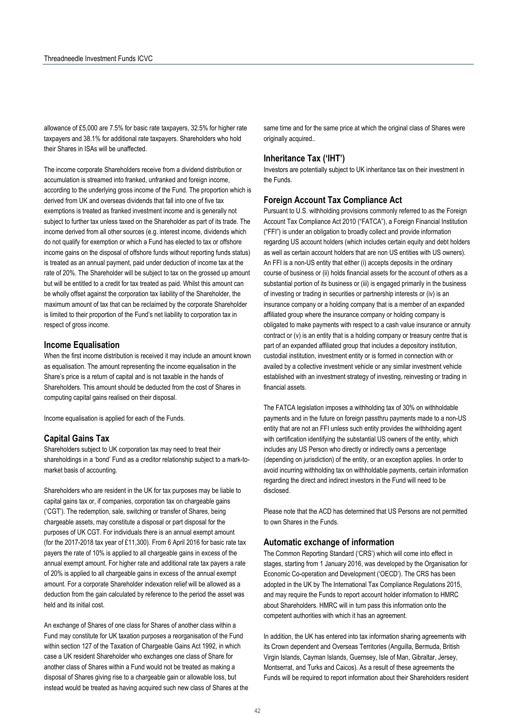allowance of £5,000 are 7.5% for basic rate taxpayers, 32.5% for higher rate taxpayers and 38.1% for additional rate taxpayers. Shareholders who hold their Shares in ISAs will be unaffected.

The income corporate Shareholders receive from a dividend distribution or accumulation is streamed into franked, unfranked and foreign income, according to the underlying gross income of the Fund. The proportion which is derived from UK and overseas dividends that fall into one of five tax exemptions is treated as franked investment income and is generally not subject to further tax unless taxed on the Shareholder as part of its trade. The income derived from all other sources (e.g. interest income, dividends which do not qualify for exemption or which a Fund has elected to tax or offshore income gains on the disposal of offshore funds without reporting funds status) is treated as an annual payment, paid under deduction of income tax at the rate of 20%. The Shareholder will be subject to tax on the grossed up amount but will be entitled to a credit for tax treated as paid. Whilst this amount can be wholly offset against the corporation tax liability of the Shareholder, the maximum amount of tax that can be reclaimed by the corporate Shareholder is limited to their proportion of the Fund's net liability to corporation tax in respect of gross income.

## **Income Equalisation**

When the first income distribution is received it may include an amount known as equalisation. The amount representing the income equalisation in the Share's price is a return of capital and is not taxable in the hands of Shareholders. This amount should be deducted from the cost of Shares in computing capital gains realised on their disposal.

Income equalisation is applied for each of the Funds.

### **Capital Gains Tax**

Shareholders subject to UK corporation tax may need to treat their shareholdings in a 'bond' Fund as a creditor relationship subject to a mark-tomarket basis of accounting.

Shareholders who are resident in the UK for tax purposes may be liable to capital gains tax or, if companies, corporation tax on chargeable gains ('CGT'). The redemption, sale, switching or transfer of Shares, being chargeable assets, may constitute a disposal or part disposal for the purposes of UK CGT. For individuals there is an annual exempt amount (for the 2017-2018 tax year of £11,300). From 6 April 2016 for basic rate tax payers the rate of 10% is applied to all chargeable gains in excess of the annual exempt amount. For higher rate and additional rate tax payers a rate of 20% is applied to all chargeable gains in excess of the annual exempt amount. For a corporate Shareholder indexation relief will be allowed as a deduction from the gain calculated by reference to the period the asset was held and its initial cost.

An exchange of Shares of one class for Shares of another class within a Fund may constitute for UK taxation purposes a reorganisation of the Fund within section 127 of the Taxation of Chargeable Gains Act 1992, in which case a UK resident Shareholder who exchanges one class of Share for another class of Shares within a Fund would not be treated as making a disposal of Shares giving rise to a chargeable gain or allowable loss, but instead would be treated as having acquired such new class of Shares at the same time and for the same price at which the original class of Shares were originally acquired..

## **Inheritance Tax ('IHT')**

Investors are potentially subject to UK inheritance tax on their investment in the Funds.

## **Foreign Account Tax Compliance Act**

Pursuant to U.S. withholding provisions commonly referred to as the Foreign Account Tax Compliance Act 2010 ("FATCA"), a Foreign Financial Institution ("FFI") is under an obligation to broadly collect and provide information regarding US account holders (which includes certain equity and debt holders as well as certain account holders that are non US entities with US owners). An FFI is a non-US entity that either (i) accepts deposits in the ordinary course of business or (ii) holds financial assets for the account of others as a substantial portion of its business or (iii) is engaged primarily in the business of investing or trading in securities or partnership interests or (iv) is an insurance company or a holding company that is a member of an expanded affiliated group where the insurance company or holding company is obligated to make payments with respect to a cash value insurance or annuity contract or (v) is an entity that is a holding company or treasury centre that is part of an expanded affiliated group that includes a depository institution, custodial institution, investment entity or is formed in connection with or availed by a collective investment vehicle or any similar investment vehicle established with an investment strategy of investing, reinvesting or trading in financial assets.

The FATCA legislation imposes a withholding tax of 30% on withholdable payments and in the future on foreign passthru payments made to a non-US entity that are not an FFI unless such entity provides the withholding agent with certification identifying the substantial US owners of the entity, which includes any US Person who directly or indirectly owns a percentage (depending on jurisdiction) of the entity, or an exception applies. In order to avoid incurring withholding tax on withholdable payments, certain information regarding the direct and indirect investors in the Fund will need to be disclosed.

Please note that the ACD has determined that US Persons are not permitted to own Shares in the Funds.

### **Automatic exchange of information**

The Common Reporting Standard ('CRS') which will come into effect in stages, starting from 1 January 2016, was developed by the Organisation for Economic Co-operation and Development ('OECD'). The CRS has been adopted in the UK by The International Tax Compliance Regulations 2015, and may require the Funds to report account holder information to HMRC about Shareholders. HMRC will in turn pass this information onto the competent authorities with which it has an agreement.

In addition, the UK has entered into tax information sharing agreements with its Crown dependent and Overseas Territories (Anguilla, Bermuda, British Virgin Islands, Cayman Islands, Guernsey, Isle of Man, Gibraltar, Jersey, Montserrat, and Turks and Caicos). As a result of these agreements the Funds will be required to report information about their Shareholders resident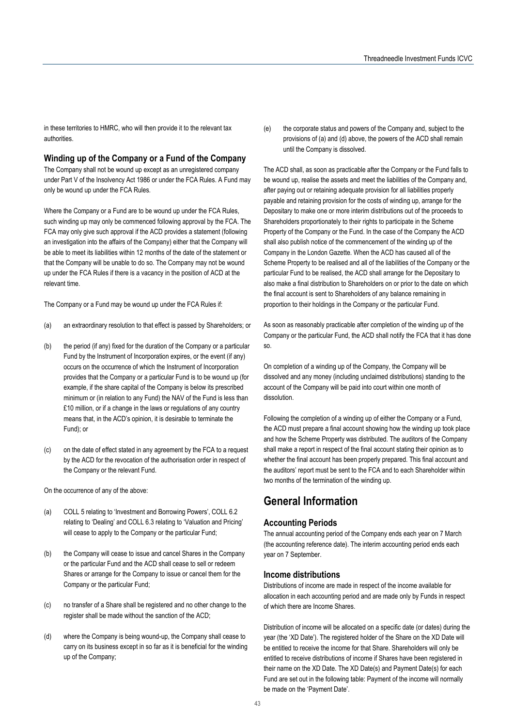in these territories to HMRC, who will then provide it to the relevant tax authorities.

### **Winding up of the Company or a Fund of the Company**

The Company shall not be wound up except as an unregistered company under Part V of the Insolvency Act 1986 or under the FCA Rules. A Fund may only be wound up under the FCA Rules.

Where the Company or a Fund are to be wound up under the FCA Rules, such winding up may only be commenced following approval by the FCA. The FCA may only give such approval if the ACD provides a statement (following an investigation into the affairs of the Company) either that the Company will be able to meet its liabilities within 12 months of the date of the statement or that the Company will be unable to do so. The Company may not be wound up under the FCA Rules if there is a vacancy in the position of ACD at the relevant time.

The Company or a Fund may be wound up under the FCA Rules if:

- (a) an extraordinary resolution to that effect is passed by Shareholders; or
- (b) the period (if any) fixed for the duration of the Company or a particular Fund by the Instrument of Incorporation expires, or the event (if any) occurs on the occurrence of which the Instrument of Incorporation provides that the Company or a particular Fund is to be wound up (for example, if the share capital of the Company is below its prescribed minimum or (in relation to any Fund) the NAV of the Fund is less than £10 million, or if a change in the laws or regulations of any country means that, in the ACD's opinion, it is desirable to terminate the Fund); or
- (c) on the date of effect stated in any agreement by the FCA to a request by the ACD for the revocation of the authorisation order in respect of the Company or the relevant Fund.

On the occurrence of any of the above:

- (a) COLL 5 relating to 'Investment and Borrowing Powers', COLL 6.2 relating to 'Dealing' and COLL 6.3 relating to 'Valuation and Pricing' will cease to apply to the Company or the particular Fund;
- (b) the Company will cease to issue and cancel Shares in the Company or the particular Fund and the ACD shall cease to sell or redeem Shares or arrange for the Company to issue or cancel them for the Company or the particular Fund;
- (c) no transfer of a Share shall be registered and no other change to the register shall be made without the sanction of the ACD;
- (d) where the Company is being wound-up, the Company shall cease to carry on its business except in so far as it is beneficial for the winding up of the Company;

(e) the corporate status and powers of the Company and, subject to the provisions of (a) and (d) above, the powers of the ACD shall remain until the Company is dissolved.

The ACD shall, as soon as practicable after the Company or the Fund falls to be wound up, realise the assets and meet the liabilities of the Company and, after paying out or retaining adequate provision for all liabilities properly payable and retaining provision for the costs of winding up, arrange for the Depositary to make one or more interim distributions out of the proceeds to Shareholders proportionately to their rights to participate in the Scheme Property of the Company or the Fund. In the case of the Company the ACD shall also publish notice of the commencement of the winding up of the Company in the London Gazette. When the ACD has caused all of the Scheme Property to be realised and all of the liabilities of the Company or the particular Fund to be realised, the ACD shall arrange for the Depositary to also make a final distribution to Shareholders on or prior to the date on which the final account is sent to Shareholders of any balance remaining in proportion to their holdings in the Company or the particular Fund.

As soon as reasonably practicable after completion of the winding up of the Company or the particular Fund, the ACD shall notify the FCA that it has done so.

On completion of a winding up of the Company, the Company will be dissolved and any money (including unclaimed distributions) standing to the account of the Company will be paid into court within one month of dissolution.

Following the completion of a winding up of either the Company or a Fund, the ACD must prepare a final account showing how the winding up took place and how the Scheme Property was distributed. The auditors of the Company shall make a report in respect of the final account stating their opinion as to whether the final account has been properly prepared. This final account and the auditors' report must be sent to the FCA and to each Shareholder within two months of the termination of the winding up.

## **General Information**

### **Accounting Periods**

The annual accounting period of the Company ends each year on 7 March (the accounting reference date). The interim accounting period ends each year on 7 September.

### **Income distributions**

Distributions of income are made in respect of the income available for allocation in each accounting period and are made only by Funds in respect of which there are Income Shares.

Distribution of income will be allocated on a specific date (or dates) during the year (the 'XD Date'). The registered holder of the Share on the XD Date will be entitled to receive the income for that Share. Shareholders will only be entitled to receive distributions of income if Shares have been registered in their name on the XD Date. The XD Date(s) and Payment Date(s) for each Fund are set out in the following table: Payment of the income will normally be made on the 'Payment Date'.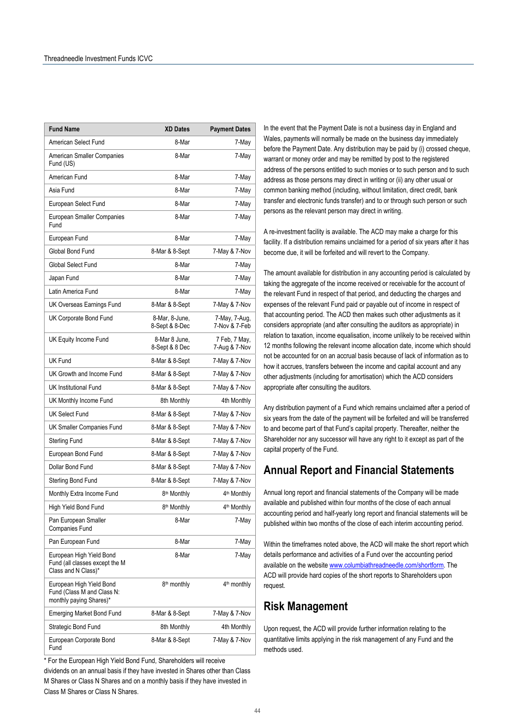| <b>Fund Name</b>                                                                  | <b>XD Dates</b>                  | <b>Payment Dates</b>           |
|-----------------------------------------------------------------------------------|----------------------------------|--------------------------------|
| American Select Fund                                                              | 8-Mar                            | 7-May                          |
| American Smaller Companies<br>Fund (US)                                           | 8-Mar                            | 7-May                          |
| American Fund                                                                     | 8-Mar                            | 7-May                          |
| Asia Fund                                                                         | 8-Mar                            | 7-May                          |
| European Select Fund                                                              | 8-Mar                            | 7-May                          |
| European Smaller Companies<br>Fund                                                | 8-Mar                            | 7-May                          |
| European Fund                                                                     | 8-Mar                            | 7-May                          |
| Global Bond Fund                                                                  | 8-Mar & 8-Sept                   | 7-May & 7-Nov                  |
| Global Select Fund                                                                | 8-Mar                            | 7-May                          |
| Japan Fund                                                                        | 8-Mar                            | 7-May                          |
| Latin America Fund                                                                | 8-Mar                            | 7-May                          |
| UK Overseas Earnings Fund                                                         | 8-Mar & 8-Sept                   | 7-May & 7-Nov                  |
| UK Corporate Bond Fund                                                            | 8-Mar, 8-June,<br>8-Sept & 8-Dec | 7-May, 7-Aug,<br>7-Nov & 7-Feb |
| UK Equity Income Fund                                                             | 8-Mar 8 June,<br>8-Sept & 8 Dec  | 7 Feb, 7 May,<br>7-Aug & 7-Nov |
| UK Fund                                                                           | 8-Mar & 8-Sept                   | 7-May & 7-Nov                  |
| UK Growth and Income Fund                                                         | 8-Mar & 8-Sept                   | 7-May & 7-Nov                  |
| <b>UK Institutional Fund</b>                                                      | 8-Mar & 8-Sept                   | 7-May & 7-Nov                  |
| UK Monthly Income Fund                                                            | 8th Monthly                      | 4th Monthly                    |
| <b>UK Select Fund</b>                                                             | 8-Mar & 8-Sept                   | 7-May & 7-Nov                  |
| UK Smaller Companies Fund                                                         | 8-Mar & 8-Sept                   | 7-May & 7-Nov                  |
| <b>Sterling Fund</b>                                                              | 8-Mar & 8-Sept                   | 7-May & 7-Nov                  |
| European Bond Fund                                                                | 8-Mar & 8-Sept                   | 7-May & 7-Nov                  |
| Dollar Bond Fund                                                                  | 8-Mar & 8-Sept                   | 7-May & 7-Nov                  |
| Sterling Bond Fund                                                                | 8-Mar & 8-Sept                   | 7-May & 7-Nov                  |
| Monthly Extra Income Fund                                                         | 8 <sup>th</sup> Monthly          | 4 <sup>th</sup> Monthly        |
| High Yield Bond Fund                                                              | 8 <sup>th</sup> Monthly          | 4 <sup>th</sup> Monthly        |
| Pan European Smaller<br><b>Companies Fund</b>                                     | 8-Mar                            | 7-May                          |
| Pan European Fund                                                                 | 8-Mar                            | 7-May                          |
| European High Yield Bond<br>Fund (all classes except the M<br>Class and N Class)* | 8-Mar                            | 7-May                          |
| European High Yield Bond<br>Fund (Class M and Class N:<br>monthly paying Shares)* | 8 <sup>th</sup> monthly          | 4 <sup>th</sup> monthly        |
| <b>Emerging Market Bond Fund</b>                                                  | 8-Mar & 8-Sept                   | 7-May & 7-Nov                  |
| Strategic Bond Fund                                                               | 8th Monthly                      | 4th Monthly                    |
| European Corporate Bond<br>Fund                                                   | 8-Mar & 8-Sept                   | 7-May & 7-Nov                  |

\* For the European High Yield Bond Fund, Shareholders will receive dividends on an annual basis if they have invested in Shares other than Class M Shares or Class N Shares and on a monthly basis if they have invested in Class M Shares or Class N Shares.

In the event that the Payment Date is not a business day in England and Wales, payments will normally be made on the business day immediately before the Payment Date. Any distribution may be paid by (i) crossed cheque, warrant or money order and may be remitted by post to the registered address of the persons entitled to such monies or to such person and to such address as those persons may direct in writing or (ii) any other usual or common banking method (including, without limitation, direct credit, bank transfer and electronic funds transfer) and to or through such person or such persons as the relevant person may direct in writing.

A re-investment facility is available. The ACD may make a charge for this facility. If a distribution remains unclaimed for a period of six years after it has become due, it will be forfeited and will revert to the Company.

The amount available for distribution in any accounting period is calculated by taking the aggregate of the income received or receivable for the account of the relevant Fund in respect of that period, and deducting the charges and expenses of the relevant Fund paid or payable out of income in respect of that accounting period. The ACD then makes such other adjustments as it considers appropriate (and after consulting the auditors as appropriate) in relation to taxation, income equalisation, income unlikely to be received within 12 months following the relevant income allocation date, income which should not be accounted for on an accrual basis because of lack of information as to how it accrues, transfers between the income and capital account and any other adjustments (including for amortisation) which the ACD considers appropriate after consulting the auditors.

Any distribution payment of a Fund which remains unclaimed after a period of six years from the date of the payment will be forfeited and will be transferred to and become part of that Fund's capital property. Thereafter, neither the Shareholder nor any successor will have any right to it except as part of the capital property of the Fund.

# **Annual Report and Financial Statements**

Annual long report and financial statements of the Company will be made available and published within four months of the close of each annual accounting period and half-yearly long report and financial statements will be published within two months of the close of each interim accounting period.

Within the timeframes noted above, the ACD will make the short report which details performance and activities of a Fund over the accounting period available on the website www.columbiathreadneedle.com/shortform. The ACD will provide hard copies of the short reports to Shareholders upon request.

## **Risk Management**

Upon request, the ACD will provide further information relating to the quantitative limits applying in the risk management of any Fund and the methods used.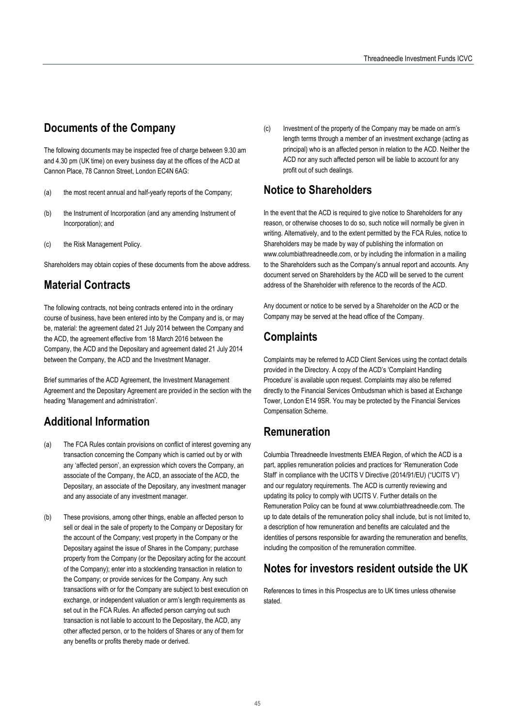# **Documents of the Company**

The following documents may be inspected free of charge between 9.30 am and 4.30 pm (UK time) on every business day at the offices of the ACD at Cannon Place, 78 Cannon Street, London EC4N 6AG:

- (a) the most recent annual and half-yearly reports of the Company;
- (b) the Instrument of Incorporation (and any amending Instrument of Incorporation); and
- (c) the Risk Management Policy.

Shareholders may obtain copies of these documents from the above address.

# **Material Contracts**

The following contracts, not being contracts entered into in the ordinary course of business, have been entered into by the Company and is, or may be, material: the agreement dated 21 July 2014 between the Company and the ACD, the agreement effective from 18 March 2016 between the Company, the ACD and the Depositary and agreement dated 21 July 2014 between the Company, the ACD and the Investment Manager.

Brief summaries of the ACD Agreement, the Investment Management Agreement and the Depositary Agreement are provided in the section with the heading 'Management and administration'.

# **Additional Information**

- (a) The FCA Rules contain provisions on conflict of interest governing any transaction concerning the Company which is carried out by or with any 'affected person', an expression which covers the Company, an associate of the Company, the ACD, an associate of the ACD, the Depositary, an associate of the Depositary, any investment manager and any associate of any investment manager.
- (b) These provisions, among other things, enable an affected person to sell or deal in the sale of property to the Company or Depositary for the account of the Company; vest property in the Company or the Depositary against the issue of Shares in the Company; purchase property from the Company (or the Depositary acting for the account of the Company); enter into a stocklending transaction in relation to the Company; or provide services for the Company. Any such transactions with or for the Company are subject to best execution on exchange, or independent valuation or arm's length requirements as set out in the FCA Rules. An affected person carrying out such transaction is not liable to account to the Depositary, the ACD, any other affected person, or to the holders of Shares or any of them for any benefits or profits thereby made or derived.

(c) Investment of the property of the Company may be made on arm's length terms through a member of an investment exchange (acting as principal) who is an affected person in relation to the ACD. Neither the ACD nor any such affected person will be liable to account for any profit out of such dealings.

# **Notice to Shareholders**

In the event that the ACD is required to give notice to Shareholders for any reason, or otherwise chooses to do so, such notice will normally be given in writing. Alternatively, and to the extent permitted by the FCA Rules, notice to Shareholders may be made by way of publishing the information on www.columbiathreadneedle.com, or by including the information in a mailing to the Shareholders such as the Company's annual report and accounts. Any document served on Shareholders by the ACD will be served to the current address of the Shareholder with reference to the records of the ACD.

Any document or notice to be served by a Shareholder on the ACD or the Company may be served at the head office of the Company.

# **Complaints**

Complaints may be referred to ACD Client Services using the contact details provided in the Directory. A copy of the ACD's 'Complaint Handling Procedure' is available upon request. Complaints may also be referred directly to the Financial Services Ombudsman which is based at Exchange Tower, London E14 9SR. You may be protected by the Financial Services Compensation Scheme.

# **Remuneration**

Columbia Threadneedle Investments EMEA Region, of which the ACD is a part, applies remuneration policies and practices for 'Remuneration Code Staff' in compliance with the UCITS V Directive (2014/91/EU) ("UCITS V") and our regulatory requirements. The ACD is currently reviewing and updating its policy to comply with UCITS V. Further details on the Remuneration Policy can be found at www.columbiathreadneedle.com. The up to date details of the remuneration policy shall include, but is not limited to, a description of how remuneration and benefits are calculated and the identities of persons responsible for awarding the remuneration and benefits, including the composition of the remuneration committee.

# **Notes for investors resident outside the UK**

References to times in this Prospectus are to UK times unless otherwise stated.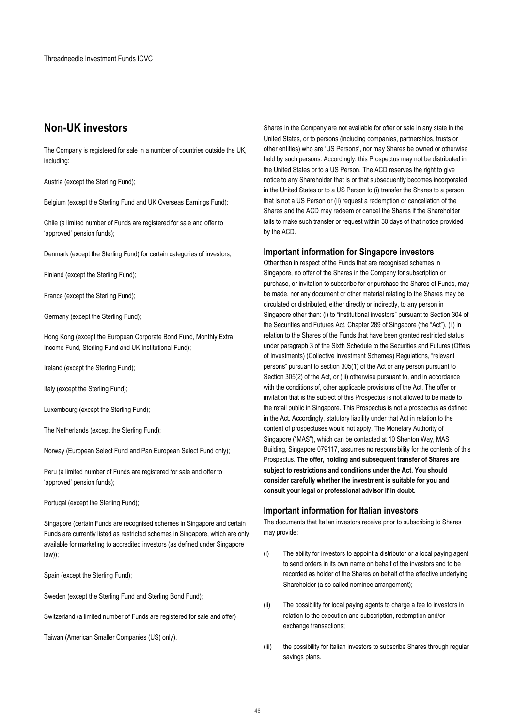## **Non-UK investors**

The Company is registered for sale in a number of countries outside the UK, including:

Austria (except the Sterling Fund);

Belgium (except the Sterling Fund and UK Overseas Earnings Fund);

Chile (a limited number of Funds are registered for sale and offer to 'approved' pension funds);

Denmark (except the Sterling Fund) for certain categories of investors;

Finland (except the Sterling Fund);

France (except the Sterling Fund);

Germany (except the Sterling Fund);

Hong Kong (except the European Corporate Bond Fund, Monthly Extra Income Fund, Sterling Fund and UK Institutional Fund);

Ireland (except the Sterling Fund);

Italy (except the Sterling Fund);

Luxembourg (except the Sterling Fund);

The Netherlands (except the Sterling Fund);

Norway (European Select Fund and Pan European Select Fund only);

Peru (a limited number of Funds are registered for sale and offer to 'approved' pension funds);

Portugal (except the Sterling Fund);

Singapore (certain Funds are recognised schemes in Singapore and certain Funds are currently listed as restricted schemes in Singapore, which are only available for marketing to accredited investors (as defined under Singapore law));

Spain (except the Sterling Fund);

Sweden (except the Sterling Fund and Sterling Bond Fund);

Switzerland (a limited number of Funds are registered for sale and offer)

Taiwan (American Smaller Companies (US) only).

Shares in the Company are not available for offer or sale in any state in the United States, or to persons (including companies, partnerships, trusts or other entities) who are 'US Persons', nor may Shares be owned or otherwise held by such persons. Accordingly, this Prospectus may not be distributed in the United States or to a US Person. The ACD reserves the right to give notice to any Shareholder that is or that subsequently becomes incorporated in the United States or to a US Person to (i) transfer the Shares to a person that is not a US Person or (ii) request a redemption or cancellation of the Shares and the ACD may redeem or cancel the Shares if the Shareholder fails to make such transfer or request within 30 days of that notice provided by the ACD.

### **Important information for Singapore investors**

Other than in respect of the Funds that are recognised schemes in Singapore, no offer of the Shares in the Company for subscription or purchase, or invitation to subscribe for or purchase the Shares of Funds, may be made, nor any document or other material relating to the Shares may be circulated or distributed, either directly or indirectly, to any person in Singapore other than: (i) to "institutional investors" pursuant to Section 304 of the Securities and Futures Act, Chapter 289 of Singapore (the "Act"), (ii) in relation to the Shares of the Funds that have been granted restricted status under paragraph 3 of the Sixth Schedule to the Securities and Futures (Offers of Investments) (Collective Investment Schemes) Regulations, "relevant persons" pursuant to section 305(1) of the Act or any person pursuant to Section 305(2) of the Act, or (iii) otherwise pursuant to, and in accordance with the conditions of, other applicable provisions of the Act. The offer or invitation that is the subject of this Prospectus is not allowed to be made to the retail public in Singapore. This Prospectus is not a prospectus as defined in the Act. Accordingly, statutory liability under that Act in relation to the content of prospectuses would not apply. The Monetary Authority of Singapore ("MAS"), which can be contacted at 10 Shenton Way, MAS Building, Singapore 079117, assumes no responsibility for the contents of this Prospectus. **The offer, holding and subsequent transfer of Shares are subject to restrictions and conditions under the Act. You should consider carefully whether the investment is suitable for you and consult your legal or professional advisor if in doubt.** 

#### **Important information for Italian investors**

The documents that Italian investors receive prior to subscribing to Shares may provide:

- (i) The ability for investors to appoint a distributor or a local paying agent to send orders in its own name on behalf of the investors and to be recorded as holder of the Shares on behalf of the effective underlying Shareholder (a so called nominee arrangement);
- (ii) The possibility for local paying agents to charge a fee to investors in relation to the execution and subscription, redemption and/or exchange transactions;
- (iii) the possibility for Italian investors to subscribe Shares through regular savings plans.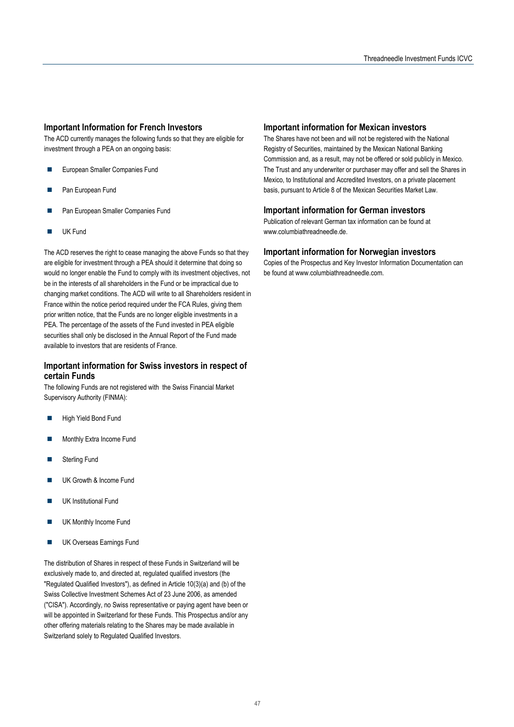## **Important Information for French Investors**

The ACD currently manages the following funds so that they are eligible for investment through a PEA on an ongoing basis:

- European Smaller Companies Fund
- Pan European Fund
- Pan European Smaller Companies Fund
- **UK Fund**

The ACD reserves the right to cease managing the above Funds so that they are eligible for investment through a PEA should it determine that doing so would no longer enable the Fund to comply with its investment objectives, not be in the interests of all shareholders in the Fund or be impractical due to changing market conditions. The ACD will write to all Shareholders resident in France within the notice period required under the FCA Rules, giving them prior written notice, that the Funds are no longer eligible investments in a PEA. The percentage of the assets of the Fund invested in PEA eligible securities shall only be disclosed in the Annual Report of the Fund made available to investors that are residents of France.

## **Important information for Swiss investors in respect of certain Funds**

The following Funds are not registered with the Swiss Financial Market Supervisory Authority (FINMA):

- High Yield Bond Fund
- Monthly Extra Income Fund
- Sterling Fund
- UK Growth & Income Fund
- UK Institutional Fund
- UK Monthly Income Fund
- **UK Overseas Earnings Fund**

The distribution of Shares in respect of these Funds in Switzerland will be exclusively made to, and directed at, regulated qualified investors (the "Regulated Qualified Investors"), as defined in Article 10(3)(a) and (b) of the Swiss Collective Investment Schemes Act of 23 June 2006, as amended ("CISA"). Accordingly, no Swiss representative or paying agent have been or will be appointed in Switzerland for these Funds. This Prospectus and/or any other offering materials relating to the Shares may be made available in Switzerland solely to Regulated Qualified Investors.

## **Important information for Mexican investors**

The Shares have not been and will not be registered with the National Registry of Securities, maintained by the Mexican National Banking Commission and, as a result, may not be offered or sold publicly in Mexico. The Trust and any underwriter or purchaser may offer and sell the Shares in Mexico, to Institutional and Accredited Investors, on a private placement basis, pursuant to Article 8 of the Mexican Securities Market Law.

## **Important information for German investors**

Publication of relevant German tax information can be found at www.columbiathreadneedle.de.

## **Important information for Norwegian investors**

Copies of the Prospectus and Key Investor Information Documentation can be found at www.columbiathreadneedle.com.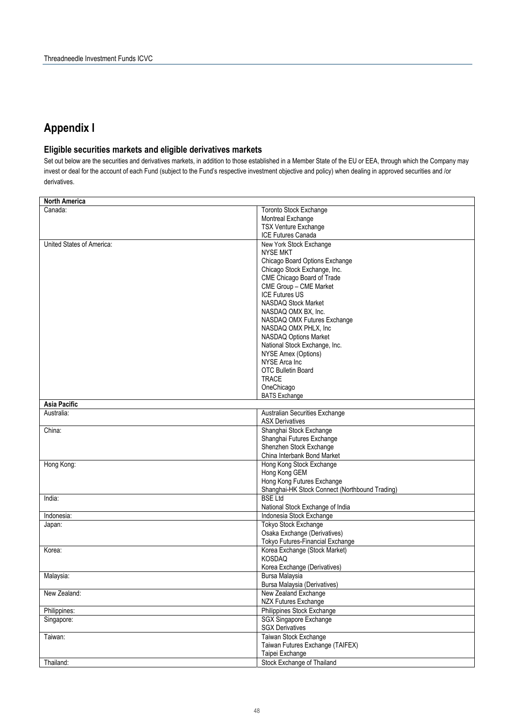# **Appendix I**

## **Eligible securities markets and eligible derivatives markets**

Set out below are the securities and derivatives markets, in addition to those established in a Member State of the EU or EEA, through which the Company may invest or deal for the account of each Fund (subject to the Fund's respective investment objective and policy) when dealing in approved securities and /or derivatives.

| <b>North America</b>      |                                                |
|---------------------------|------------------------------------------------|
| Canada:                   | Toronto Stock Exchange                         |
|                           | Montreal Exchange                              |
|                           | <b>TSX Venture Exchange</b>                    |
|                           | ICE Futures Canada                             |
| United States of America: | New York Stock Exchange                        |
|                           | <b>NYSE MKT</b>                                |
|                           |                                                |
|                           | Chicago Board Options Exchange                 |
|                           | Chicago Stock Exchange, Inc.                   |
|                           | CME Chicago Board of Trade                     |
|                           | CME Group - CME Market                         |
|                           | <b>ICE Futures US</b>                          |
|                           | <b>NASDAQ Stock Market</b>                     |
|                           | NASDAQ OMX BX, Inc.                            |
|                           | NASDAQ OMX Futures Exchange                    |
|                           | NASDAQ OMX PHLX, Inc                           |
|                           | NASDAQ Options Market                          |
|                           |                                                |
|                           | National Stock Exchange, Inc.                  |
|                           | NYSE Amex (Options)                            |
|                           | NYSE Arca Inc                                  |
|                           | <b>OTC Bulletin Board</b>                      |
|                           | <b>TRACE</b>                                   |
|                           | OneChicago                                     |
|                           | <b>BATS Exchange</b>                           |
| <b>Asia Pacific</b>       |                                                |
| Australia:                | Australian Securities Exchange                 |
|                           | <b>ASX Derivatives</b>                         |
| China:                    | Shanghai Stock Exchange                        |
|                           | Shanghai Futures Exchange                      |
|                           | Shenzhen Stock Exchange                        |
|                           | China Interbank Bond Market                    |
| Hong Kong:                | Hong Kong Stock Exchange                       |
|                           |                                                |
|                           | Hong Kong GEM                                  |
|                           | Hong Kong Futures Exchange                     |
|                           | Shanghai-HK Stock Connect (Northbound Trading) |
| India:                    | <b>BSE Ltd</b>                                 |
|                           | National Stock Exchange of India               |
| Indonesia:                | Indonesia Stock Exchange                       |
| Japan:                    | Tokyo Stock Exchange                           |
|                           | Osaka Exchange (Derivatives)                   |
|                           | Tokyo Futures-Financial Exchange               |
| Korea:                    | Korea Exchange (Stock Market)                  |
|                           | <b>KOSDAO</b>                                  |
|                           | Korea Exchange (Derivatives)                   |
| Malaysia:                 | Bursa Malaysia                                 |
|                           | Bursa Malaysia (Derivatives)                   |
|                           |                                                |
| New Zealand:              | New Zealand Exchange                           |
|                           | NZX Futures Exchange                           |
| Philippines:              | Philippines Stock Exchange                     |
| Singapore:                | SGX Singapore Exchange                         |
|                           | <b>SGX Derivatives</b>                         |
| Taiwan:                   | Taiwan Stock Exchange                          |
|                           | Taiwan Futures Exchange (TAIFEX)               |
|                           | Taipei Exchange                                |
| Thailand:                 | <b>Stock Exchange of Thailand</b>              |
|                           |                                                |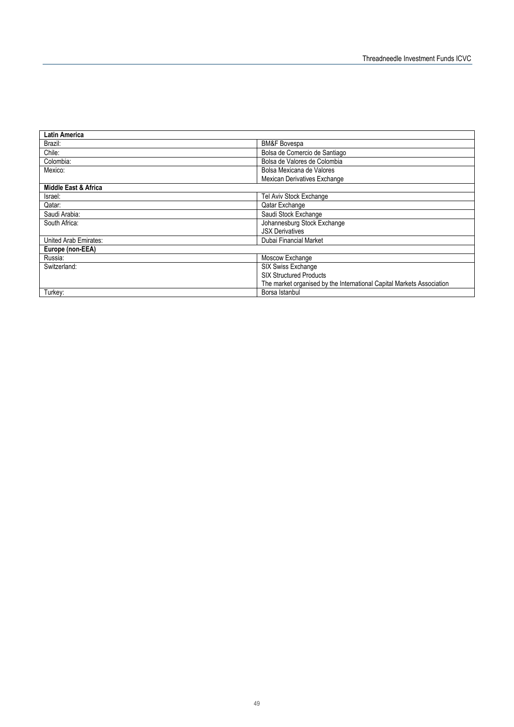| <b>Latin America</b>  |                                                                       |
|-----------------------|-----------------------------------------------------------------------|
| Brazil:               | <b>BM&amp;F Bovespa</b>                                               |
| Chile:                | Bolsa de Comercio de Santiago                                         |
| Colombia:             | Bolsa de Valores de Colombia                                          |
| Mexico:               | Bolsa Mexicana de Valores                                             |
|                       | Mexican Derivatives Exchange                                          |
| Middle East & Africa  |                                                                       |
| Israel:               | Tel Aviv Stock Exchange                                               |
| Qatar:                | Qatar Exchange                                                        |
| Saudi Arabia:         | Saudi Stock Exchange                                                  |
| South Africa:         | Johannesburg Stock Exchange                                           |
|                       | <b>JSX Derivatives</b>                                                |
| United Arab Emirates: | Dubai Financial Market                                                |
| Europe (non-EEA)      |                                                                       |
| Russia:               | Moscow Exchange                                                       |
| Switzerland:          | SIX Swiss Exchange                                                    |
|                       | <b>SIX Structured Products</b>                                        |
|                       | The market organised by the International Capital Markets Association |
| Turkey:               | Borsa Istanbul                                                        |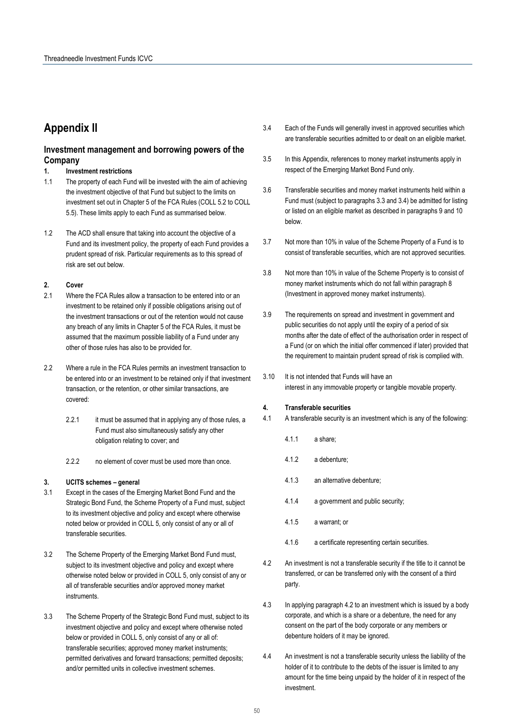# **Appendix II**

## **Investment management and borrowing powers of the Company**

#### **1. Investment restrictions**

- 1.1 The property of each Fund will be invested with the aim of achieving the investment objective of that Fund but subject to the limits on investment set out in Chapter 5 of the FCA Rules (COLL 5.2 to COLL 5.5). These limits apply to each Fund as summarised below.
- 1.2 The ACD shall ensure that taking into account the objective of a Fund and its investment policy, the property of each Fund provides a prudent spread of risk. Particular requirements as to this spread of risk are set out below.

#### **2. Cover**

- 2.1 Where the FCA Rules allow a transaction to be entered into or an investment to be retained only if possible obligations arising out of the investment transactions or out of the retention would not cause any breach of any limits in Chapter 5 of the FCA Rules, it must be assumed that the maximum possible liability of a Fund under any other of those rules has also to be provided for.
- 2.2 Where a rule in the FCA Rules permits an investment transaction to be entered into or an investment to be retained only if that investment transaction, or the retention, or other similar transactions, are covered:
	- 2.2.1 it must be assumed that in applying any of those rules, a Fund must also simultaneously satisfy any other obligation relating to cover; and
	- 2.2.2 no element of cover must be used more than once.

#### **3. UCITS schemes – general**

- 3.1 Except in the cases of the Emerging Market Bond Fund and the Strategic Bond Fund, the Scheme Property of a Fund must, subject to its investment objective and policy and except where otherwise noted below or provided in COLL 5, only consist of any or all of transferable securities.
- 3.2 The Scheme Property of the Emerging Market Bond Fund must, subject to its investment objective and policy and except where otherwise noted below or provided in COLL 5, only consist of any or all of transferable securities and/or approved money market instruments.
- 3.3 The Scheme Property of the Strategic Bond Fund must, subject to its investment objective and policy and except where otherwise noted below or provided in COLL 5, only consist of any or all of: transferable securities; approved money market instruments; permitted derivatives and forward transactions; permitted deposits; and/or permitted units in collective investment schemes.
- 3.4 Each of the Funds will generally invest in approved securities which are transferable securities admitted to or dealt on an eligible market.
- 3.5 In this Appendix, references to money market instruments apply in respect of the Emerging Market Bond Fund only.
- 3.6 Transferable securities and money market instruments held within a Fund must (subject to paragraphs 3.3 and 3.4) be admitted for listing or listed on an eligible market as described in paragraphs 9 and 10 below.
- 3.7 Not more than 10% in value of the Scheme Property of a Fund is to consist of transferable securities, which are not approved securities.
- 3.8 Not more than 10% in value of the Scheme Property is to consist of money market instruments which do not fall within paragraph 8 (Investment in approved money market instruments).
- 3.9 The requirements on spread and investment in government and public securities do not apply until the expiry of a period of six months after the date of effect of the authorisation order in respect of a Fund (or on which the initial offer commenced if later) provided that the requirement to maintain prudent spread of risk is complied with.
- 3.10 It is not intended that Funds will have an interest in any immovable property or tangible movable property.

#### **4. Transferable securities**

- 4.1 A transferable security is an investment which is any of the following:
	- 4.1.1 a share;
	- 4.1.2 a debenture;
	- 4.1.3 an alternative debenture;
	- 4.1.4 a government and public security;
	- 4.1.5 a warrant; or
	- 4.1.6 a certificate representing certain securities.
- 4.2 An investment is not a transferable security if the title to it cannot be transferred, or can be transferred only with the consent of a third party.
- 4.3 In applying paragraph 4.2 to an investment which is issued by a body corporate, and which is a share or a debenture, the need for any consent on the part of the body corporate or any members or debenture holders of it may be ignored.
- 4.4 An investment is not a transferable security unless the liability of the holder of it to contribute to the debts of the issuer is limited to any amount for the time being unpaid by the holder of it in respect of the investment.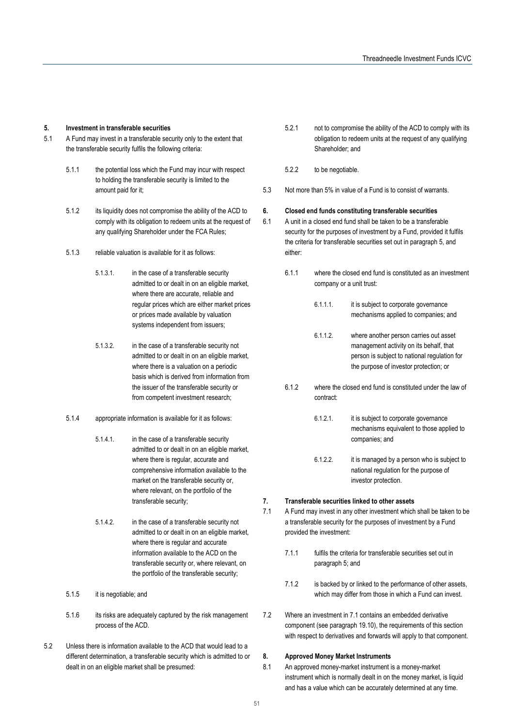#### **5. Investment in transferable securities**

- 5.1 A Fund may invest in a transferable security only to the extent that the transferable security fulfils the following criteria:
	- 5.1.1 the potential loss which the Fund may incur with respect to holding the transferable security is limited to the amount paid for it;
	- 5.1.2 its liquidity does not compromise the ability of the ACD to comply with its obligation to redeem units at the request of any qualifying Shareholder under the FCA Rules;
	- 5.1.3 reliable valuation is available for it as follows:
		- 5.1.3.1. in the case of a transferable security admitted to or dealt in on an eligible market, where there are accurate, reliable and regular prices which are either market prices or prices made available by valuation systems independent from issuers;
		- 5.1.3.2. in the case of a transferable security not admitted to or dealt in on an eligible market, where there is a valuation on a periodic basis which is derived from information from the issuer of the transferable security or from competent investment research;
	- 5.1.4 appropriate information is available for it as follows:
		- 5.1.4.1. in the case of a transferable security admitted to or dealt in on an eligible market, where there is regular, accurate and comprehensive information available to the market on the transferable security or, where relevant, on the portfolio of the transferable security;
		- 5.1.4.2. in the case of a transferable security not admitted to or dealt in on an eligible market, where there is regular and accurate information available to the ACD on the transferable security or, where relevant, on the portfolio of the transferable security;
	- 5.1.5 it is negotiable; and
	- 5.1.6 its risks are adequately captured by the risk management process of the ACD.
- 5.2 Unless there is information available to the ACD that would lead to a different determination, a transferable security which is admitted to or dealt in on an eligible market shall be presumed:
- 5.2.1 not to compromise the ability of the ACD to comply with its obligation to redeem units at the request of any qualifying Shareholder; and
- 5.2.2 to be negotiable.
- 5.3 Not more than 5% in value of a Fund is to consist of warrants.

#### **6. Closed end funds constituting transferable securities**

- 6.1 A unit in a closed end fund shall be taken to be a transferable security for the purposes of investment by a Fund, provided it fulfils the criteria for transferable securities set out in paragraph 5, and either:
	- 6.1.1 where the closed end fund is constituted as an investment company or a unit trust:
		- 6.1.1.1. it is subject to corporate governance mechanisms applied to companies; and
		- 6.1.1.2. where another person carries out asset management activity on its behalf, that person is subject to national regulation for the purpose of investor protection; or
	- 6.1.2 where the closed end fund is constituted under the law of contract:
		- 6.1.2.1. it is subject to corporate governance mechanisms equivalent to those applied to companies; and
		- 6.1.2.2. it is managed by a person who is subject to national regulation for the purpose of investor protection.
- **7. Transferable securities linked to other assets**
- 7.1 A Fund may invest in any other investment which shall be taken to be a transferable security for the purposes of investment by a Fund provided the investment:
	- 7.1.1 fulfils the criteria for transferable securities set out in paragraph 5; and
	- 7.1.2 is backed by or linked to the performance of other assets, which may differ from those in which a Fund can invest.
- 7.2 Where an investment in 7.1 contains an embedded derivative component (see paragraph 19.10), the requirements of this section with respect to derivatives and forwards will apply to that component.

#### **8. Approved Money Market Instruments**

8.1 An approved money-market instrument is a money-market instrument which is normally dealt in on the money market, is liquid and has a value which can be accurately determined at any time.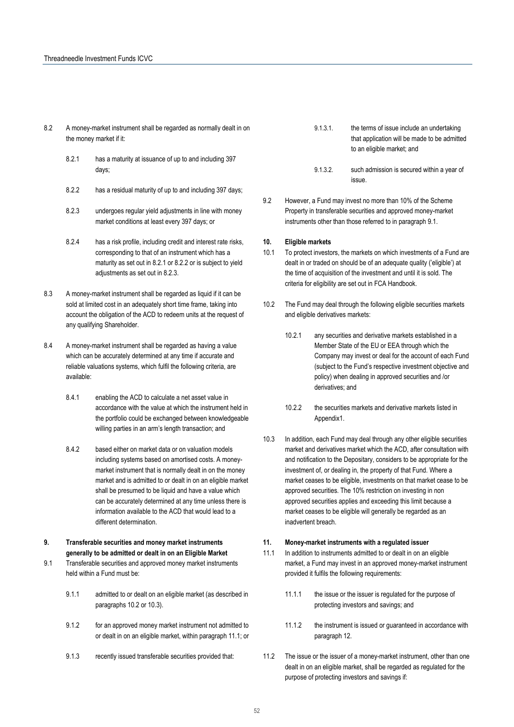- 8.2 A money-market instrument shall be regarded as normally dealt in on the money market if it:
	- 8.2.1 has a maturity at issuance of up to and including 397 days;
	- 8.2.2 has a residual maturity of up to and including 397 days;
	- 8.2.3 undergoes regular yield adjustments in line with money market conditions at least every 397 days; or
	- 8.2.4 has a risk profile, including credit and interest rate risks, corresponding to that of an instrument which has a maturity as set out in 8.2.1 or 8.2.2 or is subject to yield adjustments as set out in 8.2.3.
- 8.3 A money-market instrument shall be regarded as liquid if it can be sold at limited cost in an adequately short time frame, taking into account the obligation of the ACD to redeem units at the request of any qualifying Shareholder.
- 8.4 A money-market instrument shall be regarded as having a value which can be accurately determined at any time if accurate and reliable valuations systems, which fulfil the following criteria, are available:
	- 8.4.1 enabling the ACD to calculate a net asset value in accordance with the value at which the instrument held in the portfolio could be exchanged between knowledgeable willing parties in an arm's length transaction; and
	- 8.4.2 based either on market data or on valuation models including systems based on amortised costs. A moneymarket instrument that is normally dealt in on the money market and is admitted to or dealt in on an eligible market shall be presumed to be liquid and have a value which can be accurately determined at any time unless there is information available to the ACD that would lead to a different determination.

## **9. Transferable securities and money market instruments generally to be admitted or dealt in on an Eligible Market**

- 9.1 Transferable securities and approved money market instruments held within a Fund must be:
	- 9.1.1 admitted to or dealt on an eligible market (as described in paragraphs 10.2 or 10.3).
	- 9.1.2 for an approved money market instrument not admitted to or dealt in on an eligible market, within paragraph 11.1; or
	- 9.1.3 recently issued transferable securities provided that:
- 9.1.3.1. the terms of issue include an undertaking that application will be made to be admitted to an eligible market; and
- 9.1.3.2. such admission is secured within a year of issue.
- 9.2 However, a Fund may invest no more than 10% of the Scheme Property in transferable securities and approved money-market instruments other than those referred to in paragraph 9.1.

#### **10. Eligible markets**

- 10.1 To protect investors, the markets on which investments of a Fund are dealt in or traded on should be of an adequate quality ('eligible') at the time of acquisition of the investment and until it is sold. The criteria for eligibility are set out in FCA Handbook.
- 10.2 The Fund may deal through the following eligible securities markets and eligible derivatives markets:
	- 10.2.1 any securities and derivative markets established in a Member State of the EU or EEA through which the Company may invest or deal for the account of each Fund (subject to the Fund's respective investment objective and policy) when dealing in approved securities and /or derivatives; and
	- 10.2.2 the securities markets and derivative markets listed in Appendix1.
- 10.3 In addition, each Fund may deal through any other eligible securities market and derivatives market which the ACD, after consultation with and notification to the Depositary, considers to be appropriate for the investment of, or dealing in, the property of that Fund. Where a market ceases to be eligible, investments on that market cease to be approved securities. The 10% restriction on investing in non approved securities applies and exceeding this limit because a market ceases to be eligible will generally be regarded as an inadvertent breach.

### **11. Money-market instruments with a regulated issuer**

- 11.1 In addition to instruments admitted to or dealt in on an eligible market, a Fund may invest in an approved money-market instrument provided it fulfils the following requirements:
	- 11.1.1 the issue or the issuer is regulated for the purpose of protecting investors and savings; and
	- 11.1.2 the instrument is issued or guaranteed in accordance with paragraph 12.
- 11.2 The issue or the issuer of a money-market instrument, other than one dealt in on an eligible market, shall be regarded as regulated for the purpose of protecting investors and savings if: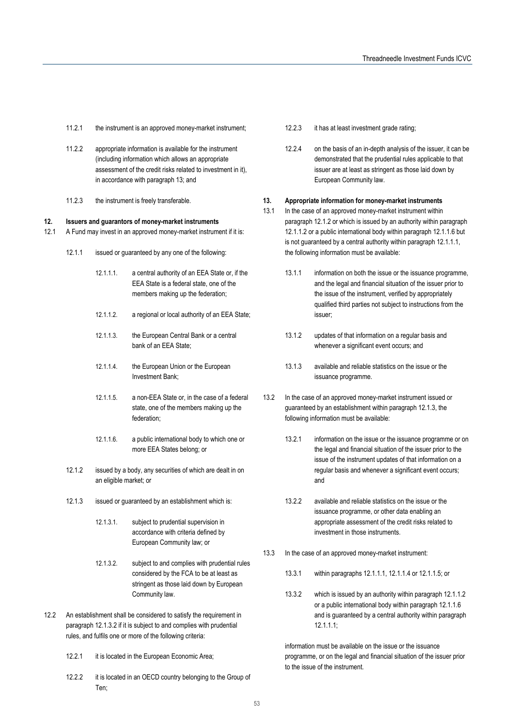- 11.2.1 the instrument is an approved money-market instrument;
- 11.2.2 appropriate information is available for the instrument (including information which allows an appropriate assessment of the credit risks related to investment in it), in accordance with paragraph 13; and
- 11.2.3 the instrument is freely transferable.

#### **12. Issuers and guarantors of money-market instruments**

- 12.1 A Fund may invest in an approved money-market instrument if it is:
	- 12.1.1 issued or guaranteed by any one of the following:
		- 12.1.1.1. a central authority of an EEA State or, if the EEA State is a federal state, one of the members making up the federation;
		- 12.1.1.2. a regional or local authority of an EEA State;
		- 12.1.1.3. the European Central Bank or a central bank of an EEA State;
		- 12.1.1.4. the European Union or the European Investment Bank;
		- 12.1.1.5. a non-EEA State or, in the case of a federal state, one of the members making up the federation;
		- 12.1.1.6. a public international body to which one or more EEA States belong; or
	- 12.1.2 issued by a body, any securities of which are dealt in on an eligible market; or
	- 12.1.3 issued or guaranteed by an establishment which is:
		- 12.1.3.1. subject to prudential supervision in accordance with criteria defined by European Community law; or
		- 12.1.3.2. subject to and complies with prudential rules considered by the FCA to be at least as stringent as those laid down by European Community law.
- 12.2 An establishment shall be considered to satisfy the requirement in paragraph 12.1.3.2 if it is subject to and complies with prudential rules, and fulfils one or more of the following criteria:
	- 12.2.1 it is located in the European Economic Area;
	- 12.2.2 it is located in an OECD country belonging to the Group of Ten;

12.2.3 it has at least investment grade rating;

12.2.4 on the basis of an in-depth analysis of the issuer, it can be demonstrated that the prudential rules applicable to that issuer are at least as stringent as those laid down by European Community law.

#### **13. Appropriate information for money-market instruments**

- 13.1 In the case of an approved money-market instrument within paragraph 12.1.2 or which is issued by an authority within paragraph 12.1.1.2 or a public international body within paragraph 12.1.1.6 but is not guaranteed by a central authority within paragraph 12.1.1.1, the following information must be available:
	- 13.1.1 information on both the issue or the issuance programme, and the legal and financial situation of the issuer prior to the issue of the instrument, verified by appropriately qualified third parties not subject to instructions from the issuer;
	- 13.1.2 updates of that information on a regular basis and whenever a significant event occurs; and
	- 13.1.3 available and reliable statistics on the issue or the issuance programme.
- 13.2 In the case of an approved money-market instrument issued or guaranteed by an establishment within paragraph 12.1.3, the following information must be available:
	- 13.2.1 information on the issue or the issuance programme or on the legal and financial situation of the issuer prior to the issue of the instrument updates of that information on a regular basis and whenever a significant event occurs; and
	- 13.2.2 available and reliable statistics on the issue or the issuance programme, or other data enabling an appropriate assessment of the credit risks related to investment in those instruments.
- 13.3 In the case of an approved money-market instrument:
	- 13.3.1 within paragraphs 12.1.1.1, 12.1.1.4 or 12.1.1.5; or
	- 13.3.2 which is issued by an authority within paragraph 12.1.1.2 or a public international body within paragraph 12.1.1.6 and is guaranteed by a central authority within paragraph 12.1.1.1;

information must be available on the issue or the issuance programme, or on the legal and financial situation of the issuer prior to the issue of the instrument.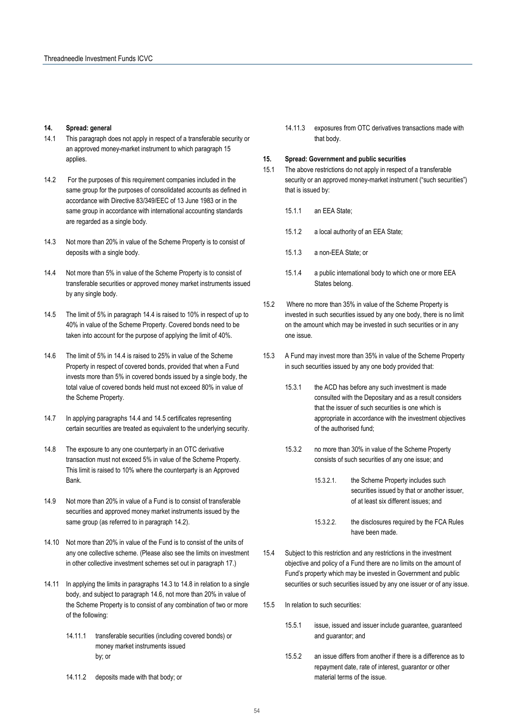#### **14. Spread: general**

- 14.1 This paragraph does not apply in respect of a transferable security or an approved money-market instrument to which paragraph 15 applies.
- 14.2 For the purposes of this requirement companies included in the same group for the purposes of consolidated accounts as defined in accordance with Directive 83/349/EEC of 13 June 1983 or in the same group in accordance with international accounting standards are regarded as a single body.
- 14.3 Not more than 20% in value of the Scheme Property is to consist of deposits with a single body.
- 14.4 Not more than 5% in value of the Scheme Property is to consist of transferable securities or approved money market instruments issued by any single body.
- 14.5 The limit of 5% in paragraph 14.4 is raised to 10% in respect of up to 40% in value of the Scheme Property. Covered bonds need to be taken into account for the purpose of applying the limit of 40%.
- 14.6 The limit of 5% in 14.4 is raised to 25% in value of the Scheme Property in respect of covered bonds, provided that when a Fund invests more than 5% in covered bonds issued by a single body, the total value of covered bonds held must not exceed 80% in value of the Scheme Property.
- 14.7 In applying paragraphs 14.4 and 14.5 certificates representing certain securities are treated as equivalent to the underlying security.
- 14.8 The exposure to any one counterparty in an OTC derivative transaction must not exceed 5% in value of the Scheme Property. This limit is raised to 10% where the counterparty is an Approved Bank.
- 14.9 Not more than 20% in value of a Fund is to consist of transferable securities and approved money market instruments issued by the same group (as referred to in paragraph 14.2).
- 14.10 Not more than 20% in value of the Fund is to consist of the units of any one collective scheme. (Please also see the limits on investment in other collective investment schemes set out in paragraph 17.)
- 14.11 In applying the limits in paragraphs 14.3 to 14.8 in relation to a single body, and subject to paragraph 14.6, not more than 20% in value of the Scheme Property is to consist of any combination of two or more of the following:
	- 14.11.1 transferable securities (including covered bonds) or money market instruments issued by; or
	- 14.11.2 deposits made with that body; or

14.11.3 exposures from OTC derivatives transactions made with that body.

#### **15. Spread: Government and public securities**

- 15.1 The above restrictions do not apply in respect of a transferable security or an approved money-market instrument ("such securities") that is issued by:
	- 15.1.1 an EEA State;
	- 15.1.2 a local authority of an EEA State;
	- 15.1.3 a non-EEA State; or
	- 15.1.4 a public international body to which one or more EEA States belong.
- 15.2 Where no more than 35% in value of the Scheme Property is invested in such securities issued by any one body, there is no limit on the amount which may be invested in such securities or in any one issue.
- 15.3 A Fund may invest more than 35% in value of the Scheme Property in such securities issued by any one body provided that:
	- 15.3.1 the ACD has before any such investment is made consulted with the Depositary and as a result considers that the issuer of such securities is one which is appropriate in accordance with the investment objectives of the authorised fund;
	- 15.3.2 no more than 30% in value of the Scheme Property consists of such securities of any one issue; and
		- 15.3.2.1. the Scheme Property includes such securities issued by that or another issuer, of at least six different issues; and
		- 15.3.2.2. the disclosures required by the FCA Rules have been made.
- 15.4 Subject to this restriction and any restrictions in the investment objective and policy of a Fund there are no limits on the amount of Fund's property which may be invested in Government and public securities or such securities issued by any one issuer or of any issue.
- 15.5 In relation to such securities:
	- 15.5.1 issue, issued and issuer include guarantee, guaranteed and guarantor; and
	- 15.5.2 an issue differs from another if there is a difference as to repayment date, rate of interest, guarantor or other material terms of the issue.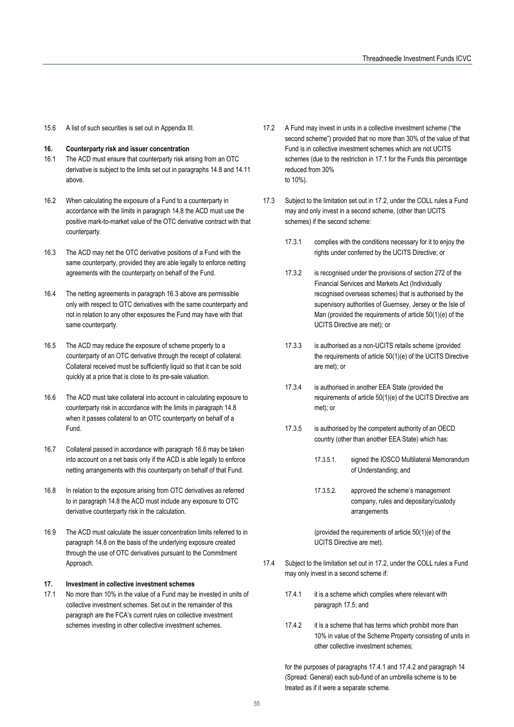15.6 A list of such securities is set out in Appendix III.

### **16. Counterparty risk and issuer concentration**

- 16.1 The ACD must ensure that counterparty risk arising from an OTC derivative is subject to the limits set out in paragraphs 14.8 and 14.11 above.
- 16.2 When calculating the exposure of a Fund to a counterparty in accordance with the limits in paragraph 14.8 the ACD must use the positive mark-to-market value of the OTC derivative contract with that counterparty.
- 16.3 The ACD may net the OTC derivative positions of a Fund with the same counterparty, provided they are able legally to enforce netting agreements with the counterparty on behalf of the Fund.
- 16.4 The netting agreements in paragraph 16.3 above are permissible only with respect to OTC derivatives with the same counterparty and not in relation to any other exposures the Fund may have with that same counterparty.
- 16.5 The ACD may reduce the exposure of scheme property to a counterparty of an OTC derivative through the receipt of collateral. Collateral received must be sufficiently liquid so that it can be sold quickly at a price that is close to its pre-sale valuation.
- 16.6 The ACD must take collateral into account in calculating exposure to counterparty risk in accordance with the limits in paragraph 14.8 when it passes collateral to an OTC counterparty on behalf of a Fund.
- 16.7 Collateral passed in accordance with paragraph 16.6 may be taken into account on a net basis only if the ACD is able legally to enforce netting arrangements with this counterparty on behalf of that Fund.
- 16.8 In relation to the exposure arising from OTC derivatives as referred to in paragraph 14.8 the ACD must include any exposure to OTC derivative counterparty risk in the calculation.
- 16.9 The ACD must calculate the issuer concentration limits referred to in paragraph 14.8 on the basis of the underlying exposure created through the use of OTC derivatives pursuant to the Commitment Approach.

#### **17. Investment in collective investment schemes**

17.1 No more than 10% in the value of a Fund may be invested in units of collective investment schemes. Set out in the remainder of this paragraph are the FCA's current rules on collective investment schemes investing in other collective investment schemes.

- 17.2 A Fund may invest in units in a collective investment scheme ("the second scheme") provided that no more than 30% of the value of that Fund is in collective investment schemes which are not UCITS schemes (due to the restriction in 17.1 for the Funds this percentage reduced from 30% to 10%).
- 17.3 Subject to the limitation set out in 17.2, under the COLL rules a Fund may and only invest in a second scheme, (other than UCITS schemes) if the second scheme:
	- 17.3.1 complies with the conditions necessary for it to enjoy the rights under conferred by the UCITS Directive; or
	- 17.3.2 is recognised under the provisions of section 272 of the Financial Services and Markets Act (Individually recognised overseas schemes) that is authorised by the supervisory authorities of Guernsey, Jersey or the Isle of Man (provided the requirements of article 50(1)(e) of the UCITS Directive are met); or
	- 17.3.3 is authorised as a non-UCITS retails scheme (provided the requirements of article 50(1)(e) of the UCITS Directive are met); or
	- 17.3.4 is authorised in another EEA State (provided the requirements of article 50(1)(e) of the UCITS Directive are met); or
	- 17.3.5 is authorised by the competent authority of an OECD country (other than another EEA State) which has:
		- 17.3.5.1. signed the IOSCO Multilateral Memorandum of Understanding; and
		- 17.3.5.2. approved the scheme's management company, rules and depositary/custody arrangements

(provided the requirements of article 50(1)(e) of the UCITS Directive are met).

- 17.4 Subject to the limitation set out in 17.2, under the COLL rules a Fund may only invest in a second scheme if:
	- 17.4.1 it is a scheme which complies where relevant with paragraph 17.5; and
	- 17.4.2 it is a scheme that has terms which prohibit more than 10% in value of the Scheme Property consisting of units in other collective investment schemes;

for the purposes of paragraphs 17.4.1 and 17.4.2 and paragraph 14 (Spread: General) each sub-fund of an umbrella scheme is to be treated as if it were a separate scheme.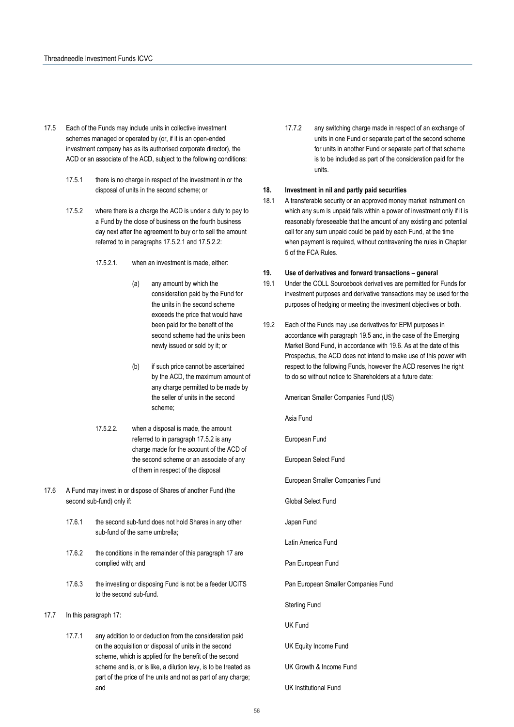- 17.5 Each of the Funds may include units in collective investment schemes managed or operated by (or, if it is an open-ended investment company has as its authorised corporate director), the ACD or an associate of the ACD, subject to the following conditions:
	- 17.5.1 there is no charge in respect of the investment in or the disposal of units in the second scheme; or
	- 17.5.2 where there is a charge the ACD is under a duty to pay to a Fund by the close of business on the fourth business day next after the agreement to buy or to sell the amount referred to in paragraphs 17.5.2.1 and 17.5.2.2:
		- 17.5.2.1. when an investment is made, either:
			- (a) any amount by which the consideration paid by the Fund for the units in the second scheme exceeds the price that would have been paid for the benefit of the second scheme had the units been newly issued or sold by it; or
				- (b) if such price cannot be ascertained by the ACD, the maximum amount of any charge permitted to be made by the seller of units in the second scheme;
		- 17.5.2.2. when a disposal is made, the amount referred to in paragraph 17.5.2 is any charge made for the account of the ACD of the second scheme or an associate of any of them in respect of the disposal
- 17.6 A Fund may invest in or dispose of Shares of another Fund (the second sub-fund) only if:
	- 17.6.1 the second sub-fund does not hold Shares in any other sub-fund of the same umbrella;
	- 17.6.2 the conditions in the remainder of this paragraph 17 are complied with; and
	- 17.6.3 the investing or disposing Fund is not be a feeder UCITS to the second sub-fund.
- 17.7 In this paragraph 17:
	- 17.7.1 any addition to or deduction from the consideration paid on the acquisition or disposal of units in the second scheme, which is applied for the benefit of the second scheme and is, or is like, a dilution levy, is to be treated as part of the price of the units and not as part of any charge; and

17.7.2 any switching charge made in respect of an exchange of units in one Fund or separate part of the second scheme for units in another Fund or separate part of that scheme is to be included as part of the consideration paid for the units.

#### **18. Investment in nil and partly paid securities**

- 18.1 A transferable security or an approved money market instrument on which any sum is unpaid falls within a power of investment only if it is reasonably foreseeable that the amount of any existing and potential call for any sum unpaid could be paid by each Fund, at the time when payment is required, without contravening the rules in Chapter 5 of the FCA Rules.
- **19. Use of derivatives and forward transactions general**
- 19.1 Under the COLL Sourcebook derivatives are permitted for Funds for investment purposes and derivative transactions may be used for the purposes of hedging or meeting the investment objectives or both.
- 19.2 Each of the Funds may use derivatives for EPM purposes in accordance with paragraph 19.5 and, in the case of the Emerging Market Bond Fund, in accordance with 19.6. As at the date of this Prospectus, the ACD does not intend to make use of this power with respect to the following Funds, however the ACD reserves the right to do so without notice to Shareholders at a future date:

American Smaller Companies Fund (US)

Asia Fund

European Fund

European Select Fund

European Smaller Companies Fund

Global Select Fund

Japan Fund

Latin America Fund

Pan European Fund

Pan European Smaller Companies Fund

Sterling Fund

UK Fund

UK Equity Income Fund

UK Growth & Income Fund

UK Institutional Fund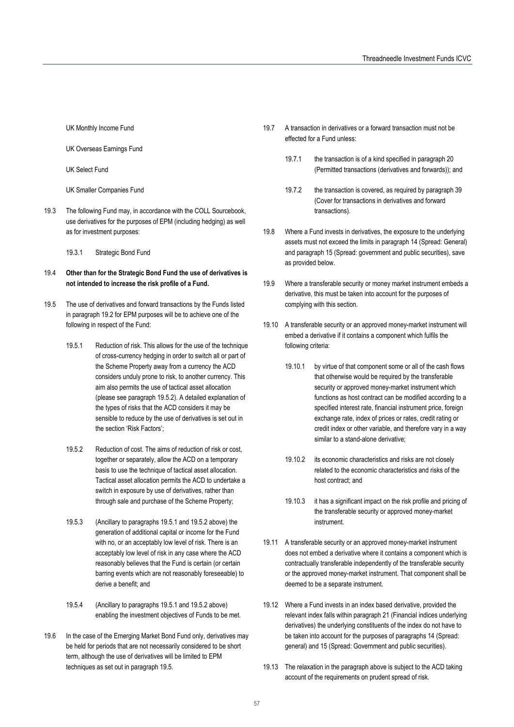UK Monthly Income Fund

UK Overseas Earnings Fund

UK Select Fund

UK Smaller Companies Fund

- 19.3 The following Fund may, in accordance with the COLL Sourcebook, use derivatives for the purposes of EPM (including hedging) as well as for investment purposes:
	- 19.3.1 Strategic Bond Fund
- 19.4 **Other than for the Strategic Bond Fund the use of derivatives is not intended to increase the risk profile of a Fund.**
- 19.5 The use of derivatives and forward transactions by the Funds listed in paragraph 19.2 for EPM purposes will be to achieve one of the following in respect of the Fund:
	- 19.5.1 Reduction of risk. This allows for the use of the technique of cross-currency hedging in order to switch all or part of the Scheme Property away from a currency the ACD considers unduly prone to risk, to another currency. This aim also permits the use of tactical asset allocation (please see paragraph 19.5.2). A detailed explanation of the types of risks that the ACD considers it may be sensible to reduce by the use of derivatives is set out in the section 'Risk Factors';
	- 19.5.2 Reduction of cost. The aims of reduction of risk or cost, together or separately, allow the ACD on a temporary basis to use the technique of tactical asset allocation. Tactical asset allocation permits the ACD to undertake a switch in exposure by use of derivatives, rather than through sale and purchase of the Scheme Property;
	- 19.5.3 (Ancillary to paragraphs 19.5.1 and 19.5.2 above) the generation of additional capital or income for the Fund with no, or an acceptably low level of risk. There is an acceptably low level of risk in any case where the ACD reasonably believes that the Fund is certain (or certain barring events which are not reasonably foreseeable) to derive a benefit; and
	- 19.5.4 (Ancillary to paragraphs 19.5.1 and 19.5.2 above) enabling the investment objectives of Funds to be met.
- 19.6 In the case of the Emerging Market Bond Fund only, derivatives may be held for periods that are not necessarily considered to be short term, although the use of derivatives will be limited to EPM techniques as set out in paragraph 19.5.
- 19.7 A transaction in derivatives or a forward transaction must not be effected for a Fund unless:
	- 19.7.1 the transaction is of a kind specified in paragraph 20 (Permitted transactions (derivatives and forwards)); and
	- 19.7.2 the transaction is covered, as required by paragraph 39 (Cover for transactions in derivatives and forward transactions).
- 19.8 Where a Fund invests in derivatives, the exposure to the underlying assets must not exceed the limits in paragraph 14 (Spread: General) and paragraph 15 (Spread: government and public securities), save as provided below.
- 19.9 Where a transferable security or money market instrument embeds a derivative, this must be taken into account for the purposes of complying with this section.
- 19.10 A transferable security or an approved money-market instrument will embed a derivative if it contains a component which fulfils the following criteria:
	- 19.10.1 by virtue of that component some or all of the cash flows that otherwise would be required by the transferable security or approved money-market instrument which functions as host contract can be modified according to a specified interest rate, financial instrument price, foreign exchange rate, index of prices or rates, credit rating or credit index or other variable, and therefore vary in a way similar to a stand-alone derivative;
	- 19.10.2 its economic characteristics and risks are not closely related to the economic characteristics and risks of the host contract; and
	- 19.10.3 it has a significant impact on the risk profile and pricing of the transferable security or approved money-market instrument.
- 19.11 A transferable security or an approved money-market instrument does not embed a derivative where it contains a component which is contractually transferable independently of the transferable security or the approved money-market instrument. That component shall be deemed to be a separate instrument.
- 19.12 Where a Fund invests in an index based derivative, provided the relevant index falls within paragraph 21 (Financial indices underlying derivatives) the underlying constituents of the index do not have to be taken into account for the purposes of paragraphs 14 (Spread: general) and 15 (Spread: Government and public securities).
- 19.13 The relaxation in the paragraph above is subject to the ACD taking account of the requirements on prudent spread of risk.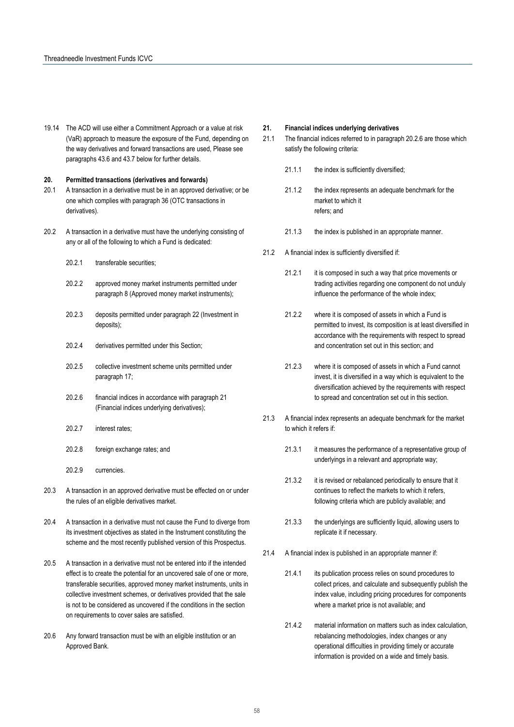19.14 The ACD will use either a Commitment Approach or a value at risk (VaR) approach to measure the exposure of the Fund, depending on the way derivatives and forward transactions are used, Please see paragraphs 43.6 and 43.7 below for further details.

#### **20. Permitted transactions (derivatives and forwards)**

- 20.1 A transaction in a derivative must be in an approved derivative; or be one which complies with paragraph 36 (OTC transactions in derivatives).
- 20.2 A transaction in a derivative must have the underlying consisting of any or all of the following to which a Fund is dedicated:
	- 20.2.1 transferable securities:
	- 20.2.2 approved money market instruments permitted under paragraph 8 (Approved money market instruments);
	- 20.2.3 deposits permitted under paragraph 22 (Investment in deposits);
	- 20.2.4 derivatives permitted under this Section;
	- 20.2.5 collective investment scheme units permitted under paragraph 17;
	- 20.2.6 financial indices in accordance with paragraph 21 (Financial indices underlying derivatives);
	- 20.2.7 interest rates;
	- 20.2.8 foreign exchange rates; and
	- 20.2.9 currencies.
- 20.3 A transaction in an approved derivative must be effected on or under the rules of an eligible derivatives market.
- 20.4 A transaction in a derivative must not cause the Fund to diverge from its investment objectives as stated in the Instrument constituting the scheme and the most recently published version of this Prospectus.
- 20.5 A transaction in a derivative must not be entered into if the intended effect is to create the potential for an uncovered sale of one or more, transferable securities, approved money market instruments, units in collective investment schemes, or derivatives provided that the sale is not to be considered as uncovered if the conditions in the section on requirements to cover sales are satisfied.
- 20.6 Any forward transaction must be with an eligible institution or an Approved Bank.

#### **21. Financial indices underlying derivatives**

- 21.1 The financial indices referred to in paragraph 20.2.6 are those which satisfy the following criteria:
	- 21.1.1 the index is sufficiently diversified;
	- 21.1.2 the index represents an adequate benchmark for the market to which it refers; and
	- 21.1.3 the index is published in an appropriate manner.
- 21.2 A financial index is sufficiently diversified if:
	- 21.2.1 it is composed in such a way that price movements or trading activities regarding one component do not unduly influence the performance of the whole index;
	- 21.2.2 where it is composed of assets in which a Fund is permitted to invest, its composition is at least diversified in accordance with the requirements with respect to spread and concentration set out in this section; and
	- 21.2.3 where it is composed of assets in which a Fund cannot invest, it is diversified in a way which is equivalent to the diversification achieved by the requirements with respect to spread and concentration set out in this section.
- 21.3 A financial index represents an adequate benchmark for the market to which it refers if:
	- 21.3.1 it measures the performance of a representative group of underlyings in a relevant and appropriate way;
	- 21.3.2 it is revised or rebalanced periodically to ensure that it continues to reflect the markets to which it refers, following criteria which are publicly available; and
	- 21.3.3 the underlyings are sufficiently liquid, allowing users to replicate it if necessary.
- 21.4 A financial index is published in an appropriate manner if:
	- 21.4.1 its publication process relies on sound procedures to collect prices, and calculate and subsequently publish the index value, including pricing procedures for components where a market price is not available; and
	- 21.4.2 material information on matters such as index calculation, rebalancing methodologies, index changes or any operational difficulties in providing timely or accurate information is provided on a wide and timely basis.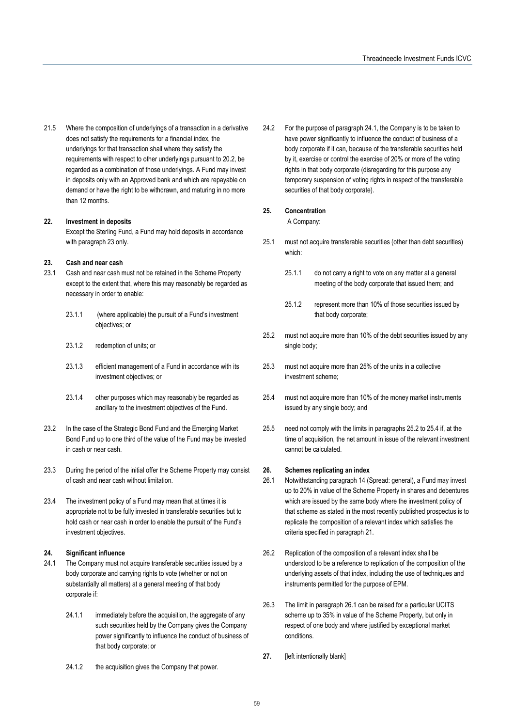21.5 Where the composition of underlyings of a transaction in a derivative does not satisfy the requirements for a financial index, the underlyings for that transaction shall where they satisfy the requirements with respect to other underlyings pursuant to 20.2, be regarded as a combination of those underlyings. A Fund may invest in deposits only with an Approved bank and which are repayable on demand or have the right to be withdrawn, and maturing in no more than 12 months.

### **22. Investment in deposits**

Except the Sterling Fund, a Fund may hold deposits in accordance with paragraph 23 only.

### **23. Cash and near cash**

- 23.1 Cash and near cash must not be retained in the Scheme Property except to the extent that, where this may reasonably be regarded as necessary in order to enable:
	- 23.1.1 (where applicable) the pursuit of a Fund's investment objectives; or
	- 23.1.2 redemption of units; or
	- 23.1.3 efficient management of a Fund in accordance with its investment objectives; or
	- 23.1.4 other purposes which may reasonably be regarded as ancillary to the investment objectives of the Fund.
- 23.2 In the case of the Strategic Bond Fund and the Emerging Market Bond Fund up to one third of the value of the Fund may be invested in cash or near cash.
- 23.3 During the period of the initial offer the Scheme Property may consist of cash and near cash without limitation.
- 23.4 The investment policy of a Fund may mean that at times it is appropriate not to be fully invested in transferable securities but to hold cash or near cash in order to enable the pursuit of the Fund's investment objectives.

## **24. Significant influence**

- 24.1 The Company must not acquire transferable securities issued by a body corporate and carrying rights to vote (whether or not on substantially all matters) at a general meeting of that body corporate if:
	- 24.1.1 immediately before the acquisition, the aggregate of any such securities held by the Company gives the Company power significantly to influence the conduct of business of that body corporate; or
	- 24.1.2 the acquisition gives the Company that power.

24.2 For the purpose of paragraph 24.1, the Company is to be taken to have power significantly to influence the conduct of business of a body corporate if it can, because of the transferable securities held by it, exercise or control the exercise of 20% or more of the voting rights in that body corporate (disregarding for this purpose any temporary suspension of voting rights in respect of the transferable securities of that body corporate).

### **25. Concentration**

A Company:

- 25.1 must not acquire transferable securities (other than debt securities) which:
	- 25.1.1 do not carry a right to vote on any matter at a general meeting of the body corporate that issued them; and
	- 25.1.2 represent more than 10% of those securities issued by that body corporate;
- 25.2 must not acquire more than 10% of the debt securities issued by any single body;
- 25.3 must not acquire more than 25% of the units in a collective investment scheme;
- 25.4 must not acquire more than 10% of the money market instruments issued by any single body; and
- 25.5 need not comply with the limits in paragraphs 25.2 to 25.4 if, at the time of acquisition, the net amount in issue of the relevant investment cannot be calculated.

### **26. Schemes replicating an index**

- 26.1 Notwithstanding paragraph 14 (Spread: general), a Fund may invest up to 20% in value of the Scheme Property in shares and debentures which are issued by the same body where the investment policy of that scheme as stated in the most recently published prospectus is to replicate the composition of a relevant index which satisfies the criteria specified in paragraph 21.
- 26.2 Replication of the composition of a relevant index shall be understood to be a reference to replication of the composition of the underlying assets of that index, including the use of techniques and instruments permitted for the purpose of EPM.
- 26.3 The limit in paragraph 26.1 can be raised for a particular UCITS scheme up to 35% in value of the Scheme Property, but only in respect of one body and where justified by exceptional market conditions.
- **27.** [left intentionally blank]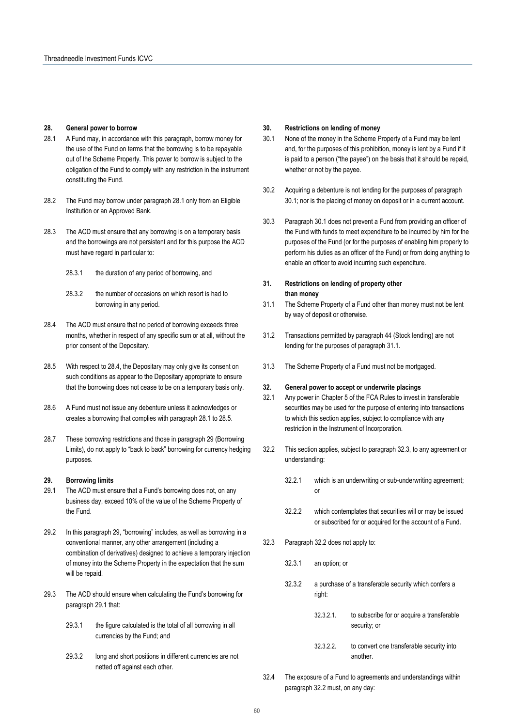#### **28. General power to borrow**

- 28.1 A Fund may, in accordance with this paragraph, borrow money for the use of the Fund on terms that the borrowing is to be repayable out of the Scheme Property. This power to borrow is subject to the obligation of the Fund to comply with any restriction in the instrument constituting the Fund.
- 28.2 The Fund may borrow under paragraph 28.1 only from an Eligible Institution or an Approved Bank.
- 28.3 The ACD must ensure that any borrowing is on a temporary basis and the borrowings are not persistent and for this purpose the ACD must have regard in particular to:
	- 28.3.1 the duration of any period of borrowing, and
	- 28.3.2 the number of occasions on which resort is had to borrowing in any period.
- 28.4 The ACD must ensure that no period of borrowing exceeds three months, whether in respect of any specific sum or at all, without the prior consent of the Depositary.
- 28.5 With respect to 28.4, the Depositary may only give its consent on such conditions as appear to the Depositary appropriate to ensure that the borrowing does not cease to be on a temporary basis only.
- 28.6 A Fund must not issue any debenture unless it acknowledges or creates a borrowing that complies with paragraph 28.1 to 28.5.
- 28.7 These borrowing restrictions and those in paragraph 29 (Borrowing Limits), do not apply to "back to back" borrowing for currency hedging purposes.

#### **29. Borrowing limits**

- 29.1 The ACD must ensure that a Fund's borrowing does not, on any business day, exceed 10% of the value of the Scheme Property of the Fund.
- 29.2 In this paragraph 29, "borrowing" includes, as well as borrowing in a conventional manner, any other arrangement (including a combination of derivatives) designed to achieve a temporary injection of money into the Scheme Property in the expectation that the sum will be repaid.
- 29.3 The ACD should ensure when calculating the Fund's borrowing for paragraph 29.1 that:
	- 29.3.1 the figure calculated is the total of all borrowing in all currencies by the Fund; and
	- 29.3.2 long and short positions in different currencies are not netted off against each other.

#### **30. Restrictions on lending of money**

- 30.1 None of the money in the Scheme Property of a Fund may be lent and, for the purposes of this prohibition, money is lent by a Fund if it is paid to a person ("the payee") on the basis that it should be repaid, whether or not by the payee.
- 30.2 Acquiring a debenture is not lending for the purposes of paragraph 30.1; nor is the placing of money on deposit or in a current account.
- 30.3 Paragraph 30.1 does not prevent a Fund from providing an officer of the Fund with funds to meet expenditure to be incurred by him for the purposes of the Fund (or for the purposes of enabling him properly to perform his duties as an officer of the Fund) or from doing anything to enable an officer to avoid incurring such expenditure.

### **31. Restrictions on lending of property other than money**

- 31.1 The Scheme Property of a Fund other than money must not be lent by way of deposit or otherwise.
- 31.2 Transactions permitted by paragraph 44 (Stock lending) are not lending for the purposes of paragraph 31.1.
- 31.3 The Scheme Property of a Fund must not be mortgaged.

#### **32. General power to accept or underwrite placings**

- 32.1 Any power in Chapter 5 of the FCA Rules to invest in transferable securities may be used for the purpose of entering into transactions to which this section applies, subject to compliance with any restriction in the Instrument of Incorporation.
- 32.2 This section applies, subject to paragraph 32.3, to any agreement or understanding:
	- 32.2.1 which is an underwriting or sub-underwriting agreement; or
	- 32.2.2 which contemplates that securities will or may be issued or subscribed for or acquired for the account of a Fund.
- 32.3 Paragraph 32.2 does not apply to:
	- 32.3.1 an option; or
	- 32.3.2 a purchase of a transferable security which confers a right<sup>.</sup>
		- 32.3.2.1. to subscribe for or acquire a transferable security; or
		- 32.3.2.2. to convert one transferable security into another.
- 32.4 The exposure of a Fund to agreements and understandings within paragraph 32.2 must, on any day: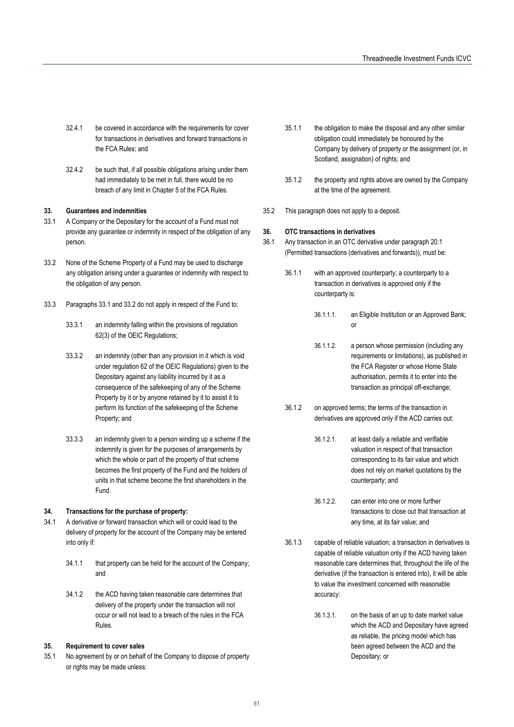- 32.4.1 be covered in accordance with the requirements for cover for transactions in derivatives and forward transactions in the FCA Rules; and
- 32.4.2 be such that, if all possible obligations arising under them had immediately to be met in full, there would be no breach of any limit in Chapter 5 of the FCA Rules.

#### **33. Guarantees and indemnities**

- 33.1 A Company or the Depositary for the account of a Fund must not provide any guarantee or indemnity in respect of the obligation of any person.
- 33.2 None of the Scheme Property of a Fund may be used to discharge any obligation arising under a guarantee or indemnity with respect to the obligation of any person.
- 33.3 Paragraphs 33.1 and 33.2 do not apply in respect of the Fund to:
	- 33.3.1 an indemnity falling within the provisions of regulation 62(3) of the OEIC Regulations;
	- 33.3.2 an indemnity (other than any provision in it which is void under regulation 62 of the OEIC Regulations) given to the Depositary against any liability incurred by it as a consequence of the safekeeping of any of the Scheme Property by it or by anyone retained by it to assist it to perform its function of the safekeeping of the Scheme Property; and
	- 33.3.3 an indemnity given to a person winding up a scheme if the indemnity is given for the purposes of arrangements by which the whole or part of the property of that scheme becomes the first property of the Fund and the holders of units in that scheme become the first shareholders in the Fund.

#### **34. Transactions for the purchase of property:**

- 34.1 A derivative or forward transaction which will or could lead to the delivery of property for the account of the Company may be entered into only if:
	- 34.1.1 that property can be held for the account of the Company; and
	- 34.1.2 the ACD having taken reasonable care determines that delivery of the property under the transaction will not occur or will not lead to a breach of the rules in the FCA Rules.

### **35. Requirement to cover sales**

35.1 No agreement by or on behalf of the Company to dispose of property or rights may be made unless:

- 35.1.1 the obligation to make the disposal and any other similar obligation could immediately be honoured by the Company by delivery of property or the assignment (or, in Scotland, assignation) of rights; and
- 35.1.2 the property and rights above are owned by the Company at the time of the agreement.
- 35.2 This paragraph does not apply to a deposit.

## **36. OTC transactions in derivatives**

- 36.1 Any transaction in an OTC derivative under paragraph 20.1 (Permitted transactions (derivatives and forwards)), must be:
	- 36.1.1 with an approved counterparty; a counterparty to a transaction in derivatives is approved only if the counterparty is:
		- 36.1.1.1. an Eligible Institution or an Approved Bank; or
		- 36.1.1.2. a person whose permission (including any requirements or limitations), as published in the FCA Register or whose Home State authorisation, permits it to enter into the transaction as principal off-exchange;
	- 36.1.2 on approved terms; the terms of the transaction in derivatives are approved only if the ACD carries out:
		- 36.1.2.1. at least daily a reliable and verifiable valuation in respect of that transaction corresponding to its fair value and which does not rely on market quotations by the counterparty; and
		- 36.1.2.2. can enter into one or more further transactions to close out that transaction at any time, at its fair value; and
	- 36.1.3 capable of reliable valuation; a transaction in derivatives is capable of reliable valuation only if the ACD having taken reasonable care determines that, throughout the life of the derivative (if the transaction is entered into), it will be able to value the investment concerned with reasonable accuracy:
		- 36.1.3.1. on the basis of an up to date market value which the ACD and Depositary have agreed as reliable, the pricing model which has been agreed between the ACD and the Depositary; or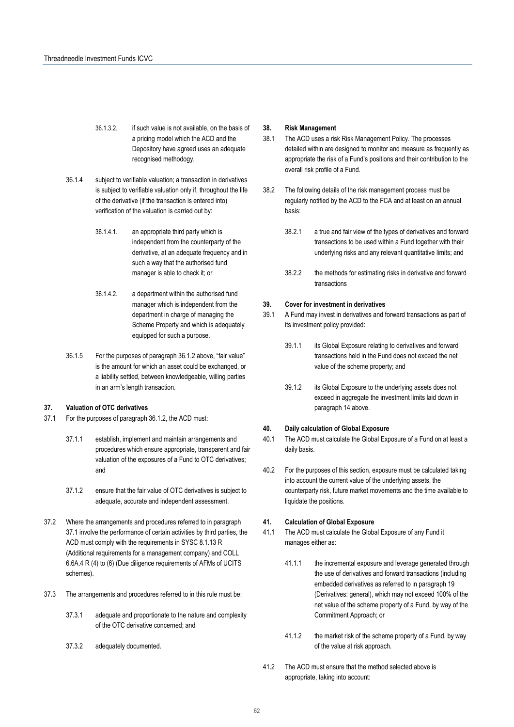- 36.1.3.2. if such value is not available, on the basis of a pricing model which the ACD and the Depository have agreed uses an adequate recognised methodogy.
- 36.1.4 subject to verifiable valuation; a transaction in derivatives is subject to verifiable valuation only if, throughout the life of the derivative (if the transaction is entered into) verification of the valuation is carried out by:
	- 36.1.4.1. an appropriate third party which is independent from the counterparty of the derivative, at an adequate frequency and in such a way that the authorised fund manager is able to check it; or
	- 36.1.4.2. a department within the authorised fund manager which is independent from the department in charge of managing the Scheme Property and which is adequately equipped for such a purpose.
- 36.1.5 For the purposes of paragraph 36.1.2 above, "fair value" is the amount for which an asset could be exchanged, or a liability settled, between knowledgeable, willing parties in an arm's length transaction.

## **37. Valuation of OTC derivatives**

- 37.1 For the purposes of paragraph 36.1.2, the ACD must:
	- 37.1.1 establish, implement and maintain arrangements and procedures which ensure appropriate, transparent and fair valuation of the exposures of a Fund to OTC derivatives; and
	- 37.1.2 ensure that the fair value of OTC derivatives is subject to adequate, accurate and independent assessment.
- 37.2 Where the arrangements and procedures referred to in paragraph 37.1 involve the performance of certain activities by third parties, the ACD must comply with the requirements in SYSC 8.1.13 R (Additional requirements for a management company) and COLL 6.6A.4 R (4) to (6) (Due diligence requirements of AFMs of UCITS schemes).
- 37.3 The arrangements and procedures referred to in this rule must be:
	- 37.3.1 adequate and proportionate to the nature and complexity of the OTC derivative concerned; and
	- 37.3.2 adequately documented.

### **38. Risk Management**

- 38.1 The ACD uses a risk Risk Management Policy. The processes detailed within are designed to monitor and measure as frequently as appropriate the risk of a Fund's positions and their contribution to the overall risk profile of a Fund.
- 38.2 The following details of the risk management process must be regularly notified by the ACD to the FCA and at least on an annual basis:
	- 38.2.1 a true and fair view of the types of derivatives and forward transactions to be used within a Fund together with their underlying risks and any relevant quantitative limits; and
	- 38.2.2 the methods for estimating risks in derivative and forward transactions

#### **39. Cover for investment in derivatives**

- 39.1 A Fund may invest in derivatives and forward transactions as part of its investment policy provided:
	- 39.1.1 its Global Exposure relating to derivatives and forward transactions held in the Fund does not exceed the net value of the scheme property; and
	- 39.1.2 its Global Exposure to the underlying assets does not exceed in aggregate the investment limits laid down in paragraph 14 above.

## **40. Daily calculation of Global Exposure**

- 40.1 The ACD must calculate the Global Exposure of a Fund on at least a daily basis.
- 40.2 For the purposes of this section, exposure must be calculated taking into account the current value of the underlying assets, the counterparty risk, future market movements and the time available to liquidate the positions.

## **41. Calculation of Global Exposure**

- 41.1 The ACD must calculate the Global Exposure of any Fund it manages either as:
	- 41.1.1 the incremental exposure and leverage generated through the use of derivatives and forward transactions (including embedded derivatives as referred to in paragraph 19 (Derivatives: general), which may not exceed 100% of the net value of the scheme property of a Fund, by way of the Commitment Approach; or
	- 41.1.2 the market risk of the scheme property of a Fund, by way of the value at risk approach.
- 41.2 The ACD must ensure that the method selected above is appropriate, taking into account: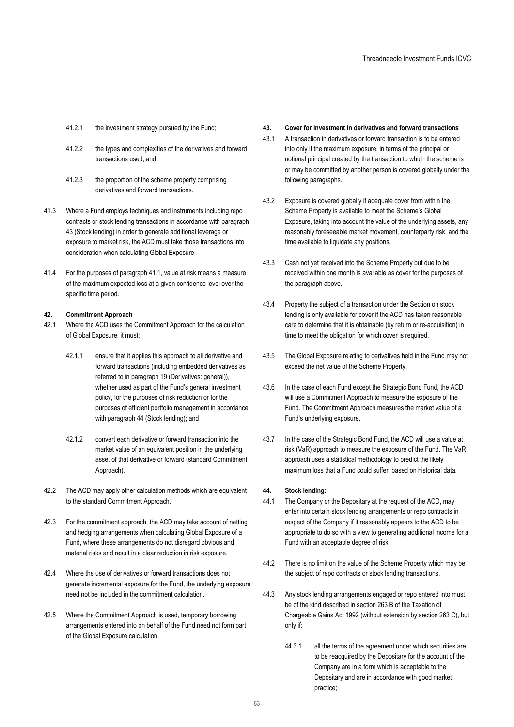- 41.2.1 the investment strategy pursued by the Fund;
- 41.2.2 the types and complexities of the derivatives and forward transactions used; and
- 41.2.3 the proportion of the scheme property comprising derivatives and forward transactions.
- 41.3 Where a Fund employs techniques and instruments including repo contracts or stock lending transactions in accordance with paragraph 43 (Stock lending) in order to generate additional leverage or exposure to market risk, the ACD must take those transactions into consideration when calculating Global Exposure.
- 41.4 For the purposes of paragraph 41.1, value at risk means a measure of the maximum expected loss at a given confidence level over the specific time period.

#### **42. Commitment Approach**

- 42.1 Where the ACD uses the Commitment Approach for the calculation of Global Exposure, it must:
	- 42.1.1 ensure that it applies this approach to all derivative and forward transactions (including embedded derivatives as referred to in paragraph 19 (Derivatives: general)), whether used as part of the Fund's general investment policy, for the purposes of risk reduction or for the purposes of efficient portfolio management in accordance with paragraph 44 (Stock lending); and
	- 42.1.2 convert each derivative or forward transaction into the market value of an equivalent position in the underlying asset of that derivative or forward (standard Commitment Approach).
- 42.2 The ACD may apply other calculation methods which are equivalent to the standard Commitment Approach.
- 42.3 For the commitment approach, the ACD may take account of netting and hedging arrangements when calculating Global Exposure of a Fund, where these arrangements do not disregard obvious and material risks and result in a clear reduction in risk exposure.
- 42.4 Where the use of derivatives or forward transactions does not generate incremental exposure for the Fund, the underlying exposure need not be included in the commitment calculation.
- 42.5 Where the Commitment Approach is used, temporary borrowing arrangements entered into on behalf of the Fund need not form part of the Global Exposure calculation.

#### **43. Cover for investment in derivatives and forward transactions**

- 43.1 A transaction in derivatives or forward transaction is to be entered into only if the maximum exposure, in terms of the principal or notional principal created by the transaction to which the scheme is or may be committed by another person is covered globally under the following paragraphs.
- 43.2 Exposure is covered globally if adequate cover from within the Scheme Property is available to meet the Scheme's Global Exposure, taking into account the value of the underlying assets, any reasonably foreseeable market movement, counterparty risk, and the time available to liquidate any positions.
- 43.3 Cash not yet received into the Scheme Property but due to be received within one month is available as cover for the purposes of the paragraph above.
- 43.4 Property the subject of a transaction under the Section on stock lending is only available for cover if the ACD has taken reasonable care to determine that it is obtainable (by return or re-acquisition) in time to meet the obligation for which cover is required.
- 43.5 The Global Exposure relating to derivatives held in the Fund may not exceed the net value of the Scheme Property.
- 43.6 In the case of each Fund except the Strategic Bond Fund, the ACD will use a Commitment Approach to measure the exposure of the Fund. The Commitment Approach measures the market value of a Fund's underlying exposure.
- 43.7 In the case of the Strategic Bond Fund, the ACD will use a value at risk (VaR) approach to measure the exposure of the Fund. The VaR approach uses a statistical methodology to predict the likely maximum loss that a Fund could suffer, based on historical data.

#### **44. Stock lending:**

- 44.1 The Company or the Depositary at the request of the ACD, may enter into certain stock lending arrangements or repo contracts in respect of the Company if it reasonably appears to the ACD to be appropriate to do so with a view to generating additional income for a Fund with an acceptable degree of risk.
- 44.2 There is no limit on the value of the Scheme Property which may be the subject of repo contracts or stock lending transactions.
- 44.3 Any stock lending arrangements engaged or repo entered into must be of the kind described in section 263 B of the Taxation of Chargeable Gains Act 1992 (without extension by section 263 C), but only if:
	- 44.3.1 all the terms of the agreement under which securities are to be reacquired by the Depositary for the account of the Company are in a form which is acceptable to the Depositary and are in accordance with good market practice;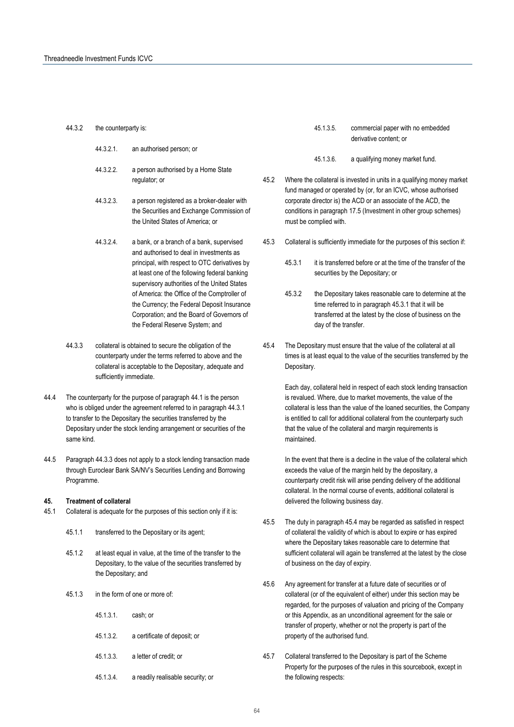#### 44.3.2 the counterparty is:

- 44.3.2.1. an authorised person; or
- 44.3.2.2. a person authorised by a Home State regulator; or
- 44.3.2.3. a person registered as a broker-dealer with the Securities and Exchange Commission of the United States of America; or
- 44.3.2.4. a bank, or a branch of a bank, supervised and authorised to deal in investments as principal, with respect to OTC derivatives by at least one of the following federal banking supervisory authorities of the United States of America: the Office of the Comptroller of the Currency; the Federal Deposit Insurance Corporation; and the Board of Governors of the Federal Reserve System; and
- 44.3.3 collateral is obtained to secure the obligation of the counterparty under the terms referred to above and the collateral is acceptable to the Depositary, adequate and sufficiently immediate.
- 44.4 The counterparty for the purpose of paragraph 44.1 is the person who is obliged under the agreement referred to in paragraph 44.3.1 to transfer to the Depositary the securities transferred by the Depositary under the stock lending arrangement or securities of the same kind.
- 44.5 Paragraph 44.3.3 does not apply to a stock lending transaction made through Euroclear Bank SA/NV's Securities Lending and Borrowing Programme.

#### **45. Treatment of collateral**

- 45.1 Collateral is adequate for the purposes of this section only if it is:
	- 45.1.1 transferred to the Depositary or its agent;
	- 45.1.2 at least equal in value, at the time of the transfer to the Depositary, to the value of the securities transferred by the Depositary; and
	- 45.1.3 in the form of one or more of:
		- 45.1.3.1. cash; or
		- 45.1.3.2. a certificate of deposit; or
		- 45.1.3.3. a letter of credit; or
		- 45.1.3.4. a readily realisable security; or
- 45.1.3.5. commercial paper with no embedded derivative content; or
- 45.1.3.6. a qualifying money market fund.
- 45.2 Where the collateral is invested in units in a qualifying money market fund managed or operated by (or, for an ICVC, whose authorised corporate director is) the ACD or an associate of the ACD, the conditions in paragraph 17.5 (Investment in other group schemes) must be complied with.
- 45.3 Collateral is sufficiently immediate for the purposes of this section if:
	- 45.3.1 it is transferred before or at the time of the transfer of the securities by the Depositary; or
	- 45.3.2 the Depositary takes reasonable care to determine at the time referred to in paragraph 45.3.1 that it will be transferred at the latest by the close of business on the day of the transfer.
- 45.4 The Depositary must ensure that the value of the collateral at all times is at least equal to the value of the securities transferred by the Depositary.

Each day, collateral held in respect of each stock lending transaction is revalued. Where, due to market movements, the value of the collateral is less than the value of the loaned securities, the Company is entitled to call for additional collateral from the counterparty such that the value of the collateral and margin requirements is maintained.

In the event that there is a decline in the value of the collateral which exceeds the value of the margin held by the depositary, a counterparty credit risk will arise pending delivery of the additional collateral. In the normal course of events, additional collateral is delivered the following business day.

- 45.5 The duty in paragraph 45.4 may be regarded as satisfied in respect of collateral the validity of which is about to expire or has expired where the Depositary takes reasonable care to determine that sufficient collateral will again be transferred at the latest by the close of business on the day of expiry.
- 45.6 Any agreement for transfer at a future date of securities or of collateral (or of the equivalent of either) under this section may be regarded, for the purposes of valuation and pricing of the Company or this Appendix, as an unconditional agreement for the sale or transfer of property, whether or not the property is part of the property of the authorised fund.
- 45.7 Collateral transferred to the Depositary is part of the Scheme Property for the purposes of the rules in this sourcebook, except in the following respects: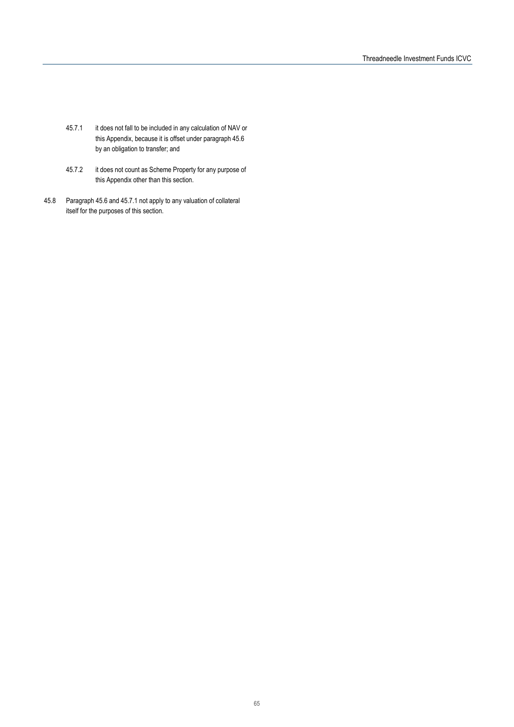- 45.7.1 it does not fall to be included in any calculation of NAV or this Appendix, because it is offset under paragraph 45.6 by an obligation to transfer; and
- 45.7.2 it does not count as Scheme Property for any purpose of this Appendix other than this section.
- 45.8 Paragraph 45.6 and 45.7.1 not apply to any valuation of collateral itself for the purposes of this section.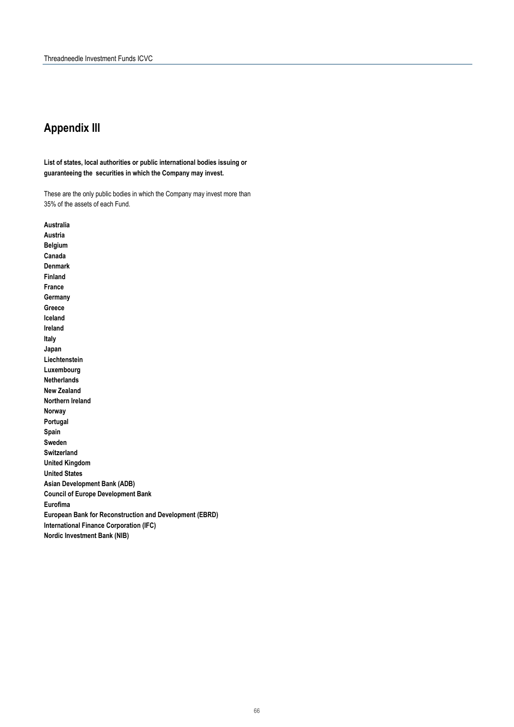## **Appendix III**

**List of states, local authorities or public international bodies issuing or guaranteeing the securities in which the Company may invest.** 

These are the only public bodies in which the Company may invest more than 35% of the assets of each Fund.

**Australia Austria Belgium Canada Denmark Finland France Germany Greece Iceland Ireland Italy Japan Liechtenstein Luxembourg Netherlands New Zealand Northern Ireland Norway Portugal Spain Sweden Switzerland United Kingdom United States Asian Development Bank (ADB) Council of Europe Development Bank Eurofima European Bank for Reconstruction and Development (EBRD) International Finance Corporation (IFC) Nordic Investment Bank (NIB)**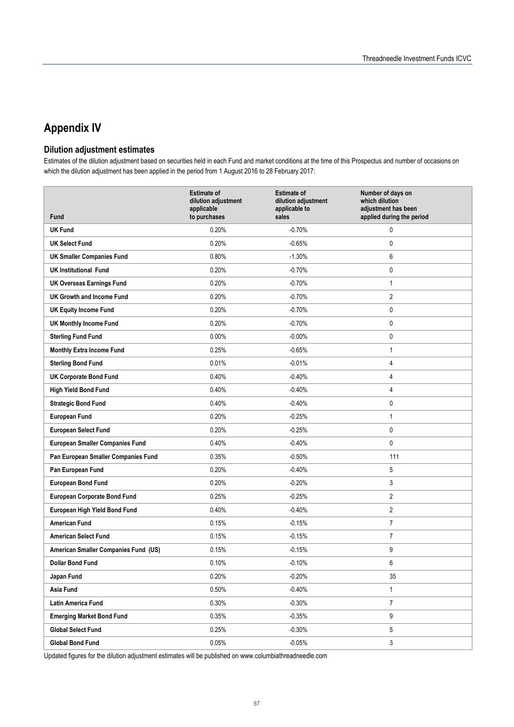# **Appendix IV**

## **Dilution adjustment estimates**

Estimates of the dilution adjustment based on securities held in each Fund and market conditions at the time of this Prospectus and number of occasions on which the dilution adjustment has been applied in the period from 1 August 2016 to 28 February 2017:

| Fund                                   | <b>Estimate of</b><br>dilution adjustment<br>applicable<br>to purchases | <b>Estimate of</b><br>dilution adjustment<br>applicable to<br>sales | Number of days on<br>which dilution<br>adiustment has been<br>applied during the period |
|----------------------------------------|-------------------------------------------------------------------------|---------------------------------------------------------------------|-----------------------------------------------------------------------------------------|
| <b>UK Fund</b>                         | 0.20%                                                                   | $-0.70%$                                                            | $\mathbf{0}$                                                                            |
| <b>UK Select Fund</b>                  | 0.20%                                                                   | $-0.65%$                                                            | 0                                                                                       |
| <b>UK Smaller Companies Fund</b>       | $0.80\%$                                                                | $-1.30%$                                                            | 6                                                                                       |
| <b>UK Institutional Fund</b>           | 0.20%                                                                   | $-0.70%$                                                            | 0                                                                                       |
| <b>UK Overseas Earnings Fund</b>       | 0.20%                                                                   | $-0.70%$                                                            | $\mathbf{1}$                                                                            |
| UK Growth and Income Fund              | 0.20%                                                                   | $-0.70%$                                                            | 2                                                                                       |
| <b>UK Equity Income Fund</b>           | 0.20%                                                                   | $-0.70%$                                                            | 0                                                                                       |
| UK Monthly Income Fund                 | $0.20\%$                                                                | $-0.70%$                                                            | 0                                                                                       |
| <b>Sterling Fund Fund</b>              | $0.00\%$                                                                | $-0.00%$                                                            | 0                                                                                       |
| <b>Monthly Extra Income Fund</b>       | 0.25%                                                                   | $-0.65%$                                                            | $\mathbf{1}$                                                                            |
| <b>Sterling Bond Fund</b>              | 0.01%                                                                   | $-0.01%$                                                            | $\overline{4}$                                                                          |
| <b>UK Corporate Bond Fund</b>          | 0.40%                                                                   | $-0.40%$                                                            | 4                                                                                       |
| <b>High Yield Bond Fund</b>            | 0.40%                                                                   | $-0.40%$                                                            | 4                                                                                       |
| <b>Strategic Bond Fund</b>             | 0.40%                                                                   | $-0.40%$                                                            | 0                                                                                       |
| <b>European Fund</b>                   | 0.20%                                                                   | $-0.25%$                                                            | $\mathbf{1}$                                                                            |
| <b>European Select Fund</b>            | 0.20%                                                                   | $-0.25%$                                                            | 0                                                                                       |
| <b>European Smaller Companies Fund</b> | 0.40%                                                                   | $-0.40%$                                                            | 0                                                                                       |
| Pan European Smaller Companies Fund    | 0.35%                                                                   | $-0.50%$                                                            | 111                                                                                     |
| Pan European Fund                      | 0.20%                                                                   | $-0.40%$                                                            | 5                                                                                       |
| <b>European Bond Fund</b>              | 0.20%                                                                   | $-0.20%$                                                            | 3                                                                                       |
| <b>European Corporate Bond Fund</b>    | 0.25%                                                                   | $-0.25%$                                                            | 2                                                                                       |
| European High Yield Bond Fund          | 0.40%                                                                   | $-0.40%$                                                            | $\overline{2}$                                                                          |
| <b>American Fund</b>                   | 0.15%                                                                   | $-0.15%$                                                            | $\overline{7}$                                                                          |
| <b>American Select Fund</b>            | 0.15%                                                                   | $-0.15%$                                                            | $\overline{7}$                                                                          |
| American Smaller Companies Fund (US)   | 0.15%                                                                   | $-0.15%$                                                            | 9                                                                                       |
| <b>Dollar Bond Fund</b>                | 0.10%                                                                   | $-0.10%$                                                            | 6                                                                                       |
| Japan Fund                             | 0.20%                                                                   | $-0.20%$                                                            | 35                                                                                      |
| Asia Fund                              | 0.50%                                                                   | $-0.40%$                                                            | $\mathbf{1}$                                                                            |
| Latin America Fund                     | 0.30%                                                                   | $-0.30%$                                                            | $\overline{7}$                                                                          |
| <b>Emerging Market Bond Fund</b>       | 0.35%                                                                   | $-0.35%$                                                            | 9                                                                                       |
| <b>Global Select Fund</b>              | 0.25%                                                                   | $-0.30%$                                                            | 5                                                                                       |
| <b>Global Bond Fund</b>                | 0.05%                                                                   | $-0.05%$                                                            | 3                                                                                       |

Updated figures for the dilution adjustment estimates will be published on www.columbiathreadneedle.com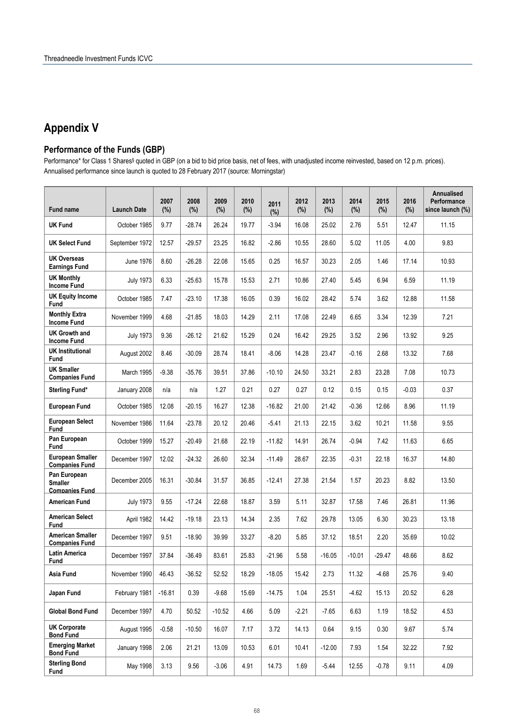# **Appendix V**

## **Performance of the Funds (GBP)**

Performance\* for Class 1 Shares§ quoted in GBP (on a bid to bid price basis, net of fees, with unadjusted income reinvested, based on 12 p.m. prices). Annualised performance since launch is quoted to 28 February 2017 (source: Morningstar)

| <b>Fund name</b>                                        | <b>Launch Date</b> | 2007<br>(%) | 2008<br>(%) | 2009<br>(%) | 2010<br>(%) | 2011<br>(%) | 2012<br>(%) | 2013<br>(%) | 2014<br>(%) | 2015<br>(%) | 2016<br>(%) | Annualised<br>Performance<br>since launch (%) |
|---------------------------------------------------------|--------------------|-------------|-------------|-------------|-------------|-------------|-------------|-------------|-------------|-------------|-------------|-----------------------------------------------|
| <b>UK Fund</b>                                          | October 1985       | 9.77        | $-28.74$    | 26.24       | 19.77       | $-3.94$     | 16.08       | 25.02       | 2.76        | 5.51        | 12.47       | 11.15                                         |
| <b>UK Select Fund</b>                                   | September 1972     | 12.57       | -29.57      | 23.25       | 16.82       | $-2.86$     | 10.55       | 28.60       | 5.02        | 11.05       | 4.00        | 9.83                                          |
| <b>UK Overseas</b><br><b>Earnings Fund</b>              | June 1976          | 8.60        | $-26.28$    | 22.08       | 15.65       | 0.25        | 16.57       | 30.23       | 2.05        | 1.46        | 17.14       | 10.93                                         |
| <b>UK Monthly</b><br><b>Income Fund</b>                 | <b>July 1973</b>   | 6.33        | $-25.63$    | 15.78       | 15.53       | 2.71        | 10.86       | 27.40       | 5.45        | 6.94        | 6.59        | 11.19                                         |
| <b>UK Equity Income</b><br>Fund                         | October 1985       | 7.47        | $-23.10$    | 17.38       | 16.05       | 0.39        | 16.02       | 28.42       | 5.74        | 3.62        | 12.88       | 11.58                                         |
| <b>Monthly Extra</b><br><b>Income Fund</b>              | November 1999      | 4.68        | $-21.85$    | 18.03       | 14.29       | 2.11        | 17.08       | 22.49       | 6.65        | 3.34        | 12.39       | 7.21                                          |
| <b>UK Growth and</b><br><b>Income Fund</b>              | <b>July 1973</b>   | 9.36        | $-26.12$    | 21.62       | 15.29       | 0.24        | 16.42       | 29.25       | 3.52        | 2.96        | 13.92       | 9.25                                          |
| <b>UK Institutional</b><br>Fund                         | August 2002        | 8.46        | $-30.09$    | 28.74       | 18.41       | $-8.06$     | 14.28       | 23.47       | $-0.16$     | 2.68        | 13.32       | 7.68                                          |
| <b>UK Smaller</b><br><b>Companies Fund</b>              | March 1995         | $-9.38$     | $-35.76$    | 39.51       | 37.86       | $-10.10$    | 24.50       | 33.21       | 2.83        | 23.28       | 7.08        | 10.73                                         |
| Sterling Fund*                                          | January 2008       | n/a         | n/a         | 1.27        | 0.21        | 0.27        | 0.27        | 0.12        | 0.15        | 0.15        | $-0.03$     | 0.37                                          |
| <b>European Fund</b>                                    | October 1985       | 12.08       | $-20.15$    | 16.27       | 12.38       | $-16.82$    | 21.00       | 21.42       | $-0.36$     | 12.66       | 8.96        | 11.19                                         |
| <b>European Select</b><br>Fund                          | November 1986      | 11.64       | $-23.78$    | 20.12       | 20.46       | $-5.41$     | 21.13       | 22.15       | 3.62        | 10.21       | 11.58       | 9.55                                          |
| Pan European<br>Fund                                    | October 1999       | 15.27       | $-20.49$    | 21.68       | 22.19       | $-11.82$    | 14.91       | 26.74       | $-0.94$     | 7.42        | 11.63       | 6.65                                          |
| <b>European Smaller</b><br><b>Companies Fund</b>        | December 1997      | 12.02       | $-24.32$    | 26.60       | 32.34       | $-11.49$    | 28.67       | 22.35       | $-0.31$     | 22.18       | 16.37       | 14.80                                         |
| Pan European<br><b>Smaller</b><br><b>Companies Fund</b> | December 2005      | 16.31       | $-30.84$    | 31.57       | 36.85       | $-12.41$    | 27.38       | 21.54       | 1.57        | 20.23       | 8.82        | 13.50                                         |
| <b>American Fund</b>                                    | <b>July 1973</b>   | 9.55        | $-17.24$    | 22.68       | 18.87       | 3.59        | 5.11        | 32.87       | 17.58       | 7.46        | 26.81       | 11.96                                         |
| <b>American Select</b><br>Fund                          | April 1982         | 14.42       | $-19.18$    | 23.13       | 14.34       | 2.35        | 7.62        | 29.78       | 13.05       | 6.30        | 30.23       | 13.18                                         |
| <b>American Smaller</b><br><b>Companies Fund</b>        | December 1997      | 9.51        | $-18.90$    | 39.99       | 33.27       | $-8.20$     | 5.85        | 37.12       | 18.51       | 2.20        | 35.69       | 10.02                                         |
| <b>Latin America</b><br>Fund                            | December 1997      | 37.84       | $-36.49$    | 83.61       | 25.83       | $-21.96$    | 5.58        | $-16.05$    | $-10.01$    | $-29.47$    | 48.66       | 8.62                                          |
| Asia Fund                                               | November 1990      | 46.43       | $-36.52$    | 52.52       | 18.29       | $-18.05$    | 15.42       | 2.73        | 11.32       | $-4.68$     | 25.76       | 9.40                                          |
| Japan Fund                                              | February 1981      | $-16.81$    | 0.39        | $-9.68$     | 15.69       | $-14.75$    | 1.04        | 25.51       | $-4.62$     | 15.13       | 20.52       | 6.28                                          |
| <b>Global Bond Fund</b>                                 | December 1997      | 4.70        | 50.52       | $-10.52$    | 4.66        | 5.09        | $-2.21$     | $-7.65$     | 6.63        | 1.19        | 18.52       | 4.53                                          |
| <b>UK Corporate</b><br><b>Bond Fund</b>                 | August 1995        | $-0.58$     | $-10.50$    | 16.07       | 7.17        | 3.72        | 14.13       | 0.64        | 9.15        | 0.30        | 9.67        | 5.74                                          |
| <b>Emerging Market</b><br><b>Bond Fund</b>              | January 1998       | 2.06        | 21.21       | 13.09       | 10.53       | 6.01        | 10.41       | $-12.00$    | 7.93        | 1.54        | 32.22       | 7.92                                          |
| <b>Sterling Bond</b><br>Fund                            | May 1998           | 3.13        | 9.56        | $-3.06$     | 4.91        | 14.73       | 1.69        | $-5.44$     | 12.55       | -0.78       | 9.11        | 4.09                                          |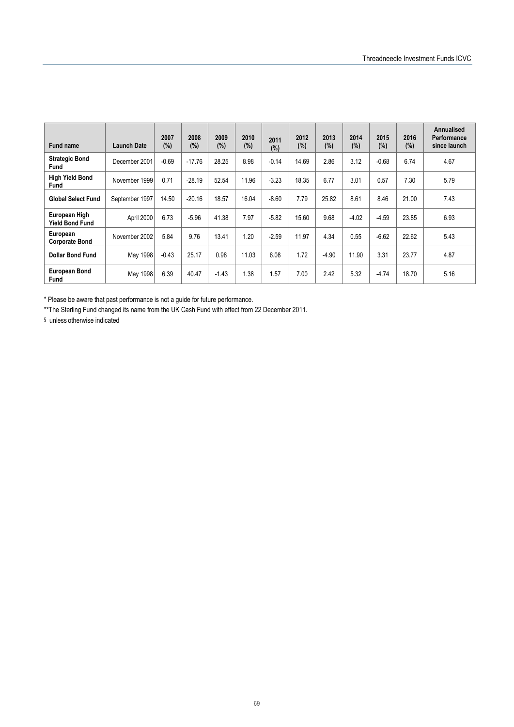| <b>Fund name</b>                  | <b>Launch Date</b> | 2007<br>(%) | 2008<br>(%) | 2009<br>(%) | 2010<br>(%) | 2011<br>(%) | 2012<br>(%) | 2013<br>(%) | 2014<br>(%) | 2015<br>$(\%)$ | 2016<br>(%) | Annualised<br>Performance<br>since launch |
|-----------------------------------|--------------------|-------------|-------------|-------------|-------------|-------------|-------------|-------------|-------------|----------------|-------------|-------------------------------------------|
| <b>Strategic Bond</b><br>Fund     | December 2001      | $-0.69$     | $-17.76$    | 28.25       | 8.98        | $-0.14$     | 14.69       | 2.86        | 3.12        | $-0.68$        | 6.74        | 4.67                                      |
| <b>High Yield Bond</b><br>Fund    | November 1999      | 0.71        | $-28.19$    | 52.54       | 11.96       | $-3.23$     | 18.35       | 6.77        | 3.01        | 0.57           | 7.30        | 5.79                                      |
| <b>Global Select Fund</b>         | September 1997     | 14.50       | $-20.16$    | 18.57       | 16.04       | $-8.60$     | 7.79        | 25.82       | 8.61        | 8.46           | 21.00       | 7.43                                      |
| European High<br>Yield Bond Fund  | April 2000         | 6.73        | $-5.96$     | 41.38       | 7.97        | $-5.82$     | 15.60       | 9.68        | $-4.02$     | $-4.59$        | 23.85       | 6.93                                      |
| European<br><b>Corporate Bond</b> | November 2002      | 5.84        | 9.76        | 13.41       | 1.20        | $-2.59$     | 11.97       | 4.34        | 0.55        | $-6.62$        | 22.62       | 5.43                                      |
| <b>Dollar Bond Fund</b>           | May 1998           | $-0.43$     | 25.17       | 0.98        | 11.03       | 6.08        | 1.72        | $-4.90$     | 11.90       | 3.31           | 23.77       | 4.87                                      |
| <b>European Bond</b><br>Fund      | May 1998           | 6.39        | 40.47       | $-1.43$     | 1.38        | 1.57        | 7.00        | 2.42        | 5.32        | $-4.74$        | 18.70       | 5.16                                      |

\* Please be aware that past performance is not a guide for future performance.

\*\*The Sterling Fund changed its name from the UK Cash Fund with effect from 22 December 2011.

§ unless otherwise indicated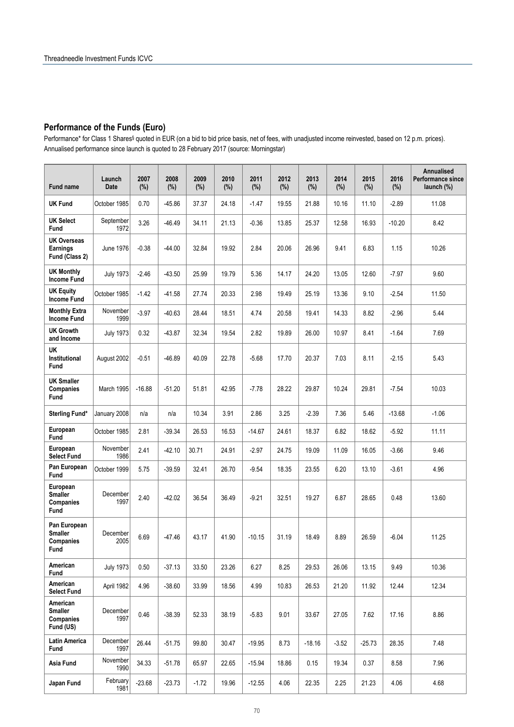## **Performance of the Funds (Euro)**

Performance\* for Class 1 Shares§ quoted in EUR (on a bid to bid price basis, net of fees, with unadjusted income reinvested, based on 12 p.m. prices). Annualised performance since launch is quoted to 28 February 2017 (source: Morningstar)

| <b>Fund name</b>                                            | Launch<br><b>Date</b> | 2007<br>$(\%)$ | 2008<br>(%) | 2009<br>(%) | 2010<br>(%) | 2011<br>(%) | 2012<br>(%) | 2013<br>$(\%)$ | 2014<br>(%) | 2015<br>(%) | 2016<br>(%) | Annualised<br><b>Performance since</b><br>launch (%) |
|-------------------------------------------------------------|-----------------------|----------------|-------------|-------------|-------------|-------------|-------------|----------------|-------------|-------------|-------------|------------------------------------------------------|
| <b>UK Fund</b>                                              | October 1985          | 0.70           | $-45.86$    | 37.37       | 24.18       | $-1.47$     | 19.55       | 21.88          | 10.16       | 11.10       | $-2.89$     | 11.08                                                |
| <b>UK Select</b><br>Fund                                    | September<br>1972     | 3.26           | $-46.49$    | 34.11       | 21.13       | $-0.36$     | 13.85       | 25.37          | 12.58       | 16.93       | $-10.20$    | 8.42                                                 |
| <b>UK Overseas</b><br>Earnings<br>Fund (Class 2)            | <b>June 1976</b>      | $-0.38$        | $-44.00$    | 32.84       | 19.92       | 2.84        | 20.06       | 26.96          | 9.41        | 6.83        | 1.15        | 10.26                                                |
| <b>UK Monthly</b><br><b>Income Fund</b>                     | <b>July 1973</b>      | $-2.46$        | $-43.50$    | 25.99       | 19.79       | 5.36        | 14.17       | 24.20          | 13.05       | 12.60       | $-7.97$     | 9.60                                                 |
| <b>UK Equity</b><br><b>Income Fund</b>                      | October 1985          | $-1.42$        | $-41.58$    | 27.74       | 20.33       | 2.98        | 19.49       | 25.19          | 13.36       | 9.10        | $-2.54$     | 11.50                                                |
| <b>Monthly Extra</b><br><b>Income Fund</b>                  | November<br>1999      | $-3.97$        | $-40.63$    | 28.44       | 18.51       | 4.74        | 20.58       | 19.41          | 14.33       | 8.82        | $-2.96$     | 5.44                                                 |
| <b>UK Growth</b><br>and Income                              | <b>July 1973</b>      | 0.32           | -43.87      | 32.34       | 19.54       | 2.82        | 19.89       | 26.00          | 10.97       | 8.41        | $-1.64$     | 7.69                                                 |
| <b>UK</b><br>Institutional<br>Fund                          | August 2002           | $-0.51$        | $-46.89$    | 40.09       | 22.78       | $-5.68$     | 17.70       | 20.37          | 7.03        | 8.11        | $-2.15$     | 5.43                                                 |
| <b>UK Smaller</b><br><b>Companies</b><br>Fund               | March 1995            | $-16.88$       | $-51.20$    | 51.81       | 42.95       | $-7.78$     | 28.22       | 29.87          | 10.24       | 29.81       | $-7.54$     | 10.03                                                |
| Sterling Fund*                                              | January 2008          | n/a            | n/a         | 10.34       | 3.91        | 2.86        | 3.25        | $-2.39$        | 7.36        | 5.46        | $-13.68$    | $-1.06$                                              |
| European<br>Fund                                            | October 1985          | 2.81           | $-39.34$    | 26.53       | 16.53       | $-14.67$    | 24.61       | 18.37          | 6.82        | 18.62       | $-5.92$     | 11.11                                                |
| European<br><b>Select Fund</b>                              | November<br>1986      | 2.41           | $-42.10$    | 30.71       | 24.91       | $-2.97$     | 24.75       | 19.09          | 11.09       | 16.05       | $-3.66$     | 9.46                                                 |
| Pan European<br>Fund                                        | October 1999          | 5.75           | $-39.59$    | 32.41       | 26.70       | $-9.54$     | 18.35       | 23.55          | 6.20        | 13.10       | $-3.61$     | 4.96                                                 |
| European<br><b>Smaller</b><br>Companies<br>Fund             | December<br>1997      | 2.40           | $-42.02$    | 36.54       | 36.49       | $-9.21$     | 32.51       | 19.27          | 6.87        | 28.65       | 0.48        | 13.60                                                |
| Pan European<br><b>Smaller</b><br><b>Companies</b><br>Fund  | December<br>2005      | 6.69           | -47.46      | 43.17       | 41.90       | $-10.15$    | 31.19       | 18.49          | 8.89        | 26.59       | $-6.04$     | 11.25                                                |
| American<br>Fund                                            | <b>July 1973</b>      | 0.50           | $-37.13$    | 33.50       | 23.26       | 6.27        | 8.25        | 29.53          | 26.06       | 13.15       | 9.49        | 10.36                                                |
| American<br><b>Select Fund</b>                              | April 1982            | 4.96           | $-38.60$    | 33.99       | 18.56       | 4.99        | 10.83       | 26.53          | 21.20       | 11.92       | 12.44       | 12.34                                                |
| American<br><b>Smaller</b><br><b>Companies</b><br>Fund (US) | December<br>1997      | 0.46           | $-38.39$    | 52.33       | 38.19       | $-5.83$     | 9.01        | 33.67          | 27.05       | 7.62        | 17.16       | 8.86                                                 |
| Latin America<br>Fund                                       | December<br>1997      | 26.44          | $-51.75$    | 99.80       | 30.47       | $-19.95$    | 8.73        | $-18.16$       | $-3.52$     | $-25.73$    | 28.35       | 7.48                                                 |
| Asia Fund                                                   | November<br>1990      | 34.33          | $-51.78$    | 65.97       | 22.65       | $-15.94$    | 18.86       | 0.15           | 19.34       | 0.37        | 8.58        | 7.96                                                 |
| Japan Fund                                                  | February<br>1981      | $-23.68$       | $-23.73$    | $-1.72$     | 19.96       | $-12.55$    | 4.06        | 22.35          | 2.25        | 21.23       | 4.06        | 4.68                                                 |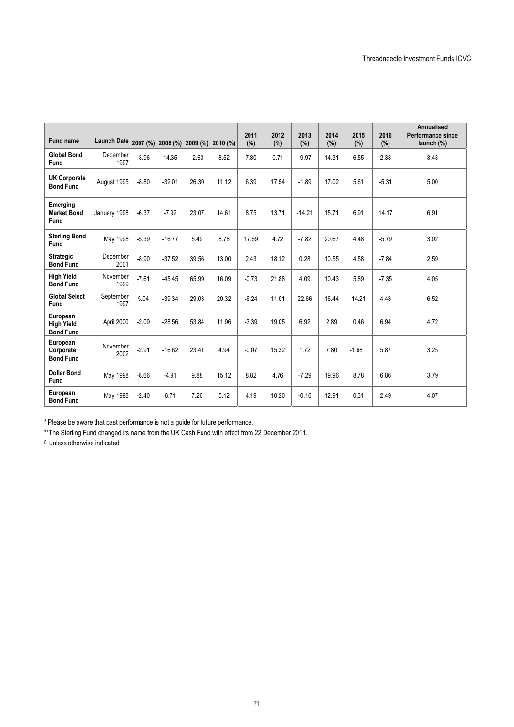| <b>Fund name</b>                                  | Launch Date 2007 (%) |         | 2008(%)  | $ 2009 \, (%)  2010 \, (%)$ |       | 2011<br>(%) | 2012<br>(%) | 2013<br>(%) | 2014<br>(%) | 2015<br>(%) | 2016<br>(%) | <b>Annualised</b><br>Performance since<br>launch (%) |
|---------------------------------------------------|----------------------|---------|----------|-----------------------------|-------|-------------|-------------|-------------|-------------|-------------|-------------|------------------------------------------------------|
| <b>Global Bond</b><br>Fund                        | December<br>1997     | $-3.96$ | 14.35    | $-2.63$                     | 8.52  | 7.80        | 0.71        | $-9.97$     | 14.31       | 6.55        | 2.33        | 3.43                                                 |
| <b>UK Corporate</b><br><b>Bond Fund</b>           | August 1995          | $-8.80$ | $-32.01$ | 26.30                       | 11.12 | 6.39        | 17.54       | $-1.89$     | 17.02       | 5.61        | $-5.31$     | 5.00                                                 |
| Emerging<br><b>Market Bond</b><br>Fund            | January 1998         | $-6.37$ | $-7.92$  | 23.07                       | 14.61 | 8.75        | 13.71       | $-14.21$    | 15.71       | 6.91        | 14.17       | 6.91                                                 |
| <b>Sterling Bond</b><br>Fund                      | May 1998             | $-5.39$ | $-16.77$ | 5.49                        | 8.78  | 17.69       | 4.72        | $-7.82$     | 20.67       | 4.48        | $-5.79$     | 3.02                                                 |
| <b>Strategic</b><br><b>Bond Fund</b>              | December<br>2001     | $-8.90$ | $-37.52$ | 39.56                       | 13.00 | 2.43        | 18.12       | 0.28        | 10.55       | 4.58        | $-7.84$     | 2.59                                                 |
| <b>High Yield</b><br><b>Bond Fund</b>             | November<br>1999     | $-7.61$ | $-45.45$ | 65.99                       | 16.09 | $-0.73$     | 21.88       | 4.09        | 10.43       | 5.89        | $-7.35$     | 4.05                                                 |
| <b>Global Select</b><br>Fund                      | September<br>1997    | 5.04    | $-39.34$ | 29.03                       | 20.32 | $-6.24$     | 11.01       | 22.66       | 16.44       | 14.21       | 4.48        | 6.52                                                 |
| European<br><b>High Yield</b><br><b>Bond Fund</b> | April 2000           | $-2.09$ | $-28.56$ | 53.84                       | 11.96 | $-3.39$     | 19.05       | 6.92        | 2.89        | 0.46        | 6.94        | 4.72                                                 |
| European<br>Corporate<br><b>Bond Fund</b>         | November<br>2002     | $-2.91$ | $-16.62$ | 23.41                       | 4.94  | $-0.07$     | 15.32       | 1.72        | 7.80        | $-1.68$     | 5.87        | 3.25                                                 |
| <b>Dollar Bond</b><br>Fund                        | May 1998             | $-8.66$ | $-4.91$  | 9.88                        | 15.12 | 8.82        | 4.76        | $-7.29$     | 19.96       | 8.78        | 6.86        | 3.79                                                 |
| European<br><b>Bond Fund</b>                      | May 1998             | $-2.40$ | 6.71     | 7.26                        | 5.12  | 4.19        | 10.20       | $-0.16$     | 12.91       | 0.31        | 2.49        | 4.07                                                 |

\* Please be aware that past performance is not a guide for future performance.

\*\*The Sterling Fund changed its name from the UK Cash Fund with effect from 22 December 2011.

§ unless otherwise indicated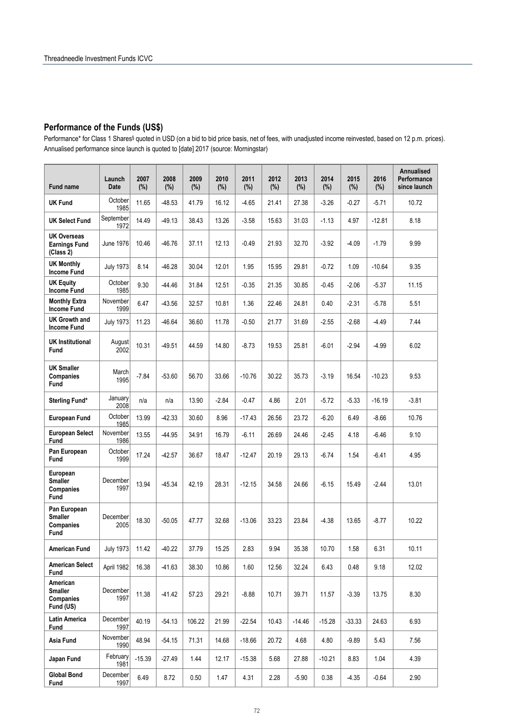# **Performance of the Funds (US\$)**

Performance\* for Class 1 Shares§ quoted in USD (on a bid to bid price basis, net of fees, with unadjusted income reinvested, based on 12 p.m. prices). Annualised performance since launch is quoted to [date] 2017 (source: Morningstar)

| <b>Fund name</b>                                           | Launch<br><b>Date</b> | 2007<br>(%) | 2008<br>(%) | 2009<br>(%) | 2010<br>(%) | 2011<br>(%) | 2012<br>(%) | 2013<br>(%) | 2014<br>(%) | 2015<br>(%) | 2016<br>(%) | Annualised<br>Performance<br>since launch |  |
|------------------------------------------------------------|-----------------------|-------------|-------------|-------------|-------------|-------------|-------------|-------------|-------------|-------------|-------------|-------------------------------------------|--|
| <b>UK Fund</b>                                             | October<br>1985       | 11.65       | -48.53      | 41.79       | 16.12       | $-4.65$     | 21.41       | 27.38       | $-3.26$     | $-0.27$     | $-5.71$     | 10.72                                     |  |
| UK Select Fund                                             | September<br>1972     | 14.49       | $-49.13$    | 38.43       | 13.26       | $-3.58$     | 15.63       | 31.03       | $-1.13$     | 4.97        | $-12.81$    | 8.18                                      |  |
| <b>UK Overseas</b><br><b>Earnings Fund</b><br>(Class 2)    | June 1976             | 10.46       | $-46.76$    | 37.11       | 12.13       | $-0.49$     | 21.93       | 32.70       | $-3.92$     | $-4.09$     | $-1.79$     | 9.99                                      |  |
| <b>UK Monthly</b><br><b>Income Fund</b>                    | <b>July 1973</b>      | 8.14        | $-46.28$    | 30.04       | 12.01       | 1.95        | 15.95       | 29.81       | $-0.72$     | 1.09        | $-10.64$    | 9.35                                      |  |
| <b>UK Equity</b><br><b>Income Fund</b>                     | October<br>1985       | 9.30        | $-44.46$    | 31.84       | 12.51       | $-0.35$     | 21.35       | 30.85       | $-0.45$     | $-2.06$     | $-5.37$     | 11.15                                     |  |
| <b>Monthly Extra</b><br><b>Income Fund</b>                 | November<br>1999      | 6.47        | $-43.56$    | 32.57       | 10.81       | 1.36        | 22.46       | 24.81       | 0.40        | $-2.31$     | $-5.78$     | 5.51                                      |  |
| <b>UK Growth and</b><br><b>Income Fund</b>                 | <b>July 1973</b>      | 11.23       | $-46.64$    | 36.60       | 11.78       | $-0.50$     | 21.77       | 31.69       | $-2.55$     | $-2.68$     | $-4.49$     | 7.44                                      |  |
| <b>UK Institutional</b><br>Fund                            | August<br>2002        | 10.31       | $-49.51$    | 44.59       | 14.80       | $-8.73$     | 19.53       | 25.81       | $-6.01$     | $-2.94$     | $-4.99$     | 6.02                                      |  |
| <b>UK Smaller</b><br>Companies<br>Fund                     | March<br>1995         | $-7.84$     | $-53.60$    | 56.70       | 33.66       | $-10.76$    | 30.22       | 35.73       | $-3.19$     | 16.54       | $-10.23$    | 9.53                                      |  |
| Sterling Fund*                                             | January<br>2008       | n/a         | n/a         | 13.90       | $-2.84$     | $-0.47$     | 4.86        | 2.01        | $-5.72$     | $-5.33$     | $-16.19$    | $-3.81$                                   |  |
| <b>European Fund</b>                                       | October<br>1985       | 13.99       | $-42.33$    | 30.60       | 8.96        | $-17.43$    | 26.56       | 23.72       | $-6.20$     | 6.49        | $-8.66$     | 10.76                                     |  |
| <b>European Select</b><br>Fund                             | November<br>1986      | 13.55       | $-44.95$    | 34.91       | 16.79       | $-6.11$     | 26.69       | 24.46       | $-2.45$     | 4.18        | $-6.46$     | 9.10                                      |  |
| Pan European<br>Fund                                       | October<br>1999       | 17.24       | $-42.57$    | 36.67       | 18.47       | $-12.47$    | 20.19       | 29.13       | $-6.74$     | 1.54        | $-6.41$     | 4.95                                      |  |
| European<br><b>Smaller</b><br><b>Companies</b><br>Fund     | December<br>1997      | 13.94       | $-45.34$    | 42.19       | 28.31       | $-12.15$    | 34.58       | 24.66       | $-6.15$     | 15.49       | $-2.44$     | 13.01                                     |  |
| Pan European<br><b>Smaller</b><br><b>Companies</b><br>Fund | December<br>2005      | 18.30       | $-50.05$    | 47.77       | 32.68       | $-13.06$    | 33.23       | 23.84       | $-4.38$     | 13.65       | $-8.77$     | 10.22                                     |  |
| American Fund                                              | July 1973             | 11.42       | $-40.22$    | 37.79       | 15.25       | 2.83        | 9.94        | 35.38       | 10.70       | 1.58        | 6.31        | 10.11                                     |  |
| American Select<br>Fund                                    | April 1982            | 16.38       | $-41.63$    | 38.30       | 10.86       | 1.60        | 12.56       | 32.24       | 6.43        | 0.48        | 9.18        | 12.02                                     |  |
| American<br>Smaller<br><b>Companies</b><br>Fund (US)       | December<br>1997      | 11.38       | $-41.42$    | 57.23       | 29.21       | $-8.88$     | 10.71       | 39.71       | 11.57       | $-3.39$     | 13.75       | 8.30                                      |  |
| Latin America<br>Fund                                      | December<br>1997      | 40.19       | $-54.13$    | 106.22      | 21.99       | $-22.54$    | 10.43       | $-14.46$    | $-15.28$    | $-33.33$    | 24.63       | 6.93                                      |  |
| Asia Fund                                                  | November<br>1990      | 48.94       | $-54.15$    | 71.31       | 14.68       | $-18.66$    | 20.72       | 4.68        | 4.80        | -9.89       | 5.43        | 7.56                                      |  |
| Japan Fund                                                 | February<br>1981      | $-15.39$    | $-27.49$    | 1.44        | 12.17       | $-15.38$    | 5.68        | 27.88       | $-10.21$    | 8.83        | 1.04        | 4.39                                      |  |
| <b>Global Bond</b><br>Fund                                 | December<br>1997      | 6.49        | 8.72        | 0.50        | 1.47        | 4.31        | 2.28        | $-5.90$     | 0.38        | $-4.35$     | -0.64       | 2.90                                      |  |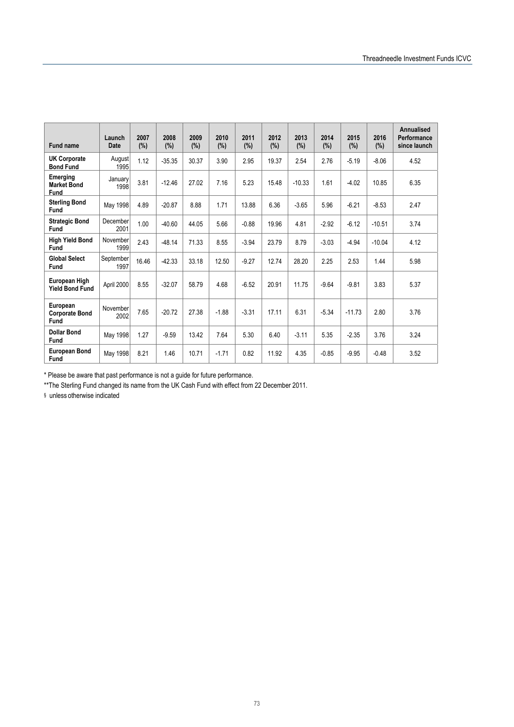| <b>Fund name</b>                          | Launch<br>Date    | 2007<br>(%) | 2008<br>(%) | 2009<br>(%) | 2010<br>(%) | 2011<br>(%) | 2012<br>(%) | 2013<br>(%) | 2014<br>(%) | 2015<br>(%)        | 2016<br>(%) | Annualised<br>Performance<br>since launch |  |
|-------------------------------------------|-------------------|-------------|-------------|-------------|-------------|-------------|-------------|-------------|-------------|--------------------|-------------|-------------------------------------------|--|
| <b>UK Corporate</b><br><b>Bond Fund</b>   | August<br>1995    | 1.12        | $-35.35$    | 30.37       | 3.90        | 2.95        | 19.37       | 2.54        | 2.76        | $-5.19$            | $-8.06$     | 4.52                                      |  |
| Emerging<br><b>Market Bond</b><br>Fund    | January<br>1998   | 3.81        | $-12.46$    | 27.02       | 7.16        | 5.23        | 15.48       | $-10.33$    | 1.61        | $-4.02$            | 10.85       | 6.35                                      |  |
| <b>Sterling Bond</b><br>Fund              | May 1998          | 4.89        | $-20.87$    | 8.88        | 1.71        | 13.88       | 6.36        | $-3.65$     | 5.96        | $-6.21$<br>$-8.53$ |             | 2.47                                      |  |
| <b>Strategic Bond</b><br>Fund             | December<br>2001  | 1.00        | $-40.60$    | 44.05       | 5.66        | $-0.88$     | 19.96       | 4.81        | $-2.92$     | $-6.12$            | $-10.51$    | 3.74                                      |  |
| <b>High Yield Bond</b><br>Fund            | November<br>1999  | 2.43        | $-48.14$    | 71.33       | 8.55        | $-3.94$     | 23.79       | 8.79        | $-3.03$     | $-4.94$            | $-10.04$    | 4.12                                      |  |
| <b>Global Select</b><br>Fund              | September<br>1997 | 16.46       | $-42.33$    | 33.18       | 12.50       | $-9.27$     | 12.74       | 28.20       | 2.25        | 2.53               | 1.44        | 5.98                                      |  |
| European High<br><b>Yield Bond Fund</b>   | April 2000        | 8.55        | $-32.07$    | 58.79       | 4.68        | $-6.52$     | 20.91       | 11.75       | $-9.64$     | $-9.81$            | 3.83        | 5.37                                      |  |
| European<br><b>Corporate Bond</b><br>Fund | November<br>2002  | 7.65        | $-20.72$    | 27.38       | $-1.88$     | $-3.31$     | 17.11       | 6.31        | $-5.34$     | $-11.73$           | 2.80        | 3.76                                      |  |
| <b>Dollar Bond</b><br>Fund                | May 1998          | 1.27        | $-9.59$     | 13.42       | 7.64        | 5.30        | 6.40        | $-3.11$     | 5.35        | $-2.35$            | 3.76        | 3.24                                      |  |
| <b>European Bond</b><br>Fund              | May 1998          | 8.21        | 1.46        | 10.71       | $-1.71$     | 0.82        | 11.92       | 4.35        | $-0.85$     | $-9.95$            | $-0.48$     | 3.52                                      |  |

\* Please be aware that past performance is not a guide for future performance.

\*\*The Sterling Fund changed its name from the UK Cash Fund with effect from 22 December 2011.

§ unless otherwise indicated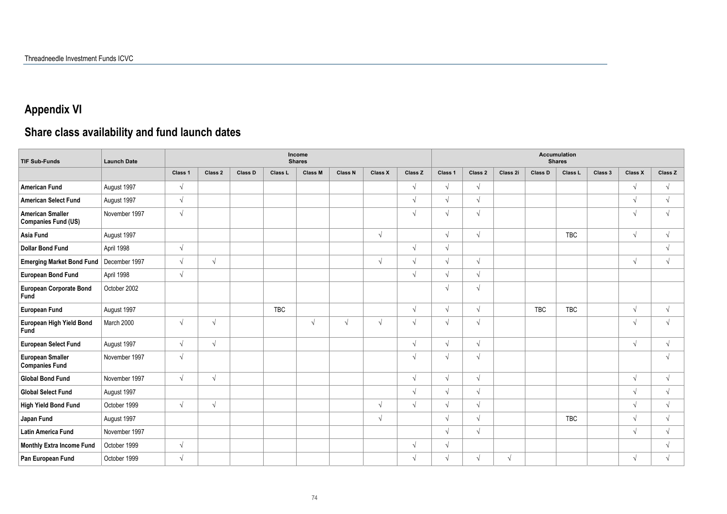# **Appendix VI**

# **Share class availability and fund launch dates**

| <b>TIF Sub-Funds</b>                                  | <b>Launch Date</b> |            | Income<br><b>Shares</b> |         |            |                |            |            |            | <b>Accumulation</b><br><b>Shares</b> |            |            |            |            |         |            |              |
|-------------------------------------------------------|--------------------|------------|-------------------------|---------|------------|----------------|------------|------------|------------|--------------------------------------|------------|------------|------------|------------|---------|------------|--------------|
|                                                       |                    | Class 1    | Class 2                 | Class D | Class L    | <b>Class M</b> | Class N    | Class X    | Class Z    | Class 1                              | Class 2    | Class 2i   | Class D    | Class L    | Class 3 | Class X    | Class Z      |
| <b>American Fund</b>                                  | August 1997        | $\sqrt{ }$ |                         |         |            |                |            |            | $\sqrt{ }$ | $\sqrt{ }$                           | $\sqrt{ }$ |            |            |            |         | $\sqrt{ }$ | $\sqrt{ }$   |
| <b>American Select Fund</b>                           | August 1997        | $\sqrt{}$  |                         |         |            |                |            |            | $\sqrt{ }$ | $\sqrt{ }$                           | $\sqrt{ }$ |            |            |            |         | $\sqrt{ }$ | $\sqrt{ }$   |
| <b>American Smaller</b><br><b>Companies Fund (US)</b> | November 1997      | $\sqrt{ }$ |                         |         |            |                |            |            | $\sqrt{ }$ | $\sqrt{ }$                           | $\sqrt{ }$ |            |            |            |         | $\sqrt{ }$ | $\sqrt{ }$   |
| Asia Fund                                             | August 1997        |            |                         |         |            |                |            | $\sqrt{ }$ |            | $\sqrt{ }$                           | $\sqrt{}$  |            |            | <b>TBC</b> |         | $\sqrt{}$  | $\sqrt{ }$   |
| <b>Dollar Bond Fund</b>                               | April 1998         | $\sqrt{ }$ |                         |         |            |                |            |            | $\sqrt{ }$ | $\sqrt{ }$                           |            |            |            |            |         |            | $\sqrt{2}$   |
| <b>Emerging Market Bond Fund</b>                      | December 1997      | $\sqrt{}$  | $\sqrt{ }$              |         |            |                |            | $\sqrt{ }$ | $\sqrt{ }$ | $\sqrt{ }$                           | $\sqrt{ }$ |            |            |            |         | $\sqrt{ }$ | $\sqrt{ }$   |
| <b>European Bond Fund</b>                             | April 1998         | $\sqrt{ }$ |                         |         |            |                |            |            | $\sqrt{ }$ | $\sqrt{ }$                           | $\sqrt{ }$ |            |            |            |         |            |              |
| <b>European Corporate Bond</b><br>Fund                | October 2002       |            |                         |         |            |                |            |            |            | $\sqrt{ }$                           | $\sqrt{ }$ |            |            |            |         |            |              |
| <b>European Fund</b>                                  | August 1997        |            |                         |         | <b>TBC</b> |                |            |            | $\sqrt{}$  | $\sqrt{ }$                           | $\sqrt{ }$ |            | <b>TBC</b> | <b>TBC</b> |         | $\sqrt{}$  | $\sqrt{ }$   |
| European High Yield Bond<br>Fund                      | March 2000         | $\sqrt{}$  | $\sqrt{2}$              |         |            | $\sqrt{}$      | $\sqrt{ }$ | $\sqrt{ }$ | $\sqrt{ }$ | $\sqrt{ }$                           | $\sqrt{ }$ |            |            |            |         | $\sqrt{}$  | $\mathbf{A}$ |
| <b>European Select Fund</b>                           | August 1997        | $\sqrt{}$  | $\sqrt{ }$              |         |            |                |            |            | $\sqrt{ }$ | $\sqrt{ }$                           | $\sqrt{ }$ |            |            |            |         | $\sqrt{ }$ | $\sqrt{ }$   |
| <b>European Smaller</b><br><b>Companies Fund</b>      | November 1997      | $\sqrt{}$  |                         |         |            |                |            |            | $\sqrt{}$  | $\sqrt{ }$                           | $\sqrt{ }$ |            |            |            |         |            |              |
| <b>Global Bond Fund</b>                               | November 1997      | $\sqrt{}$  | $\sqrt{}$               |         |            |                |            |            | $\sqrt{}$  | $\sqrt{ }$                           | $\sqrt{}$  |            |            |            |         | $\sqrt{}$  | $\sqrt{ }$   |
| <b>Global Select Fund</b>                             | August 1997        |            |                         |         |            |                |            |            | $\sqrt{}$  | $\sqrt{ }$                           | $\sqrt{}$  |            |            |            |         | $\sqrt{ }$ | $\sqrt{ }$   |
| <b>High Yield Bond Fund</b>                           | October 1999       | $\sqrt{}$  | $\sqrt{ }$              |         |            |                |            | $\sqrt{ }$ | $\sqrt{ }$ | $\sqrt{ }$                           | $\sqrt{ }$ |            |            |            |         | $\sqrt{ }$ | $\sqrt{ }$   |
| Japan Fund                                            | August 1997        |            |                         |         |            |                |            | $\sqrt{ }$ |            | $\sqrt{ }$                           | $\sqrt{ }$ |            |            | <b>TBC</b> |         | $\sqrt{ }$ | $\sqrt{}$    |
| Latin America Fund                                    | November 1997      |            |                         |         |            |                |            |            |            | $\sqrt{ }$                           | $\sqrt{ }$ |            |            |            |         | $\sqrt{ }$ | $\sqrt{ }$   |
| <b>Monthly Extra Income Fund</b>                      | October 1999       | $\sqrt{ }$ |                         |         |            |                |            |            | $\sqrt{}$  | $\sqrt{ }$                           |            |            |            |            |         |            | $\sqrt{ }$   |
| Pan European Fund                                     | October 1999       | $\sqrt{}$  |                         |         |            |                |            |            | $\sqrt{ }$ | $\sqrt{ }$                           | $\sqrt{ }$ | $\sqrt{ }$ |            |            |         | $\sqrt{ }$ | V            |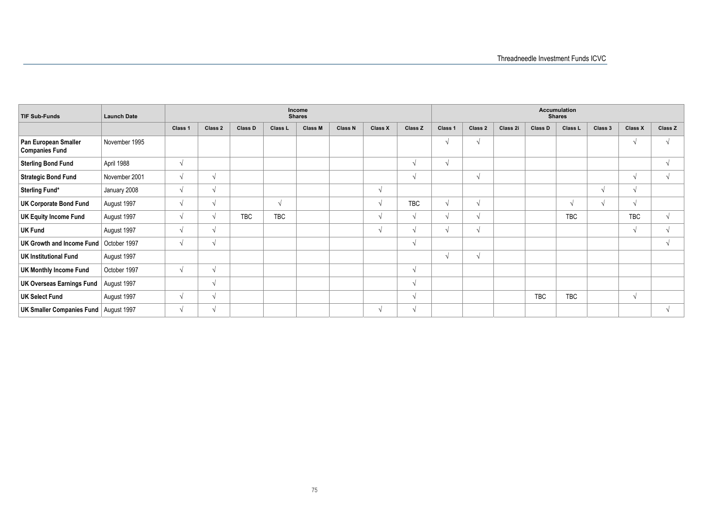| <b>TIF Sub-Funds</b>                           | <b>Launch Date</b> | Income<br><b>Shares</b> |            |            |            |                |                |               | <b>Accumulation</b><br><b>Shares</b> |            |            |          |            |            |            |            |         |
|------------------------------------------------|--------------------|-------------------------|------------|------------|------------|----------------|----------------|---------------|--------------------------------------|------------|------------|----------|------------|------------|------------|------------|---------|
|                                                |                    | Class 1                 | Class 2    | Class D    | Class L    | <b>Class M</b> | <b>Class N</b> | Class X       | Class Z                              | Class 1    | Class 2    | Class 2i | Class D    | Class L    | Class 3    | Class X    | Class Z |
| Pan European Smaller<br><b>Companies Fund</b>  | November 1995      |                         |            |            |            |                |                |               |                                      | $\sqrt{ }$ | $\sqrt{ }$ |          |            |            |            | V          |         |
| <b>Sterling Bond Fund</b>                      | April 1988         | $\sqrt{ }$              |            |            |            |                |                |               | $\sqrt{ }$                           | $\sqrt{ }$ |            |          |            |            |            |            |         |
| <b>Strategic Bond Fund</b>                     | November 2001      | $\sqrt{ }$              |            |            |            |                |                |               | $\sqrt{ }$                           |            | $\sqrt{ }$ |          |            |            |            | $\sqrt{ }$ |         |
| Sterling Fund*                                 | January 2008       | $\sqrt{ }$              | $\sqrt{ }$ |            |            |                |                | $\sqrt{ }$    |                                      |            |            |          |            |            | $\sqrt{ }$ | $\sqrt{ }$ |         |
| <b>UK Corporate Bond Fund</b>                  | August 1997        | $\sqrt{ }$              | V          |            | $\sqrt{ }$ |                |                | $\sqrt{ }$    | <b>TBC</b>                           | $\sqrt{ }$ | $\sqrt{ }$ |          |            | $\sqrt{ }$ | $\sqrt{ }$ | $\sqrt{ }$ |         |
| <b>UK Equity Income Fund</b>                   | August 1997        | $\sqrt{ }$              |            | <b>TBC</b> | <b>TBC</b> |                |                | $\sqrt{ }$    | $\sqrt{ }$                           | $\sqrt{ }$ | $\sqrt{ }$ |          |            | <b>TBC</b> |            | <b>TBC</b> |         |
| <b>UK Fund</b>                                 | August 1997        | $\sqrt{ }$              | $\sqrt{ }$ |            |            |                |                | $\mathcal{N}$ | $\sqrt{ }$                           | $\sqrt{ }$ | $\sqrt{ }$ |          |            |            |            | $\sqrt{ }$ |         |
| UK Growth and Income Fund   October 1997       |                    | $\sqrt{ }$              | V          |            |            |                |                |               | $\sqrt{ }$                           |            |            |          |            |            |            |            |         |
| <b>UK Institutional Fund</b>                   | August 1997        |                         |            |            |            |                |                |               |                                      | $\sqrt{ }$ | $\sqrt{ }$ |          |            |            |            |            |         |
| <b>UK Monthly Income Fund</b>                  | October 1997       | $\sqrt{ }$              | V          |            |            |                |                |               | $\sqrt{ }$                           |            |            |          |            |            |            |            |         |
| UK Overseas Earnings Fund                      | August 1997        |                         |            |            |            |                |                |               | $\sqrt{ }$                           |            |            |          |            |            |            |            |         |
| <b>UK Select Fund</b>                          | August 1997        | $\sqrt{ }$              | $\sqrt{ }$ |            |            |                |                |               | $\sqrt{}$                            |            |            |          | <b>TBC</b> | TBC        |            | $\sqrt{ }$ |         |
| <b>UK Smaller Companies Fund   August 1997</b> |                    | $\sqrt{ }$              | V          |            |            |                |                | $\mathcal N$  | $\sqrt{ }$                           |            |            |          |            |            |            |            |         |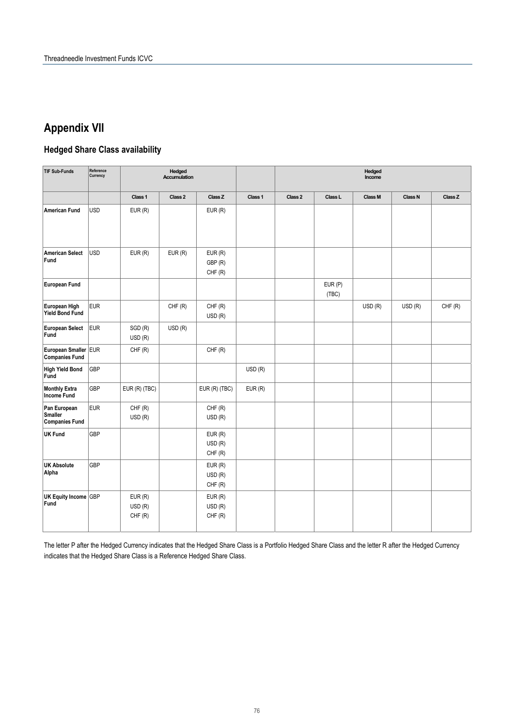# **Appendix VII**

# **Hedged Share Class availability**

| <b>TIF Sub-Funds</b>                             | Reference<br>Currency |                            | <b>Hedged</b><br>Accumulation |                             |         |         |                 | <b>Hedged</b><br>Income |                |         |
|--------------------------------------------------|-----------------------|----------------------------|-------------------------------|-----------------------------|---------|---------|-----------------|-------------------------|----------------|---------|
|                                                  |                       | Class 1                    | Class 2                       | Class Z                     | Class 1 | Class 2 | Class L         | Class M                 | <b>Class N</b> | Class Z |
| <b>American Fund</b>                             | <b>USD</b>            | EUR(R)                     |                               | EUR(R)                      |         |         |                 |                         |                |         |
| <b>American Select</b><br>Fund                   | <b>USD</b>            | EUR(R)                     | EUR(R)                        | EUR(R)<br>GBP (R)<br>CHF(R) |         |         |                 |                         |                |         |
| <b>European Fund</b>                             |                       |                            |                               |                             |         |         | EUR(P)<br>(TBC) |                         |                |         |
| European High<br>Yield Bond Fund                 | <b>EUR</b>            |                            | CHF(R)                        | CHF(R)<br>USD(R)            |         |         |                 | USD(R)                  | USD (R)        | CHF(R)  |
| <b>European Select</b><br>Fund                   | <b>EUR</b>            | SGD (R)<br>USD(R)          | USD(R)                        |                             |         |         |                 |                         |                |         |
| European Smaller EUR<br><b>Companies Fund</b>    |                       | CHF(R)                     |                               | CHF(R)                      |         |         |                 |                         |                |         |
| <b>High Yield Bond</b><br>Fund                   | GBP                   |                            |                               |                             | USD(R)  |         |                 |                         |                |         |
| <b>Monthly Extra</b><br><b>Income Fund</b>       | GBP                   | EUR (R) (TBC)              |                               | EUR (R) (TBC)               | EUR(R)  |         |                 |                         |                |         |
| Pan European<br>Smaller<br><b>Companies Fund</b> | <b>EUR</b>            | CHF(R)<br>USD(R)           |                               | CHF(R)<br>USD(R)            |         |         |                 |                         |                |         |
| <b>UK Fund</b>                                   | GBP                   |                            |                               | EUR(R)<br>USD(R)<br>CHF(R)  |         |         |                 |                         |                |         |
| <b>UK Absolute</b><br>Alpha                      | <b>GBP</b>            |                            |                               | EUR(R)<br>USD(R)<br>CHF(R)  |         |         |                 |                         |                |         |
| <b>UK Equity Income GBP</b><br>Fund              |                       | EUR(R)<br>USD(R)<br>CHF(R) |                               | EUR(R)<br>USD(R)<br>CHF(R)  |         |         |                 |                         |                |         |

The letter P after the Hedged Currency indicates that the Hedged Share Class is a Portfolio Hedged Share Class and the letter R after the Hedged Currency indicates that the Hedged Share Class is a Reference Hedged Share Class.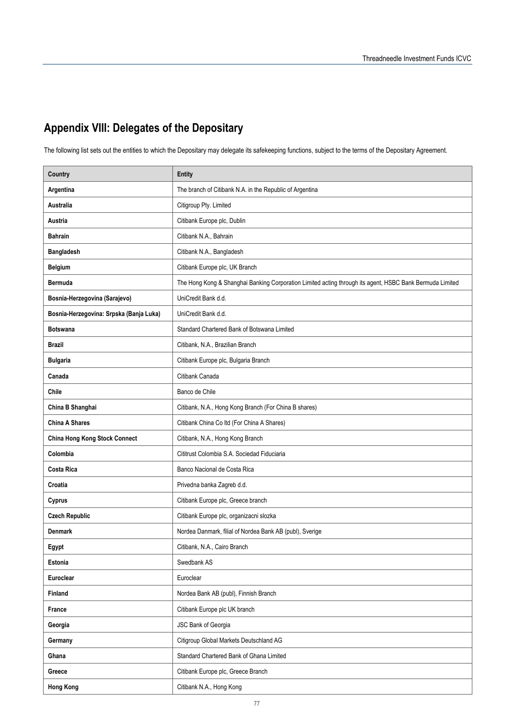# **Appendix VIII: Delegates of the Depositary**

The following list sets out the entities to which the Depositary may delegate its safekeeping functions, subject to the terms of the Depositary Agreement.

| Country                                 | <b>Entity</b>                                                                                            |
|-----------------------------------------|----------------------------------------------------------------------------------------------------------|
| Argentina                               | The branch of Citibank N.A. in the Republic of Argentina                                                 |
| Australia                               | Citigroup Pty. Limited                                                                                   |
| Austria                                 | Citibank Europe plc, Dublin                                                                              |
| <b>Bahrain</b>                          | Citibank N.A., Bahrain                                                                                   |
| Bangladesh                              | Citibank N.A., Bangladesh                                                                                |
| <b>Belgium</b>                          | Citibank Europe plc, UK Branch                                                                           |
| <b>Bermuda</b>                          | The Hong Kong & Shanghai Banking Corporation Limited acting through its agent, HSBC Bank Bermuda Limited |
| Bosnia-Herzegovina (Sarajevo)           | UniCredit Bank d.d.                                                                                      |
| Bosnia-Herzegovina: Srpska (Banja Luka) | UniCredit Bank d.d.                                                                                      |
| <b>Botswana</b>                         | Standard Chartered Bank of Botswana Limited                                                              |
| <b>Brazil</b>                           | Citibank, N.A., Brazilian Branch                                                                         |
| <b>Bulgaria</b>                         | Citibank Europe plc, Bulgaria Branch                                                                     |
| Canada                                  | Citibank Canada                                                                                          |
| Chile                                   | Banco de Chile                                                                                           |
| China B Shanghai                        | Citibank, N.A., Hong Kong Branch (For China B shares)                                                    |
| <b>China A Shares</b>                   | Citibank China Co Itd (For China A Shares)                                                               |
| <b>China Hong Kong Stock Connect</b>    | Citibank, N.A., Hong Kong Branch                                                                         |
| Colombia                                | Cititrust Colombia S.A. Sociedad Fiduciaria                                                              |
| <b>Costa Rica</b>                       | Banco Nacional de Costa Rica                                                                             |
| Croatia                                 | Privedna banka Zagreb d.d.                                                                               |
| Cyprus                                  | Citibank Europe plc, Greece branch                                                                       |
| <b>Czech Republic</b>                   | Citibank Europe plc, organizacni slozka                                                                  |
| <b>Denmark</b>                          | Nordea Danmark, filial of Nordea Bank AB (publ), Sverige                                                 |
| Egypt                                   | Citibank, N.A., Cairo Branch                                                                             |
| Estonia                                 | Swedbank AS                                                                                              |
| Euroclear                               | Euroclear                                                                                                |
| Finland                                 | Nordea Bank AB (publ), Finnish Branch                                                                    |
| France                                  | Citibank Europe plc UK branch                                                                            |
| Georgia                                 | JSC Bank of Georgia                                                                                      |
| Germany                                 | Citigroup Global Markets Deutschland AG                                                                  |
| Ghana                                   | Standard Chartered Bank of Ghana Limited                                                                 |
| Greece                                  | Citibank Europe plc, Greece Branch                                                                       |
| <b>Hong Kong</b>                        | Citibank N.A., Hong Kong                                                                                 |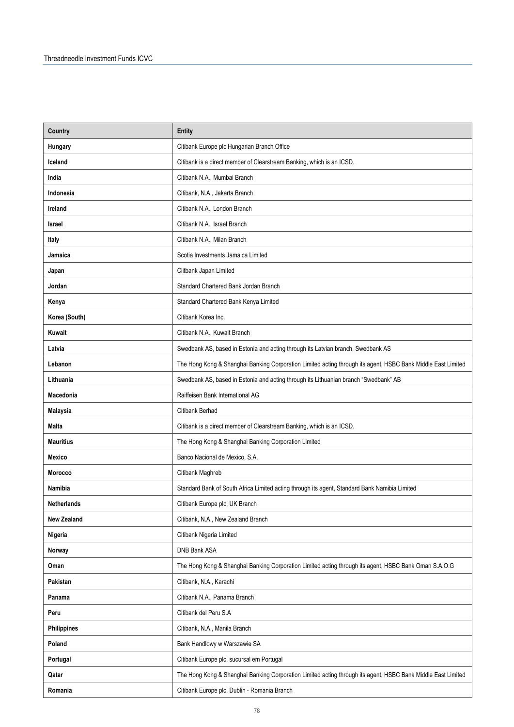| Country            | <b>Entity</b>                                                                                                |
|--------------------|--------------------------------------------------------------------------------------------------------------|
| Hungary            | Citibank Europe plc Hungarian Branch Office                                                                  |
| Iceland            | Citibank is a direct member of Clearstream Banking, which is an ICSD.                                        |
| India              | Citibank N.A., Mumbai Branch                                                                                 |
| Indonesia          | Citibank, N.A., Jakarta Branch                                                                               |
| Ireland            | Citibank N.A., London Branch                                                                                 |
| Israel             | Citibank N.A., Israel Branch                                                                                 |
| Italy              | Citibank N.A., Milan Branch                                                                                  |
| Jamaica            | Scotia Investments Jamaica Limited                                                                           |
| Japan              | Ciitbank Japan Limited                                                                                       |
| Jordan             | Standard Chartered Bank Jordan Branch                                                                        |
| Kenya              | Standard Chartered Bank Kenya Limited                                                                        |
| Korea (South)      | Citibank Korea Inc.                                                                                          |
| <b>Kuwait</b>      | Citibank N.A., Kuwait Branch                                                                                 |
| Latvia             | Swedbank AS, based in Estonia and acting through its Latvian branch, Swedbank AS                             |
| Lebanon            | The Hong Kong & Shanghai Banking Corporation Limited acting through its agent, HSBC Bank Middle East Limited |
| Lithuania          | Swedbank AS, based in Estonia and acting through its Lithuanian branch "Swedbank" AB                         |
| Macedonia          | Raiffeisen Bank International AG                                                                             |
| Malaysia           | Citibank Berhad                                                                                              |
| <b>Malta</b>       | Citibank is a direct member of Clearstream Banking, which is an ICSD.                                        |
| <b>Mauritius</b>   | The Hong Kong & Shanghai Banking Corporation Limited                                                         |
| <b>Mexico</b>      | Banco Nacional de Mexico, S.A.                                                                               |
| Morocco            | Citibank Maghreb                                                                                             |
| Namibia            | Standard Bank of South Africa Limited acting through its agent, Standard Bank Namibia Limited                |
| <b>Netherlands</b> | Citibank Europe plc, UK Branch                                                                               |
| <b>New Zealand</b> | Citibank, N.A., New Zealand Branch                                                                           |
| Nigeria            | Citibank Nigeria Limited                                                                                     |
| Norway             | DNB Bank ASA                                                                                                 |
| Oman               | The Hong Kong & Shanghai Banking Corporation Limited acting through its agent, HSBC Bank Oman S.A.O.G        |
| Pakistan           | Citibank, N.A., Karachi                                                                                      |
| Panama             | Citibank N.A., Panama Branch                                                                                 |
| Peru               | Citibank del Peru S.A                                                                                        |
| <b>Philippines</b> | Citibank, N.A., Manila Branch                                                                                |
| Poland             | Bank Handlowy w Warszawie SA                                                                                 |
| Portugal           | Citibank Europe plc, sucursal em Portugal                                                                    |
| Qatar              | The Hong Kong & Shanghai Banking Corporation Limited acting through its agent, HSBC Bank Middle East Limited |
| Romania            | Citibank Europe plc, Dublin - Romania Branch                                                                 |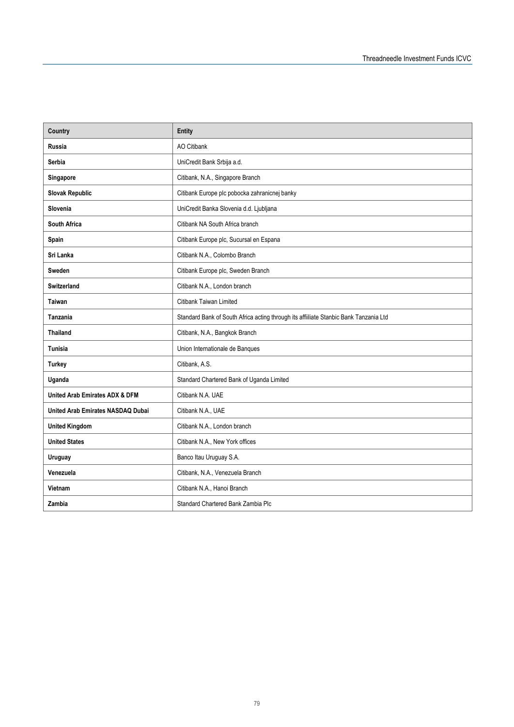| Country                           | Entity                                                                                |
|-----------------------------------|---------------------------------------------------------------------------------------|
| <b>Russia</b>                     | <b>AO Citibank</b>                                                                    |
| <b>Serbia</b>                     | UniCredit Bank Srbija a.d.                                                            |
| Singapore                         | Citibank, N.A., Singapore Branch                                                      |
| <b>Slovak Republic</b>            | Citibank Europe plc pobocka zahranicnej banky                                         |
| Slovenia                          | UniCredit Banka Slovenia d.d. Ljubljana                                               |
| <b>South Africa</b>               | Citibank NA South Africa branch                                                       |
| Spain                             | Citibank Europe plc, Sucursal en Espana                                               |
| Sri Lanka                         | Citibank N.A., Colombo Branch                                                         |
| <b>Sweden</b>                     | Citibank Europe plc, Sweden Branch                                                    |
| Switzerland                       | Citibank N.A., London branch                                                          |
| Taiwan                            | Citibank Taiwan Limited                                                               |
| <b>Tanzania</b>                   | Standard Bank of South Africa acting through its affiiliate Stanbic Bank Tanzania Ltd |
| <b>Thailand</b>                   | Citibank, N.A., Bangkok Branch                                                        |
| <b>Tunisia</b>                    | Union Internationale de Banques                                                       |
| <b>Turkey</b>                     | Citibank, A.S.                                                                        |
| Uganda                            | Standard Chartered Bank of Uganda Limited                                             |
| United Arab Emirates ADX & DFM    | Citibank N.A. UAE                                                                     |
| United Arab Emirates NASDAQ Dubai | Citibank N.A., UAE                                                                    |
| <b>United Kingdom</b>             | Citibank N.A., London branch                                                          |
| <b>United States</b>              | Citibank N.A., New York offices                                                       |
| <b>Uruguay</b>                    | Banco Itau Uruguay S.A.                                                               |
| Venezuela                         | Citibank, N.A., Venezuela Branch                                                      |
| Vietnam                           | Citibank N.A., Hanoi Branch                                                           |
| Zambia                            | Standard Chartered Bank Zambia Plc                                                    |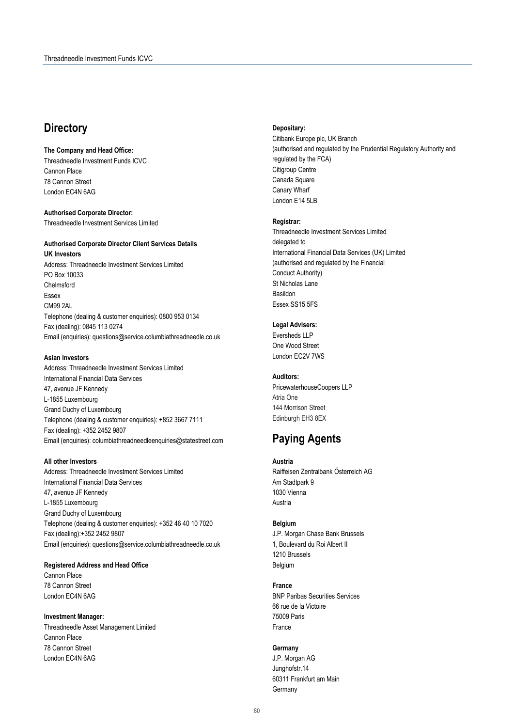# **Directory**

## **The Company and Head Office:**

Threadneedle Investment Funds ICVC Cannon Place 78 Cannon Street London EC4N 6AG

**Authorised Corporate Director:**  Threadneedle Investment Services Limited

## **Authorised Corporate Director Client Services Details UK Investors**

Address: Threadneedle Investment Services Limited PO Box 10033 Chelmsford Essex CM99 2AL Telephone (dealing & customer enquiries): 0800 953 0134 Fax (dealing): 0845 113 0274 Email (enquiries): questions@service.columbiathreadneedle.co.uk

# **Asian Investors**

Address: Threadneedle Investment Services Limited International Financial Data Services 47, avenue JF Kennedy L-1855 Luxembourg Grand Duchy of Luxembourg Telephone (dealing & customer enquiries): +852 3667 7111 Fax (dealing): +352 2452 9807 Email (enquiries): columbiathreadneedleenquiries@statestreet.com

# **All other Investors**

Address: Threadneedle Investment Services Limited International Financial Data Services 47, avenue JF Kennedy L-1855 Luxembourg Grand Duchy of Luxembourg Telephone (dealing & customer enquiries): +352 46 40 10 7020 Fax (dealing):+352 2452 9807 Email (enquiries): questions@service.columbiathreadneedle.co.uk

# **Registered Address and Head Office**

Cannon Place 78 Cannon Street London EC4N 6AG

### **Investment Manager:**

Threadneedle Asset Management Limited Cannon Place 78 Cannon Street London EC4N 6AG

## **Depositary:**

Citibank Europe plc, UK Branch (authorised and regulated by the Prudential Regulatory Authority and regulated by the FCA) Citigroup Centre Canada Square Canary Wharf London E14 5LB

### **Registrar:**

Threadneedle Investment Services Limited delegated to International Financial Data Services (UK) Limited (authorised and regulated by the Financial Conduct Authority) St Nicholas Lane Basildon Essex SS15 5FS

## **Legal Advisers:**

Eversheds LLP One Wood Street London EC2V 7WS

### **Auditors:**

PricewaterhouseCoopers LLP Atria One 144 Morrison Street Edinburgh EH3 8EX

# **Paying Agents**

**Austria** 

Raiffeisen Zentralbank Österreich AG Am Stadtpark 9 1030 Vienna Austria

## **Belgium**

J.P. Morgan Chase Bank Brussels 1, Boulevard du Roi Albert II 1210 Brussels Belgium

## **France**

BNP Paribas Securities Services 66 rue de la Victoire 75009 Paris France

### **Germany**

J.P. Morgan AG Junghofstr.14 60311 Frankfurt am Main **Germany**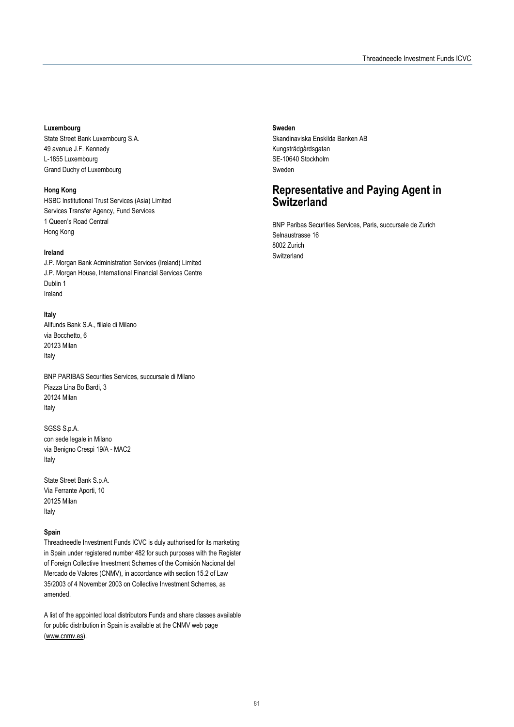#### **Luxembourg**

State Street Bank Luxembourg S.A. 49 avenue J.F. Kennedy L-1855 Luxembourg Grand Duchy of Luxembourg

#### **Hong Kong**

HSBC Institutional Trust Services (Asia) Limited Services Transfer Agency, Fund Services 1 Queen's Road Central Hong Kong

#### **Ireland**

J.P. Morgan Bank Administration Services (Ireland) Limited J.P. Morgan House, International Financial Services Centre Dublin 1 Ireland

#### **Italy**

Allfunds Bank S.A., filiale di Milano via Bocchetto, 6 20123 Milan Italy

BNP PARIBAS Securities Services, succursale di Milano Piazza Lina Bo Bardi, 3 20124 Milan Italy

SGSS S.p.A. con sede legale in Milano via Benigno Crespi 19/A - MAC2 Italy

State Street Bank S.p.A. Via Ferrante Aporti, 10 20125 Milan Italy

#### **Spain**

Threadneedle Investment Funds ICVC is duly authorised for its marketing in Spain under registered number 482 for such purposes with the Register of Foreign Collective Investment Schemes of the Comisión Nacional del Mercado de Valores (CNMV), in accordance with section 15.2 of Law 35/2003 of 4 November 2003 on Collective Investment Schemes, as amended.

A list of the appointed local distributors Funds and share classes available for public distribution in Spain is available at the CNMV web page (www.cnmv.es).

**Sweden**  Skandinaviska Enskilda Banken AB Kungsträdgårdsgatan SE-10640 Stockholm Sweden

# **Representative and Paying Agent in Switzerland**

BNP Paribas Securities Services, Paris, succursale de Zurich Selnaustrasse 16 8002 Zurich Switzerland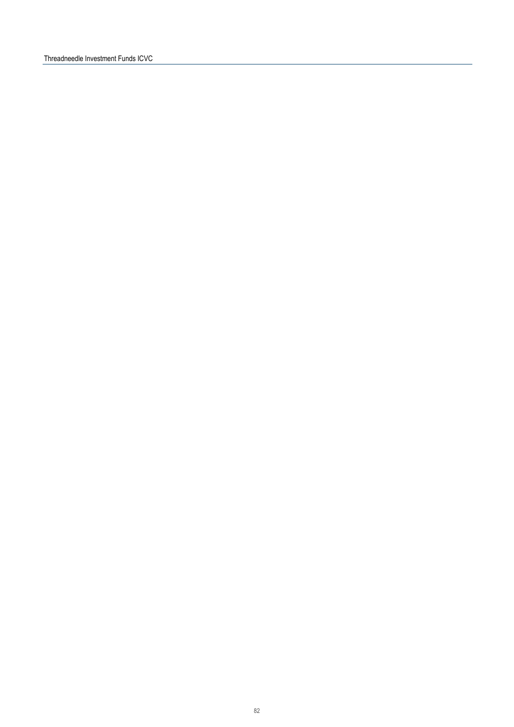Threadneedle Investment Funds ICVC